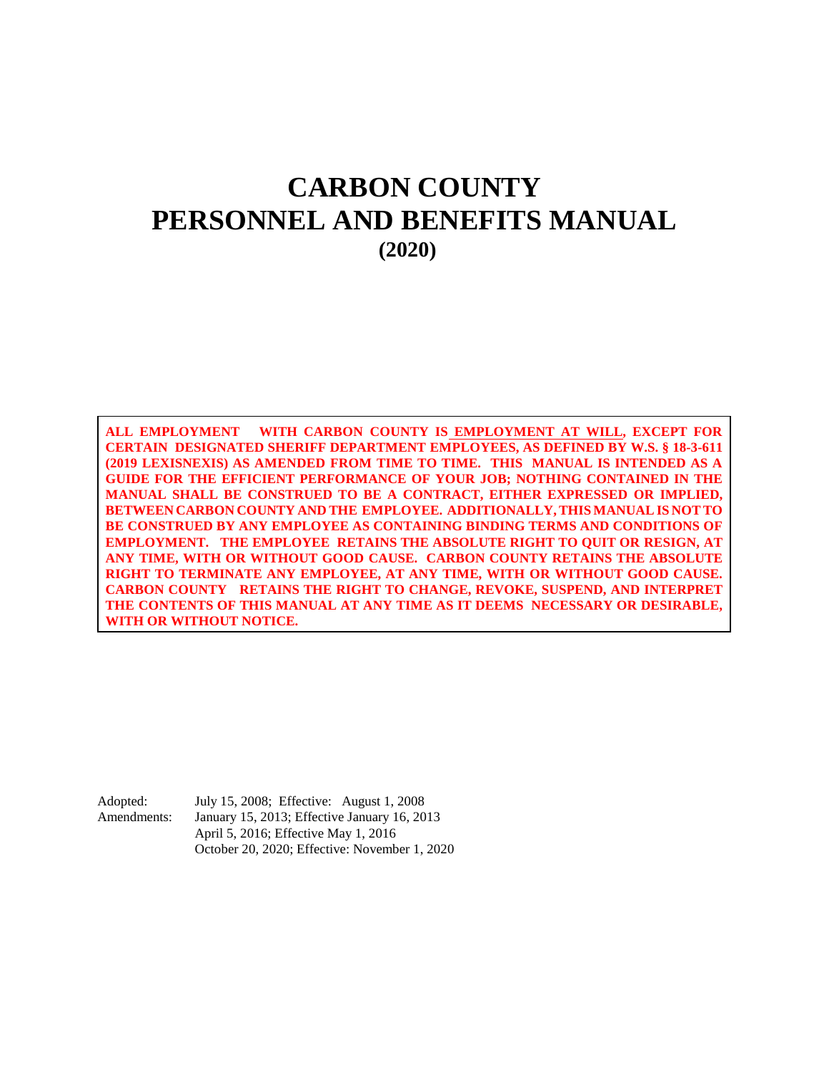# **CARBON COUNTY PERSONNEL AND BENEFITS MANUAL (2020)**

**ALL EMPLOYMENT WITH CARBON COUNTY IS EMPLOYMENT AT WILL, EXCEPT FOR CERTAIN DESIGNATED SHERIFF DEPARTMENT EMPLOYEES, AS DEFINED BY W.S. § 18-3-611 (2019 LEXISNEXIS) AS AMENDED FROM TIME TO TIME. THIS MANUAL IS INTENDED AS A GUIDE FOR THE EFFICIENT PERFORMANCE OF YOUR JOB; NOTHING CONTAINED IN THE MANUAL SHALL BE CONSTRUED TO BE A CONTRACT, EITHER EXPRESSED OR IMPLIED, BETWEEN CARBON COUNTY AND THE EMPLOYEE. ADDITIONALLY, THIS MANUAL IS NOT TO BE CONSTRUED BY ANY EMPLOYEE AS CONTAINING BINDING TERMS AND CONDITIONS OF EMPLOYMENT. THE EMPLOYEE RETAINS THE ABSOLUTE RIGHT TO QUIT OR RESIGN, AT ANY TIME, WITH OR WITHOUT GOOD CAUSE. CARBON COUNTY RETAINS THE ABSOLUTE RIGHT TO TERMINATE ANY EMPLOYEE, AT ANY TIME, WITH OR WITHOUT GOOD CAUSE. CARBON COUNTY RETAINS THE RIGHT TO CHANGE, REVOKE, SUSPEND, AND INTERPRET THE CONTENTS OF THIS MANUAL AT ANY TIME AS IT DEEMS NECESSARY OR DESIRABLE, WITH OR WITHOUT NOTICE.**

Adopted: July 15, 2008; Effective: August 1, 2008 Amendments: January 15, 2013; Effective January 16, 2013 April 5, 2016; Effective May 1, 2016 October 20, 2020; Effective: November 1, 2020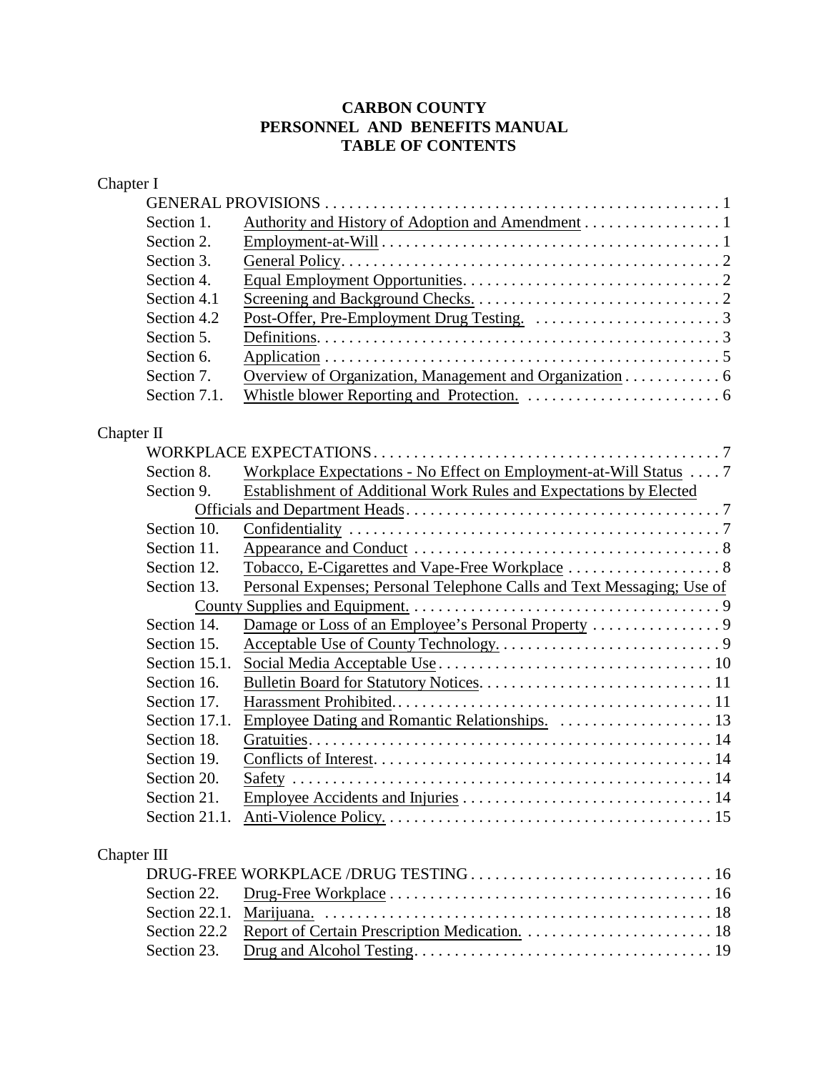# **CARBON COUNTY PERSONNEL AND BENEFITS MANUAL TABLE OF CONTENTS**

| Chapter I     |                                                                        |
|---------------|------------------------------------------------------------------------|
|               |                                                                        |
| Section 1.    | Authority and History of Adoption and Amendment 1                      |
| Section 2.    |                                                                        |
| Section 3.    |                                                                        |
| Section 4.    |                                                                        |
| Section 4.1   |                                                                        |
| Section 4.2   |                                                                        |
| Section 5.    |                                                                        |
| Section 6.    |                                                                        |
| Section 7.    | Overview of Organization, Management and Organization 6                |
| Section 7.1.  |                                                                        |
| Chapter II    |                                                                        |
|               |                                                                        |
| Section 8.    | Workplace Expectations - No Effect on Employment-at-Will Status 7      |
| Section 9.    | Establishment of Additional Work Rules and Expectations by Elected     |
|               |                                                                        |
| Section 10.   |                                                                        |
| Section 11.   |                                                                        |
| Section 12.   |                                                                        |
| Section 13.   | Personal Expenses; Personal Telephone Calls and Text Messaging; Use of |
|               |                                                                        |
| Section 14.   |                                                                        |
| Section 15.   |                                                                        |
| Section 15.1. |                                                                        |
| Section 16.   |                                                                        |
| Section 17.   |                                                                        |
| Section 17.1. |                                                                        |
| Section 18.   |                                                                        |
| Section 19.   |                                                                        |
| Section 20.   | Safety<br>. 14                                                         |
| Section 21.   |                                                                        |
| Section 21.1. |                                                                        |
| Chapter III   |                                                                        |
|               |                                                                        |
| Section 22.   |                                                                        |
|               |                                                                        |

| <u>DIO I IUD 11 ONII DIOD DIO I DOING 11 TOTTI ILITTI ILITTI ILITTI ILITTI ILITTI ILITTI ILITTI ILITTI ILITTI IL</u> |
|----------------------------------------------------------------------------------------------------------------------|
|                                                                                                                      |
|                                                                                                                      |
|                                                                                                                      |
|                                                                                                                      |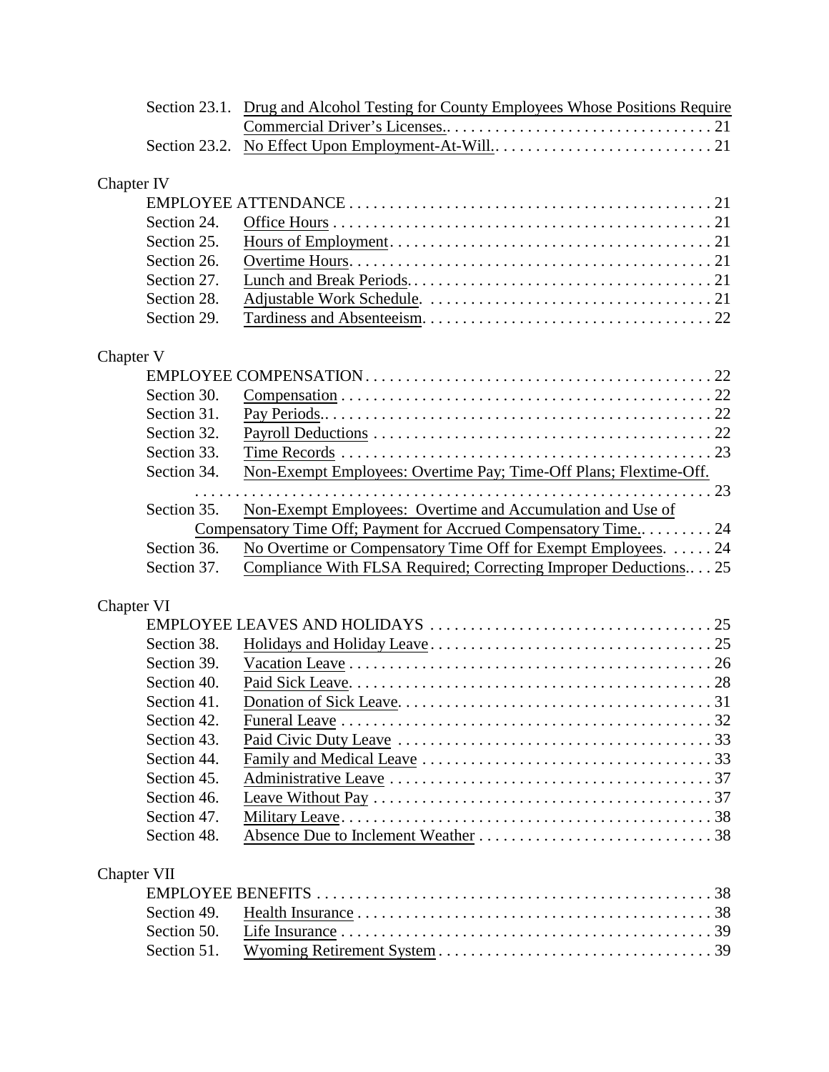|             | Section 23.1. Drug and Alcohol Testing for County Employees Whose Positions Require                            |
|-------------|----------------------------------------------------------------------------------------------------------------|
|             |                                                                                                                |
|             |                                                                                                                |
|             |                                                                                                                |
| Chapter IV  |                                                                                                                |
|             |                                                                                                                |
| Section 24. |                                                                                                                |
| Section 25. |                                                                                                                |
| Section 26. |                                                                                                                |
| Section 27. |                                                                                                                |
| Section 28. |                                                                                                                |
| Section 29. |                                                                                                                |
| Chapter V   |                                                                                                                |
|             |                                                                                                                |
| Section 30. |                                                                                                                |
| Section 31. |                                                                                                                |
| Section 32. |                                                                                                                |
| Section 33. |                                                                                                                |
| Section 34. | Non-Exempt Employees: Overtime Pay; Time-Off Plans; Flextime-Off.                                              |
|             |                                                                                                                |
| Section 35. | Non-Exempt Employees: Overtime and Accumulation and Use of                                                     |
|             | Compensatory Time Off; Payment for Accrued Compensatory Time 24                                                |
| Section 36. | No Overtime or Compensatory Time Off for Exempt Employees.  24                                                 |
| Section 37. | Compliance With FLSA Required; Correcting Improper Deductions 25                                               |
| Chapter VI  |                                                                                                                |
|             |                                                                                                                |
| Section 38. |                                                                                                                |
| Section 39. |                                                                                                                |
| Section 40. |                                                                                                                |
| Section 41  |                                                                                                                |
| Section 42. |                                                                                                                |
| Section 43. |                                                                                                                |
| Section 44. |                                                                                                                |
| Section 45. |                                                                                                                |
| Section 46. | Leave Without Pay $\ldots \ldots \ldots \ldots \ldots \ldots \ldots \ldots \ldots \ldots \ldots \ldots \ldots$ |
| Section 47. |                                                                                                                |
| Section 48. |                                                                                                                |
|             |                                                                                                                |
| Chapter VII |                                                                                                                |
|             |                                                                                                                |
| Section 49. |                                                                                                                |
| Section 50. |                                                                                                                |
| Section 51. |                                                                                                                |
|             |                                                                                                                |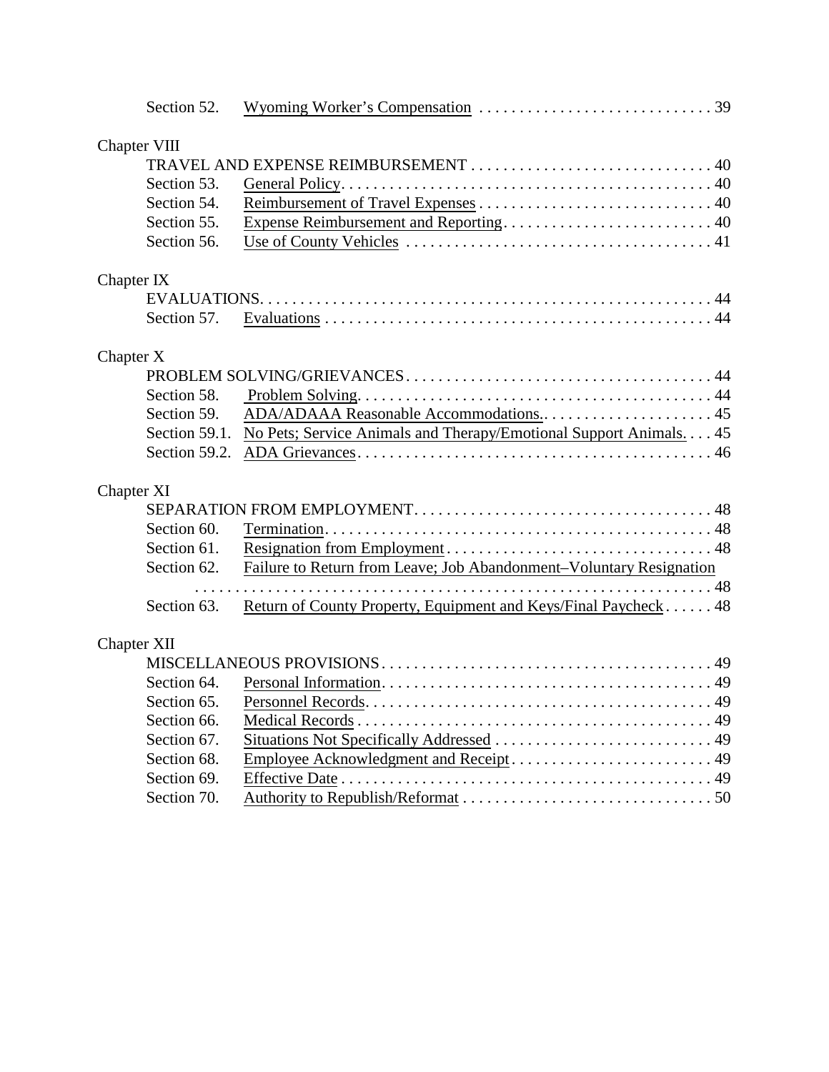| Section 52.  |                                                                                  |
|--------------|----------------------------------------------------------------------------------|
| Chapter VIII |                                                                                  |
|              |                                                                                  |
| Section 53.  |                                                                                  |
| Section 54.  |                                                                                  |
| Section 55.  |                                                                                  |
| Section 56.  |                                                                                  |
| Chapter IX   |                                                                                  |
|              |                                                                                  |
| Section 57.  |                                                                                  |
| Chapter X    |                                                                                  |
|              |                                                                                  |
| Section 58.  |                                                                                  |
| Section 59.  |                                                                                  |
|              | Section 59.1. No Pets; Service Animals and Therapy/Emotional Support Animals. 45 |
|              |                                                                                  |
| Chapter XI   |                                                                                  |
|              |                                                                                  |
| Section 60.  |                                                                                  |
| Section 61.  |                                                                                  |
| Section 62.  | Failure to Return from Leave; Job Abandonment-Voluntary Resignation              |
|              |                                                                                  |
| Section 63.  | Return of County Property, Equipment and Keys/Final Paycheck 48                  |
| Chapter XII  |                                                                                  |
|              |                                                                                  |
| Section 64.  |                                                                                  |
| Section 65.  |                                                                                  |
| Section 66.  |                                                                                  |
| Section 67.  |                                                                                  |
| Section 68.  |                                                                                  |
| Section 69.  |                                                                                  |
| Section 70.  |                                                                                  |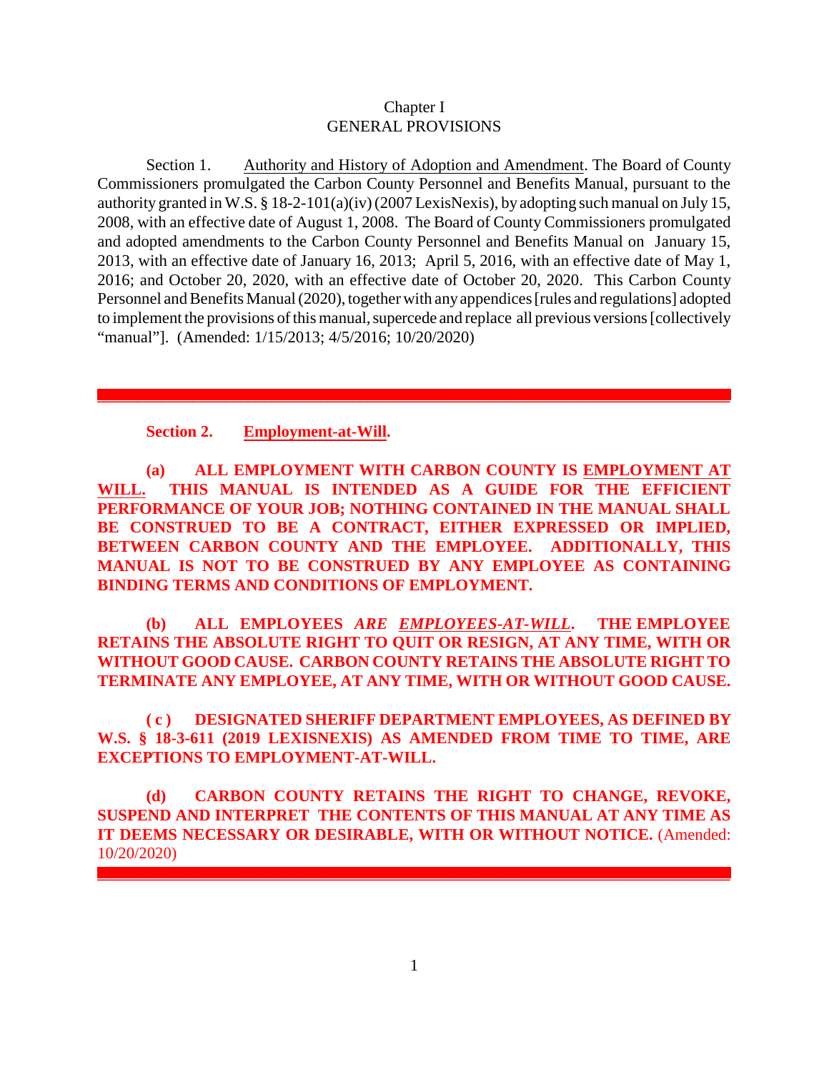## Chapter I GENERAL PROVISIONS

Section 1. Authority and History of Adoption and Amendment. The Board of County Commissioners promulgated the Carbon County Personnel and Benefits Manual, pursuant to the authority granted in W.S. § 18-2-101(a)(iv) (2007 LexisNexis), by adopting such manual on July 15, 2008, with an effective date of August 1, 2008. The Board of County Commissioners promulgated and adopted amendments to the Carbon County Personnel and Benefits Manual on January 15, 2013, with an effective date of January 16, 2013; April 5, 2016, with an effective date of May 1, 2016; and October 20, 2020, with an effective date of October 20, 2020. This Carbon County Personnel and Benefits Manual (2020), together with anyappendices [rules and regulations] adopted to implement the provisions of this manual, supercede and replace all previous versions [collectively "manual"]. (Amended: 1/15/2013; 4/5/2016; 10/20/2020)

## **Section 2. Employment-at-Will.**

**(a) ALL EMPLOYMENT WITH CARBON COUNTY IS EMPLOYMENT AT WILL. THIS MANUAL IS INTENDED AS A GUIDE FOR THE EFFICIENT PERFORMANCE OF YOUR JOB; NOTHING CONTAINED IN THE MANUAL SHALL BE CONSTRUED TO BE A CONTRACT, EITHER EXPRESSED OR IMPLIED, BETWEEN CARBON COUNTY AND THE EMPLOYEE. ADDITIONALLY, THIS MANUAL IS NOT TO BE CONSTRUED BY ANY EMPLOYEE AS CONTAINING BINDING TERMS AND CONDITIONS OF EMPLOYMENT.** 

**(b) ALL EMPLOYEES** *ARE EMPLOYEES-AT-WILL***. THE EMPLOYEE RETAINS THE ABSOLUTE RIGHT TO QUIT OR RESIGN, AT ANY TIME, WITH OR WITHOUT GOOD CAUSE. CARBON COUNTY RETAINS THE ABSOLUTE RIGHT TO TERMINATE ANY EMPLOYEE, AT ANY TIME, WITH OR WITHOUT GOOD CAUSE.** 

**( c ) DESIGNATED SHERIFF DEPARTMENT EMPLOYEES, AS DEFINED BY W.S. § 18-3-611 (2019 LEXISNEXIS) AS AMENDED FROM TIME TO TIME, ARE EXCEPTIONS TO EMPLOYMENT-AT-WILL.**

**(d) CARBON COUNTY RETAINS THE RIGHT TO CHANGE, REVOKE, SUSPEND AND INTERPRET THE CONTENTS OF THIS MANUAL AT ANY TIME AS IT DEEMS NECESSARY OR DESIRABLE, WITH OR WITHOUT NOTICE.** (Amended: 10/20/2020)

**\_\_\_\_\_\_\_\_\_\_\_\_\_\_\_\_\_\_\_\_\_\_\_\_\_\_\_\_\_\_\_\_\_\_\_\_\_\_\_\_\_\_\_\_\_\_\_\_\_\_\_\_\_\_\_\_\_\_\_\_\_\_\_\_\_\_\_\_\_\_\_\_\_\_\_\_\_\_\_**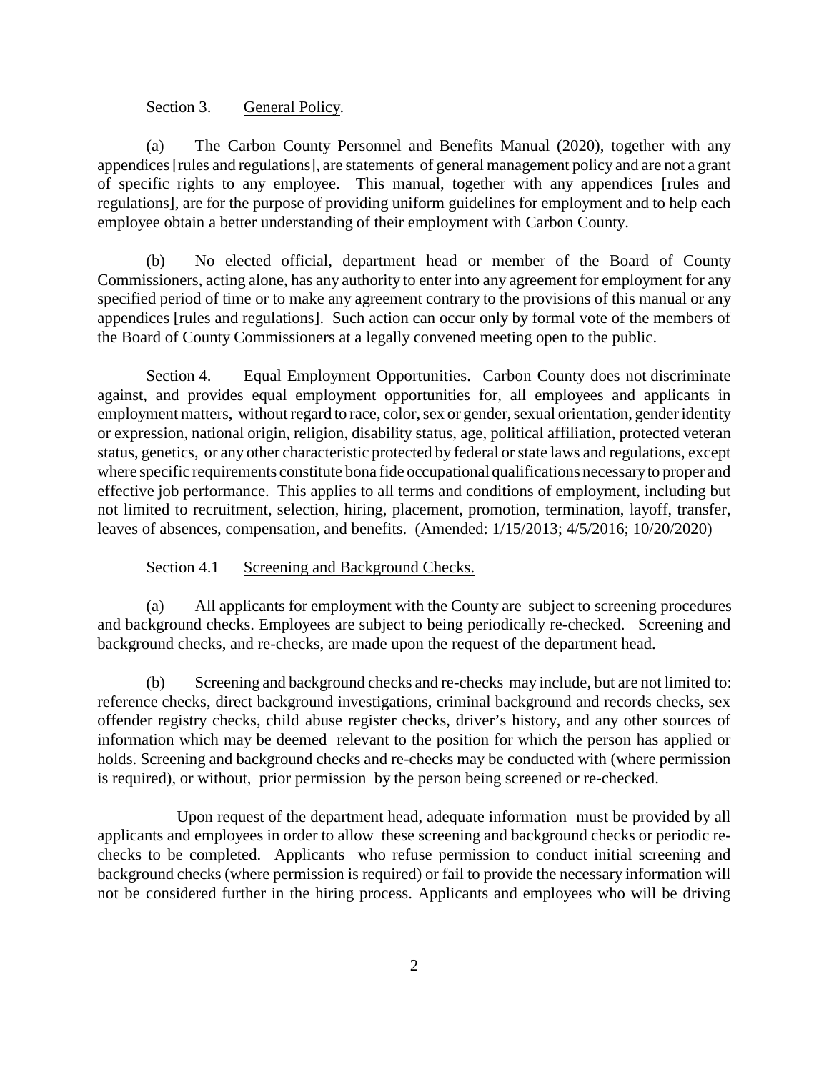## Section 3. General Policy.

(a) The Carbon County Personnel and Benefits Manual (2020), together with any appendices [rules and regulations], are statements of general management policy and are not a grant of specific rights to any employee. This manual, together with any appendices [rules and regulations], are for the purpose of providing uniform guidelines for employment and to help each employee obtain a better understanding of their employment with Carbon County.

(b) No elected official, department head or member of the Board of County Commissioners, acting alone, has any authority to enter into any agreement for employment for any specified period of time or to make any agreement contrary to the provisions of this manual or any appendices [rules and regulations]. Such action can occur only by formal vote of the members of the Board of County Commissioners at a legally convened meeting open to the public.

Section 4. Equal Employment Opportunities. Carbon County does not discriminate against, and provides equal employment opportunities for, all employees and applicants in employment matters, without regard to race, color, sex or gender, sexual orientation, gender identity or expression, national origin, religion, disability status, age, political affiliation, protected veteran status, genetics, or any other characteristic protected by federal or state laws and regulations, except where specific requirements constitute bona fide occupational qualifications necessaryto proper and effective job performance. This applies to all terms and conditions of employment, including but not limited to recruitment, selection, hiring, placement, promotion, termination, layoff, transfer, leaves of absences, compensation, and benefits. (Amended: 1/15/2013; 4/5/2016; 10/20/2020)

#### Section 4.1 Screening and Background Checks.

(a) All applicants for employment with the County are subject to screening procedures and background checks. Employees are subject to being periodically re-checked. Screening and background checks, and re-checks, are made upon the request of the department head.

(b) Screening and background checks and re-checks may include, but are not limited to: reference checks, direct background investigations, criminal background and records checks, sex offender registry checks, child abuse register checks, driver's history, and any other sources of information which may be deemed relevant to the position for which the person has applied or holds. Screening and background checks and re-checks may be conducted with (where permission is required), or without, prior permission by the person being screened or re-checked.

Upon request of the department head, adequate information must be provided by all applicants and employees in order to allow these screening and background checks or periodic rechecks to be completed. Applicants who refuse permission to conduct initial screening and background checks (where permission is required) or fail to provide the necessary information will not be considered further in the hiring process. Applicants and employees who will be driving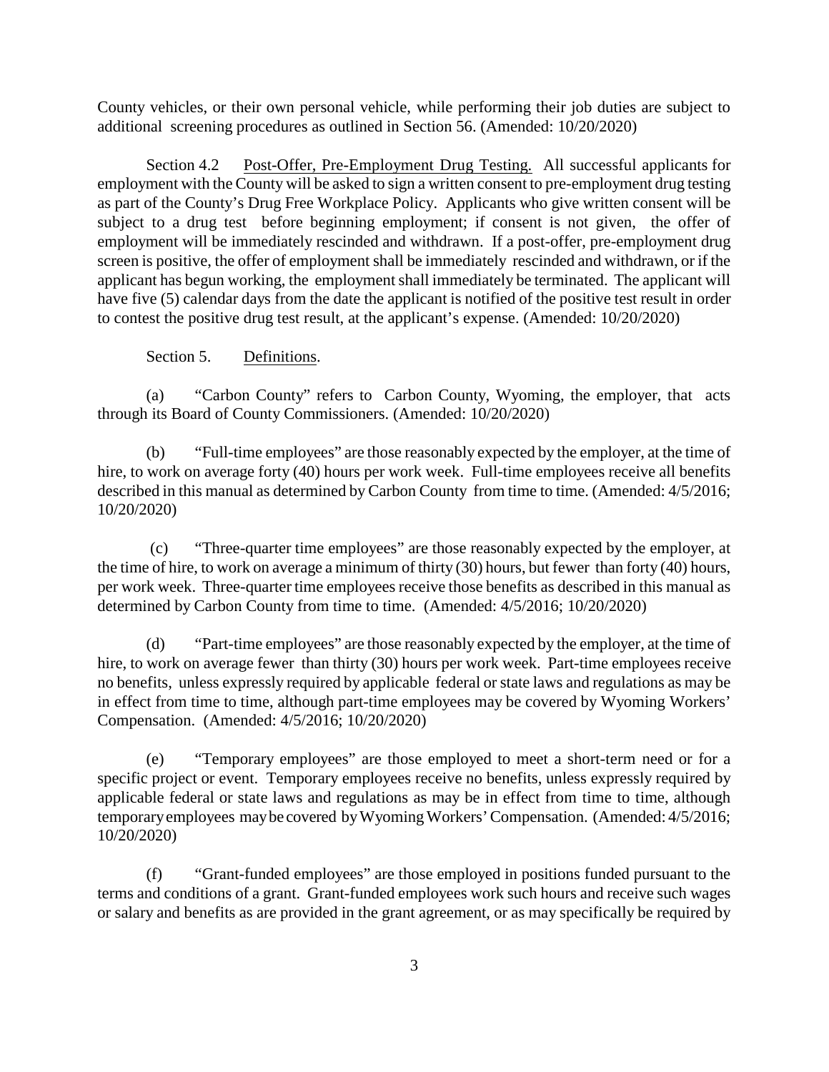County vehicles, or their own personal vehicle, while performing their job duties are subject to additional screening procedures as outlined in Section 56. (Amended: 10/20/2020)

Section 4.2 Post-Offer, Pre-Employment Drug Testing. All successful applicants for employment with the County will be asked to sign a written consent to pre-employment drug testing as part of the County's Drug Free Workplace Policy. Applicants who give written consent will be subject to a drug test before beginning employment; if consent is not given, the offer of employment will be immediately rescinded and withdrawn. If a post-offer, pre-employment drug screen is positive, the offer of employment shall be immediately rescinded and withdrawn, or if the applicant has begun working, the employment shall immediately be terminated. The applicant will have five (5) calendar days from the date the applicant is notified of the positive test result in order to contest the positive drug test result, at the applicant's expense. (Amended: 10/20/2020)

## Section 5. Definitions.

(a) "Carbon County" refers to Carbon County, Wyoming, the employer, that acts through its Board of County Commissioners. (Amended: 10/20/2020)

(b) "Full-time employees" are those reasonably expected by the employer, at the time of hire, to work on average forty (40) hours per work week. Full-time employees receive all benefits described in this manual as determined by Carbon County from time to time. (Amended: 4/5/2016; 10/20/2020)

 (c) "Three-quarter time employees" are those reasonably expected by the employer, at the time of hire, to work on average a minimum of thirty (30) hours, but fewer than forty (40) hours, per work week. Three-quarter time employees receive those benefits as described in this manual as determined by Carbon County from time to time. (Amended: 4/5/2016; 10/20/2020)

(d) "Part-time employees" are those reasonably expected by the employer, at the time of hire, to work on average fewer than thirty (30) hours per work week. Part-time employees receive no benefits, unless expressly required by applicable federal or state laws and regulations as may be in effect from time to time, although part-time employees may be covered by Wyoming Workers' Compensation. (Amended: 4/5/2016; 10/20/2020)

(e) "Temporary employees" are those employed to meet a short-term need or for a specific project or event. Temporary employees receive no benefits, unless expressly required by applicable federal or state laws and regulations as may be in effect from time to time, although temporaryemployees maybe covered byWyomingWorkers' Compensation. (Amended: 4/5/2016; 10/20/2020)

(f) "Grant-funded employees" are those employed in positions funded pursuant to the terms and conditions of a grant. Grant-funded employees work such hours and receive such wages or salary and benefits as are provided in the grant agreement, or as may specifically be required by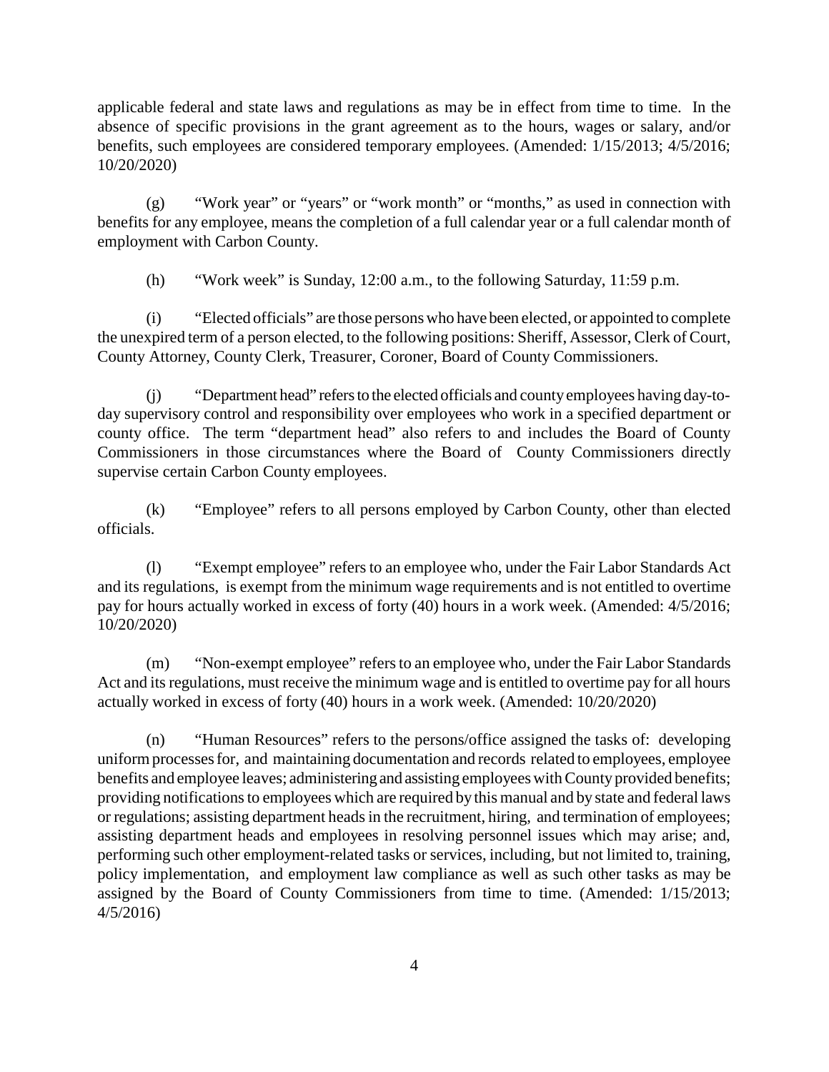applicable federal and state laws and regulations as may be in effect from time to time. In the absence of specific provisions in the grant agreement as to the hours, wages or salary, and/or benefits, such employees are considered temporary employees. (Amended: 1/15/2013; 4/5/2016; 10/20/2020)

(g) "Work year" or "years" or "work month" or "months," as used in connection with benefits for any employee, means the completion of a full calendar year or a full calendar month of employment with Carbon County.

(h) "Work week" is Sunday, 12:00 a.m., to the following Saturday, 11:59 p.m.

(i) "Elected officials" are those persons who have been elected, or appointed to complete the unexpired term of a person elected, to the following positions: Sheriff, Assessor, Clerk of Court, County Attorney, County Clerk, Treasurer, Coroner, Board of County Commissioners.

(j) "Department head" refersto the elected officials and countyemployees having day-today supervisory control and responsibility over employees who work in a specified department or county office. The term "department head" also refers to and includes the Board of County Commissioners in those circumstances where the Board of County Commissioners directly supervise certain Carbon County employees.

(k) "Employee" refers to all persons employed by Carbon County, other than elected officials.

(l) "Exempt employee" refers to an employee who, under the Fair Labor Standards Act and its regulations, is exempt from the minimum wage requirements and is not entitled to overtime pay for hours actually worked in excess of forty (40) hours in a work week. (Amended: 4/5/2016; 10/20/2020)

(m) "Non-exempt employee" refers to an employee who, under the Fair Labor Standards Act and its regulations, must receive the minimum wage and is entitled to overtime pay for all hours actually worked in excess of forty (40) hours in a work week. (Amended: 10/20/2020)

(n) "Human Resources" refers to the persons/office assigned the tasks of: developing uniform processes for, and maintaining documentation and records related to employees, employee benefits and employee leaves; administering and assisting employees with Countyprovided benefits; providing notifications to employees which are required bythis manual and by state and federal laws or regulations; assisting department heads in the recruitment, hiring, and termination of employees; assisting department heads and employees in resolving personnel issues which may arise; and, performing such other employment-related tasks or services, including, but not limited to, training, policy implementation, and employment law compliance as well as such other tasks as may be assigned by the Board of County Commissioners from time to time. (Amended: 1/15/2013; 4/5/2016)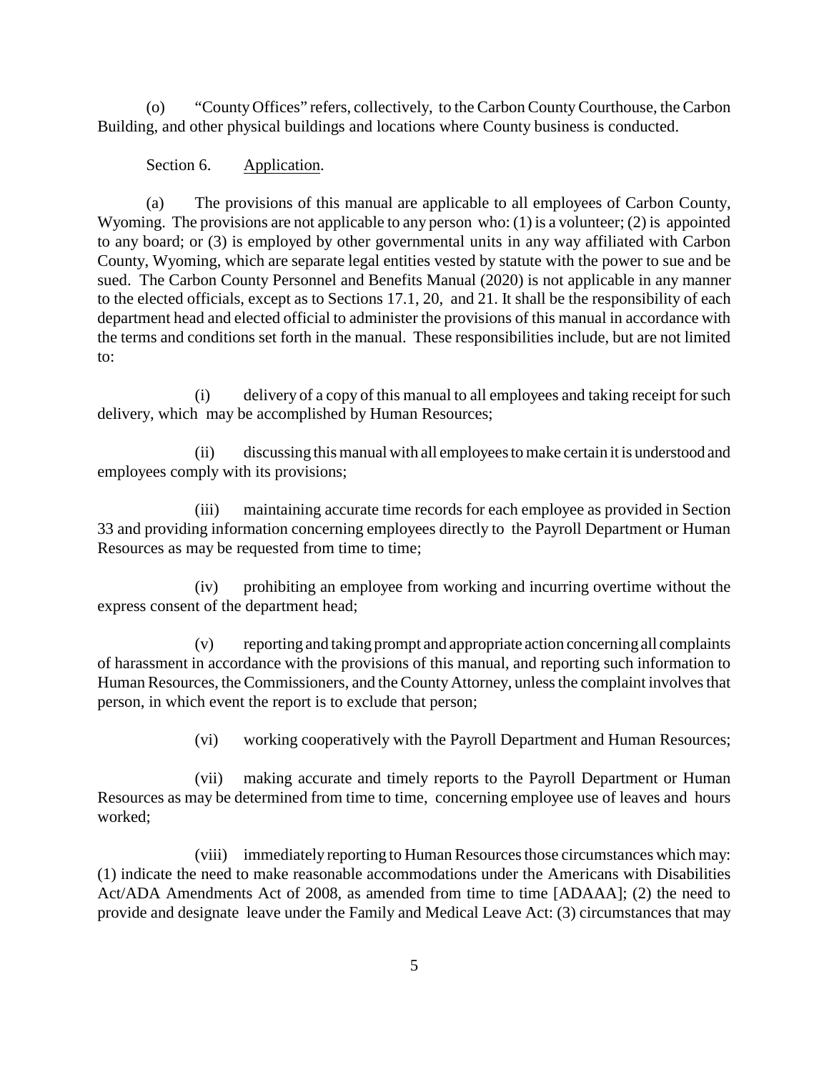(o) "County Offices" refers, collectively, to the Carbon CountyCourthouse, the Carbon Building, and other physical buildings and locations where County business is conducted.

# Section 6. Application.

(a) The provisions of this manual are applicable to all employees of Carbon County, Wyoming. The provisions are not applicable to any person who: (1) is a volunteer; (2) is appointed to any board; or (3) is employed by other governmental units in any way affiliated with Carbon County, Wyoming, which are separate legal entities vested by statute with the power to sue and be sued. The Carbon County Personnel and Benefits Manual (2020) is not applicable in any manner to the elected officials, except as to Sections 17.1, 20, and 21. It shall be the responsibility of each department head and elected official to administer the provisions of this manual in accordance with the terms and conditions set forth in the manual. These responsibilities include, but are not limited to:

(i) delivery of a copy of this manual to all employees and taking receipt for such delivery, which may be accomplished by Human Resources;

(ii) discussing this manual with all employees to make certain it is understood and employees comply with its provisions;

(iii) maintaining accurate time records for each employee as provided in Section 33 and providing information concerning employees directly to the Payroll Department or Human Resources as may be requested from time to time;

(iv) prohibiting an employee from working and incurring overtime without the express consent of the department head;

(v) reporting and taking prompt and appropriate action concerning all complaints of harassment in accordance with the provisions of this manual, and reporting such information to Human Resources, the Commissioners, and the CountyAttorney, unless the complaint involves that person, in which event the report is to exclude that person;

(vi) working cooperatively with the Payroll Department and Human Resources;

(vii) making accurate and timely reports to the Payroll Department or Human Resources as may be determined from time to time, concerning employee use of leaves and hours worked;

(viii) immediately reporting to Human Resources those circumstances which may: (1) indicate the need to make reasonable accommodations under the Americans with Disabilities Act/ADA Amendments Act of 2008, as amended from time to time [ADAAA]; (2) the need to provide and designate leave under the Family and Medical Leave Act: (3) circumstances that may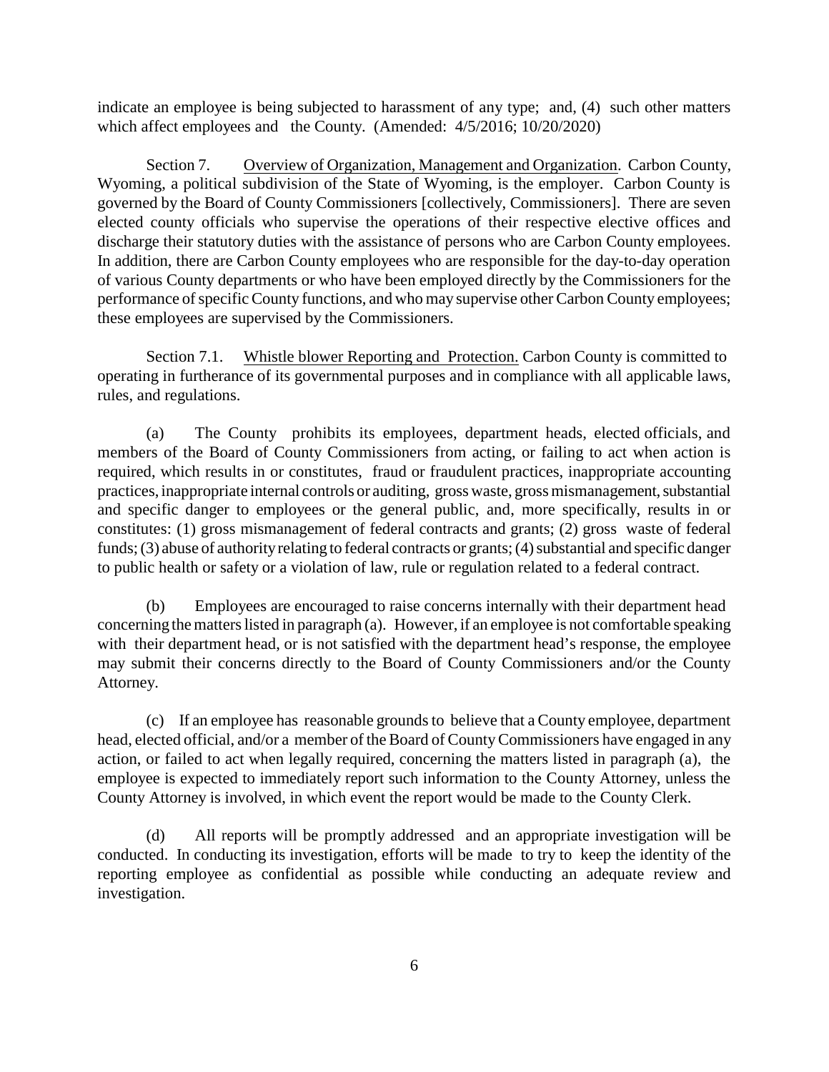indicate an employee is being subjected to harassment of any type; and, (4) such other matters which affect employees and the County. (Amended: 4/5/2016; 10/20/2020)

Section 7. Overview of Organization, Management and Organization. Carbon County, Wyoming, a political subdivision of the State of Wyoming, is the employer. Carbon County is governed by the Board of County Commissioners [collectively, Commissioners]. There are seven elected county officials who supervise the operations of their respective elective offices and discharge their statutory duties with the assistance of persons who are Carbon County employees. In addition, there are Carbon County employees who are responsible for the day-to-day operation of various County departments or who have been employed directly by the Commissioners for the performance of specific County functions, and who may supervise other Carbon County employees; these employees are supervised by the Commissioners.

Section 7.1. Whistle blower Reporting and Protection. Carbon County is committed to operating in furtherance of its governmental purposes and in compliance with all applicable laws, rules, and regulations.

(a) The County prohibits its employees, department heads, elected officials, and members of the Board of County Commissioners from acting, or failing to act when action is required, which results in or constitutes, fraud or fraudulent practices, inappropriate accounting practices, inappropriate internal controls or auditing, gross waste, gross mismanagement, substantial and specific danger to employees or the general public, and, more specifically, results in or constitutes: (1) gross mismanagement of federal contracts and grants; (2) gross waste of federal funds; (3) abuse of authority relating to federal contracts or grants; (4) substantial and specific danger to public health or safety or a violation of law, rule or regulation related to a federal contract.

(b) Employees are encouraged to raise concerns internally with their department head concerning the matters listed in paragraph (a). However, if an employee is not comfortable speaking with their department head, or is not satisfied with the department head's response, the employee may submit their concerns directly to the Board of County Commissioners and/or the County Attorney.

(c) If an employee has reasonable grounds to believe that a County employee, department head, elected official, and/or a member of the Board of County Commissioners have engaged in any action, or failed to act when legally required, concerning the matters listed in paragraph (a), the employee is expected to immediately report such information to the County Attorney, unless the County Attorney is involved, in which event the report would be made to the County Clerk.

(d) All reports will be promptly addressed and an appropriate investigation will be conducted. In conducting its investigation, efforts will be made to try to keep the identity of the reporting employee as confidential as possible while conducting an adequate review and investigation.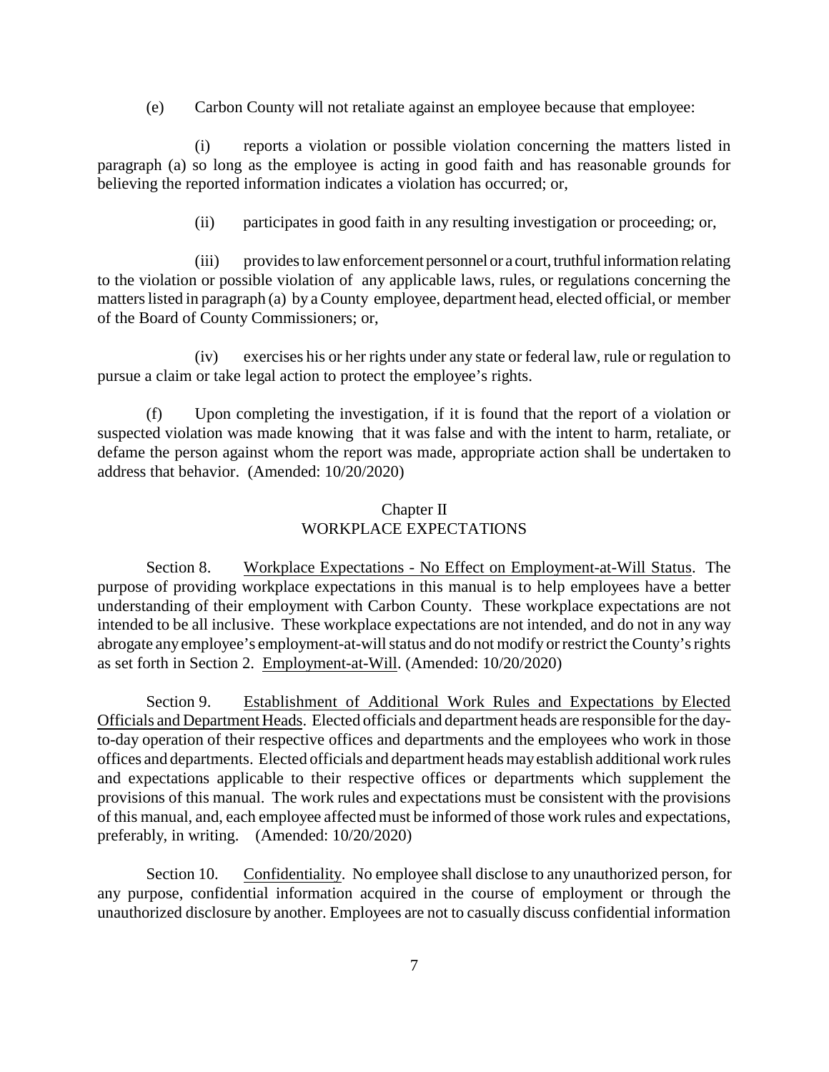(e) Carbon County will not retaliate against an employee because that employee:

(i) reports a violation or possible violation concerning the matters listed in paragraph (a) so long as the employee is acting in good faith and has reasonable grounds for believing the reported information indicates a violation has occurred; or,

(ii) participates in good faith in any resulting investigation or proceeding; or,

(iii) provides to law enforcement personnel or a court, truthful information relating to the violation or possible violation of any applicable laws, rules, or regulations concerning the matters listed in paragraph (a) by a County employee, department head, elected official, or member of the Board of County Commissioners; or,

(iv) exercises his or her rights under any state or federal law, rule or regulation to pursue a claim or take legal action to protect the employee's rights.

(f) Upon completing the investigation, if it is found that the report of a violation or suspected violation was made knowing that it was false and with the intent to harm, retaliate, or defame the person against whom the report was made, appropriate action shall be undertaken to address that behavior. (Amended: 10/20/2020)

# Chapter II WORKPLACE EXPECTATIONS

Section 8. Workplace Expectations - No Effect on Employment-at-Will Status. The purpose of providing workplace expectations in this manual is to help employees have a better understanding of their employment with Carbon County. These workplace expectations are not intended to be all inclusive. These workplace expectations are not intended, and do not in any way abrogate any employee's employment-at-will status and do not modify or restrict the County's rights as set forth in Section 2. Employment-at-Will. (Amended: 10/20/2020)

Section 9. Establishment of Additional Work Rules and Expectations by Elected Officials and Department Heads. Elected officials and department heads are responsible for the dayto-day operation of their respective offices and departments and the employees who work in those offices and departments. Elected officials and department heads mayestablish additional work rules and expectations applicable to their respective offices or departments which supplement the provisions of this manual. The work rules and expectations must be consistent with the provisions of this manual, and, each employee affected must be informed of those work rules and expectations, preferably, in writing. (Amended: 10/20/2020)

Section 10. Confidentiality. No employee shall disclose to any unauthorized person, for any purpose, confidential information acquired in the course of employment or through the unauthorized disclosure by another. Employees are not to casually discuss confidential information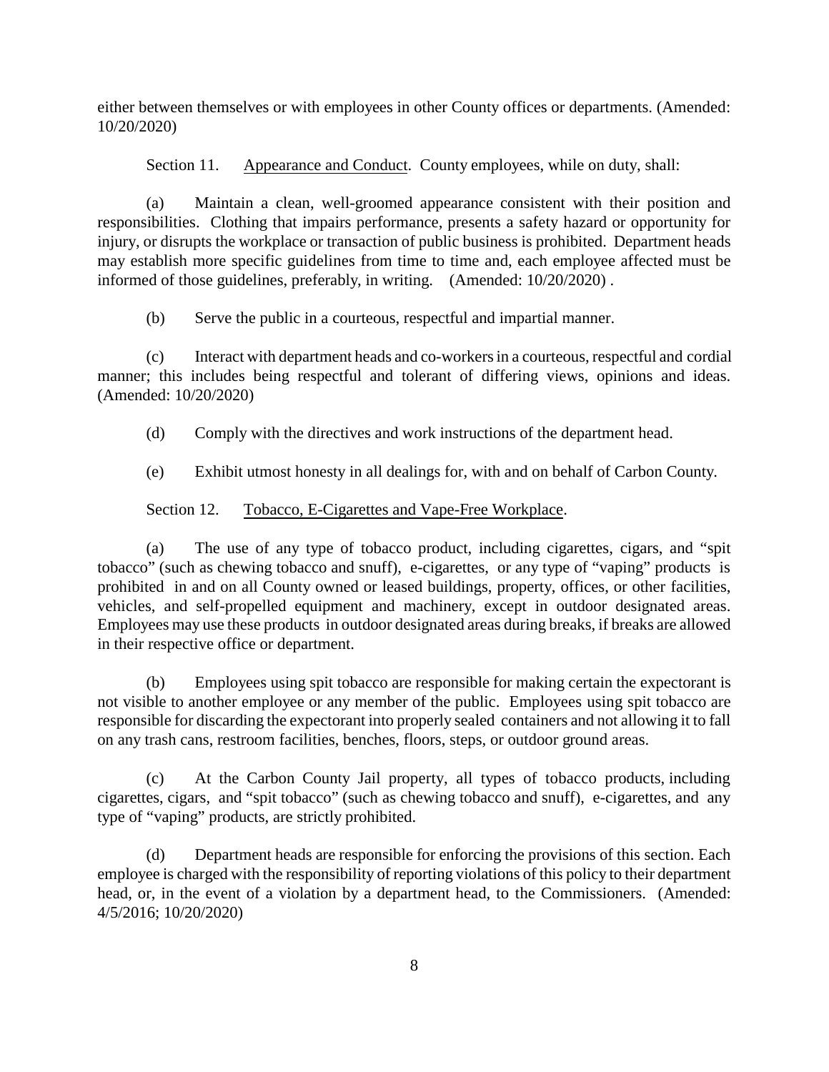either between themselves or with employees in other County offices or departments. (Amended: 10/20/2020)

Section 11. Appearance and Conduct. County employees, while on duty, shall:

(a) Maintain a clean, well-groomed appearance consistent with their position and responsibilities. Clothing that impairs performance, presents a safety hazard or opportunity for injury, or disrupts the workplace or transaction of public business is prohibited. Department heads may establish more specific guidelines from time to time and, each employee affected must be informed of those guidelines, preferably, in writing. (Amended: 10/20/2020) .

(b) Serve the public in a courteous, respectful and impartial manner.

(c) Interact with department heads and co-workers in a courteous, respectful and cordial manner; this includes being respectful and tolerant of differing views, opinions and ideas. (Amended: 10/20/2020)

(d) Comply with the directives and work instructions of the department head.

(e) Exhibit utmost honesty in all dealings for, with and on behalf of Carbon County.

# Section 12. Tobacco, E-Cigarettes and Vape-Free Workplace.

(a) The use of any type of tobacco product, including cigarettes, cigars, and "spit tobacco" (such as chewing tobacco and snuff), e-cigarettes, or any type of "vaping" products is prohibited in and on all County owned or leased buildings, property, offices, or other facilities, vehicles, and self-propelled equipment and machinery, except in outdoor designated areas. Employees may use these products in outdoor designated areas during breaks, if breaks are allowed in their respective office or department.

(b) Employees using spit tobacco are responsible for making certain the expectorant is not visible to another employee or any member of the public. Employees using spit tobacco are responsible for discarding the expectorant into properly sealed containers and not allowing it to fall on any trash cans, restroom facilities, benches, floors, steps, or outdoor ground areas.

(c) At the Carbon County Jail property, all types of tobacco products, including cigarettes, cigars, and "spit tobacco" (such as chewing tobacco and snuff), e-cigarettes, and any type of "vaping" products, are strictly prohibited.

(d) Department heads are responsible for enforcing the provisions of this section. Each employee is charged with the responsibility of reporting violations of this policy to their department head, or, in the event of a violation by a department head, to the Commissioners. (Amended: 4/5/2016; 10/20/2020)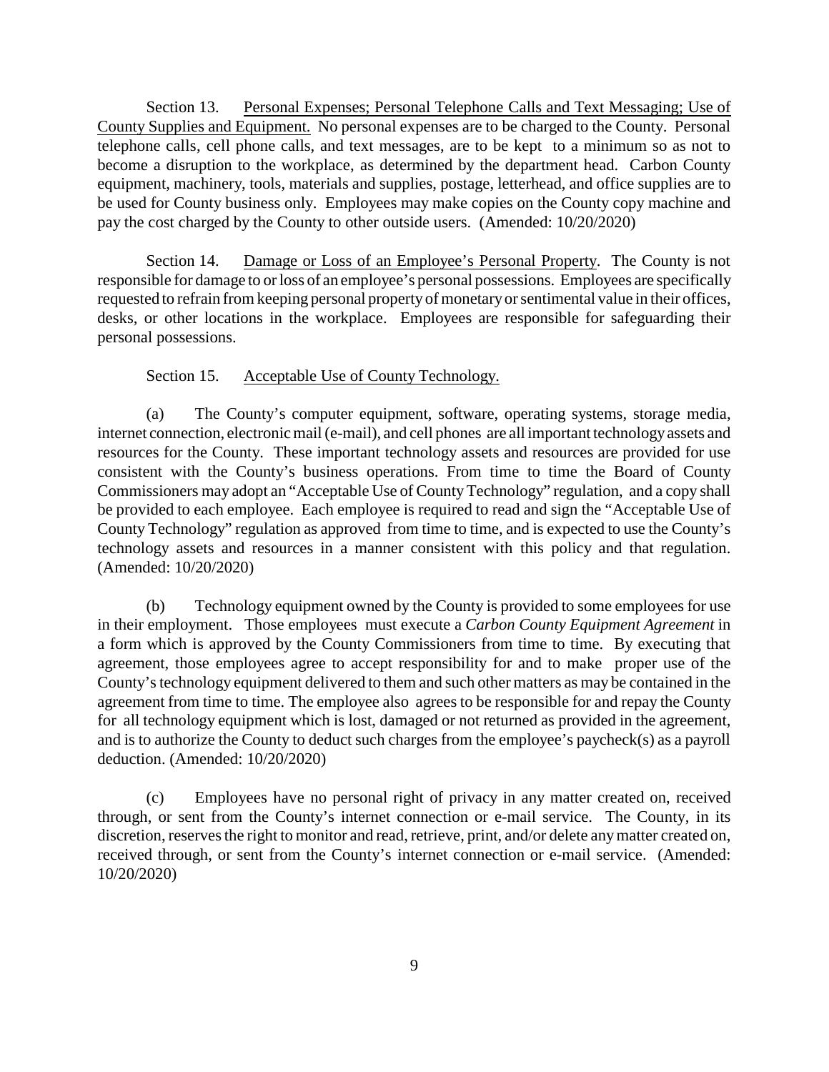Section 13. Personal Expenses; Personal Telephone Calls and Text Messaging; Use of County Supplies and Equipment. No personal expenses are to be charged to the County. Personal telephone calls, cell phone calls, and text messages, are to be kept to a minimum so as not to become a disruption to the workplace, as determined by the department head. Carbon County equipment, machinery, tools, materials and supplies, postage, letterhead, and office supplies are to be used for County business only. Employees may make copies on the County copy machine and pay the cost charged by the County to other outside users. (Amended: 10/20/2020)

Section 14. Damage or Loss of an Employee's Personal Property. The County is not responsible for damage to or loss of an employee's personal possessions. Employees are specifically requested to refrain from keeping personal propertyof monetaryor sentimental value in their offices, desks, or other locations in the workplace. Employees are responsible for safeguarding their personal possessions.

# Section 15. Acceptable Use of County Technology.

(a) The County's computer equipment, software, operating systems, storage media, internet connection, electronic mail (e-mail), and cell phones are all important technologyassets and resources for the County. These important technology assets and resources are provided for use consistent with the County's business operations. From time to time the Board of County Commissioners may adopt an "Acceptable Use of CountyTechnology" regulation, and a copy shall be provided to each employee. Each employee is required to read and sign the "Acceptable Use of County Technology" regulation as approved from time to time, and is expected to use the County's technology assets and resources in a manner consistent with this policy and that regulation. (Amended: 10/20/2020)

(b) Technology equipment owned by the County is provided to some employees for use in their employment. Those employees must execute a *Carbon County Equipment Agreement* in a form which is approved by the County Commissioners from time to time. By executing that agreement, those employees agree to accept responsibility for and to make proper use of the County's technology equipment delivered to them and such other matters as may be contained in the agreement from time to time. The employee also agrees to be responsible for and repay the County for all technology equipment which is lost, damaged or not returned as provided in the agreement, and is to authorize the County to deduct such charges from the employee's paycheck(s) as a payroll deduction. (Amended: 10/20/2020)

(c) Employees have no personal right of privacy in any matter created on, received through, or sent from the County's internet connection or e-mail service. The County, in its discretion, reserves the right to monitor and read, retrieve, print, and/or delete anymatter created on, received through, or sent from the County's internet connection or e-mail service. (Amended: 10/20/2020)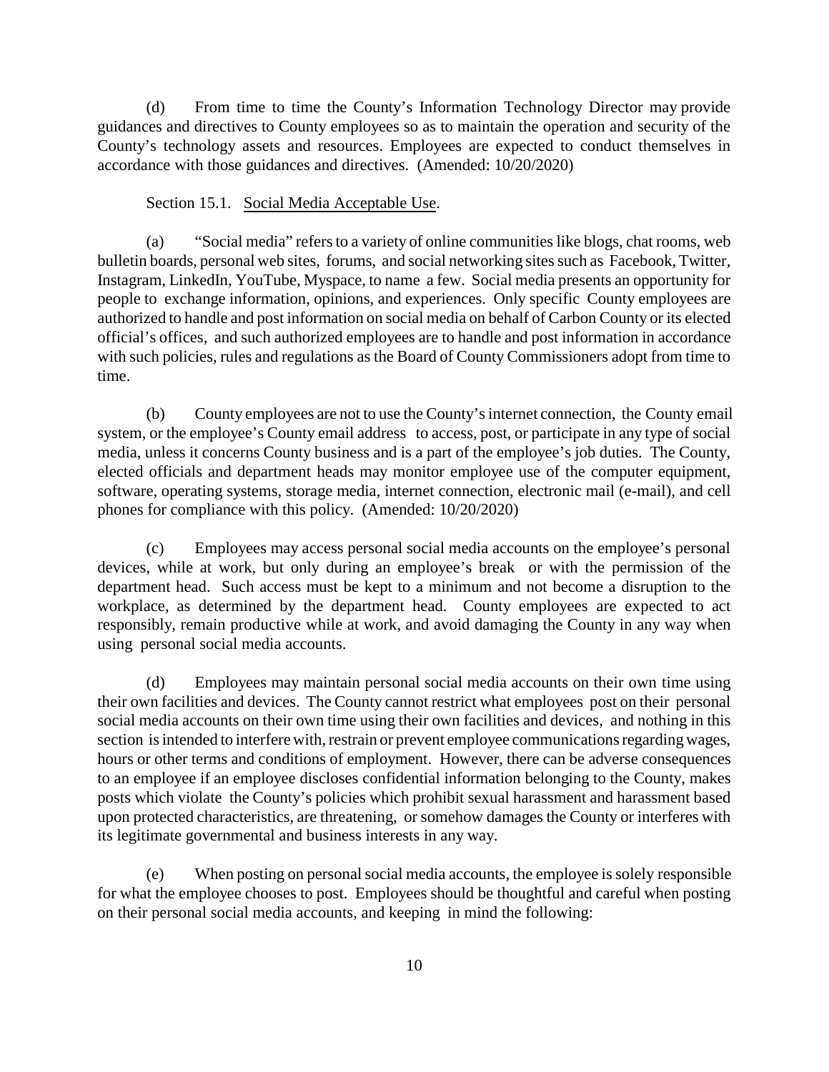(d) From time to time the County's Information Technology Director may provide guidances and directives to County employees so as to maintain the operation and security of the County's technology assets and resources. Employees are expected to conduct themselves in accordance with those guidances and directives. (Amended: 10/20/2020)

Section 15.1. Social Media Acceptable Use.

(a) "Social media" refers to a variety of online communities like blogs, chat rooms, web bulletin boards, personal web sites, forums, and social networking sites such as Facebook, Twitter, Instagram, LinkedIn, YouTube, Myspace, to name a few. Social media presents an opportunity for people to exchange information, opinions, and experiences. Only specific County employees are authorized to handle and post information on social media on behalf of Carbon County or its elected official's offices, and such authorized employees are to handle and post information in accordance with such policies, rules and regulations as the Board of County Commissioners adopt from time to time.

(b) County employees are not to use the County's internet connection, the County email system, or the employee's County email address to access, post, or participate in any type of social media, unless it concerns County business and is a part of the employee's job duties. The County, elected officials and department heads may monitor employee use of the computer equipment, software, operating systems, storage media, internet connection, electronic mail (e-mail), and cell phones for compliance with this policy. (Amended: 10/20/2020)

(c) Employees may access personal social media accounts on the employee's personal devices, while at work, but only during an employee's break or with the permission of the department head. Such access must be kept to a minimum and not become a disruption to the workplace, as determined by the department head. County employees are expected to act responsibly, remain productive while at work, and avoid damaging the County in any way when using personal social media accounts.

(d) Employees may maintain personal social media accounts on their own time using their own facilities and devices. The County cannot restrict what employees post on their personal social media accounts on their own time using their own facilities and devices, and nothing in this section is intended to interfere with, restrain or prevent employee communications regarding wages, hours or other terms and conditions of employment. However, there can be adverse consequences to an employee if an employee discloses confidential information belonging to the County, makes posts which violate the County's policies which prohibit sexual harassment and harassment based upon protected characteristics, are threatening, or somehow damages the County or interferes with its legitimate governmental and business interests in any way.

(e) When posting on personal social media accounts, the employee is solely responsible for what the employee chooses to post. Employees should be thoughtful and careful when posting on their personal social media accounts, and keeping in mind the following: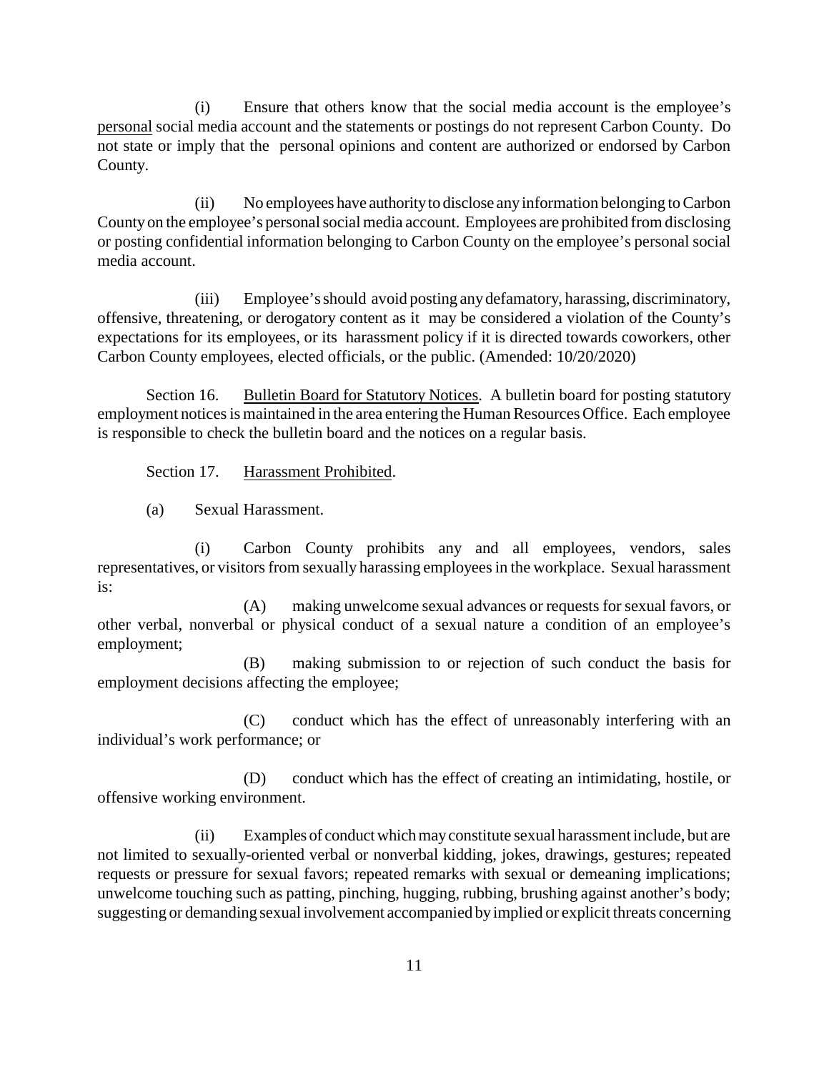(i) Ensure that others know that the social media account is the employee's personal social media account and the statements or postings do not represent Carbon County. Do not state or imply that the personal opinions and content are authorized or endorsed by Carbon County.

(ii) No employees have authorityto disclose anyinformation belonging to Carbon Countyon the employee's personal social media account. Employees are prohibited from disclosing or posting confidential information belonging to Carbon County on the employee's personal social media account.

(iii) Employee's should avoid posting anydefamatory, harassing, discriminatory, offensive, threatening, or derogatory content as it may be considered a violation of the County's expectations for its employees, or its harassment policy if it is directed towards coworkers, other Carbon County employees, elected officials, or the public. (Amended: 10/20/2020)

Section 16. Bulletin Board for Statutory Notices. A bulletin board for posting statutory employment notices is maintained in the area entering the Human Resources Office. Each employee is responsible to check the bulletin board and the notices on a regular basis.

Section 17. Harassment Prohibited.

(a) Sexual Harassment.

(i) Carbon County prohibits any and all employees, vendors, sales representatives, or visitors from sexually harassing employees in the workplace. Sexual harassment is:

(A) making unwelcome sexual advances or requests for sexual favors, or other verbal, nonverbal or physical conduct of a sexual nature a condition of an employee's employment;

(B) making submission to or rejection of such conduct the basis for employment decisions affecting the employee;

(C) conduct which has the effect of unreasonably interfering with an individual's work performance; or

(D) conduct which has the effect of creating an intimidating, hostile, or offensive working environment.

(ii) Examples of conductwhichmayconstitute sexual harassment include, but are not limited to sexually-oriented verbal or nonverbal kidding, jokes, drawings, gestures; repeated requests or pressure for sexual favors; repeated remarks with sexual or demeaning implications; unwelcome touching such as patting, pinching, hugging, rubbing, brushing against another's body; suggesting or demanding sexual involvement accompanied by implied or explicit threats concerning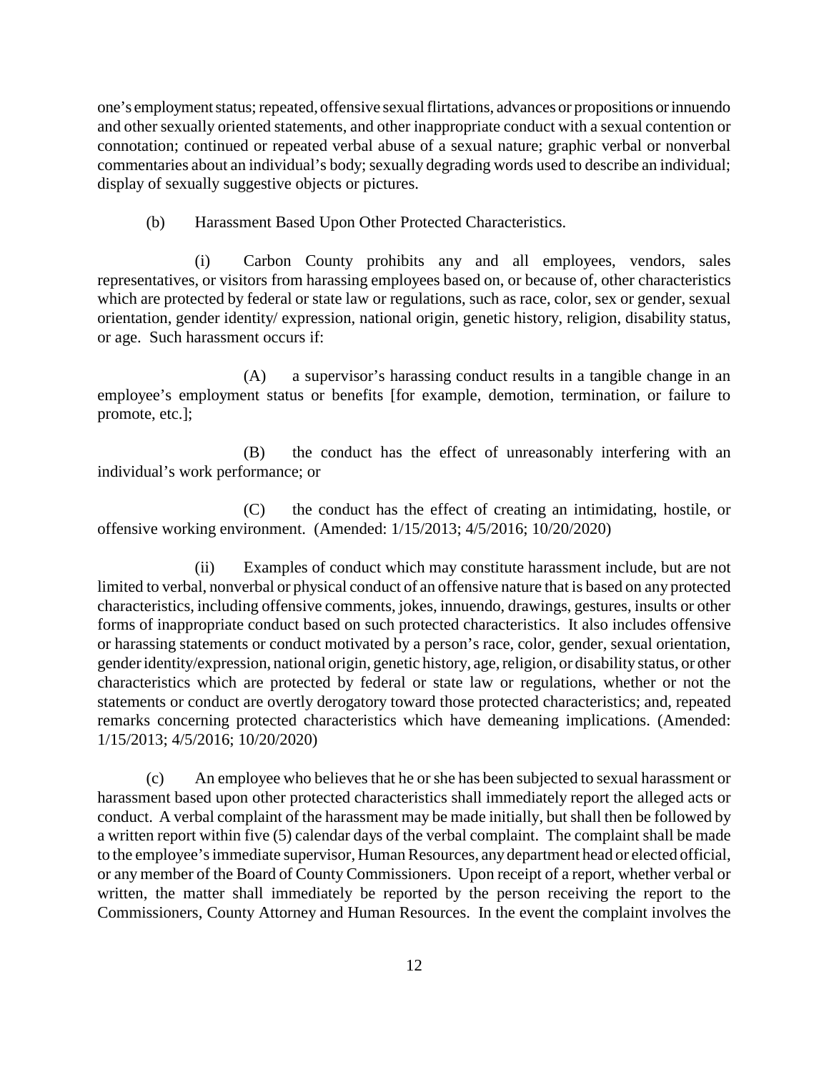one's employment status; repeated, offensive sexual flirtations, advances or propositions or innuendo and other sexually oriented statements, and other inappropriate conduct with a sexual contention or connotation; continued or repeated verbal abuse of a sexual nature; graphic verbal or nonverbal commentaries about an individual's body; sexually degrading words used to describe an individual; display of sexually suggestive objects or pictures.

(b) Harassment Based Upon Other Protected Characteristics.

(i) Carbon County prohibits any and all employees, vendors, sales representatives, or visitors from harassing employees based on, or because of, other characteristics which are protected by federal or state law or regulations, such as race, color, sex or gender, sexual orientation, gender identity/ expression, national origin, genetic history, religion, disability status, or age. Such harassment occurs if:

(A) a supervisor's harassing conduct results in a tangible change in an employee's employment status or benefits [for example, demotion, termination, or failure to promote, etc.];

(B) the conduct has the effect of unreasonably interfering with an individual's work performance; or

(C) the conduct has the effect of creating an intimidating, hostile, or offensive working environment. (Amended: 1/15/2013; 4/5/2016; 10/20/2020)

(ii) Examples of conduct which may constitute harassment include, but are not limited to verbal, nonverbal or physical conduct of an offensive nature that is based on any protected characteristics, including offensive comments, jokes, innuendo, drawings, gestures, insults or other forms of inappropriate conduct based on such protected characteristics. It also includes offensive or harassing statements or conduct motivated by a person's race, color, gender, sexual orientation, gender identity/expression, national origin, genetic history, age, religion, or disability status, or other characteristics which are protected by federal or state law or regulations, whether or not the statements or conduct are overtly derogatory toward those protected characteristics; and, repeated remarks concerning protected characteristics which have demeaning implications. (Amended: 1/15/2013; 4/5/2016; 10/20/2020)

(c) An employee who believes that he or she has been subjected to sexual harassment or harassment based upon other protected characteristics shall immediately report the alleged acts or conduct. A verbal complaint of the harassment may be made initially, but shall then be followed by a written report within five (5) calendar days of the verbal complaint. The complaint shall be made to the employee's immediate supervisor, Human Resources, anydepartment head or elected official, or any member of the Board of County Commissioners. Upon receipt of a report, whether verbal or written, the matter shall immediately be reported by the person receiving the report to the Commissioners, County Attorney and Human Resources. In the event the complaint involves the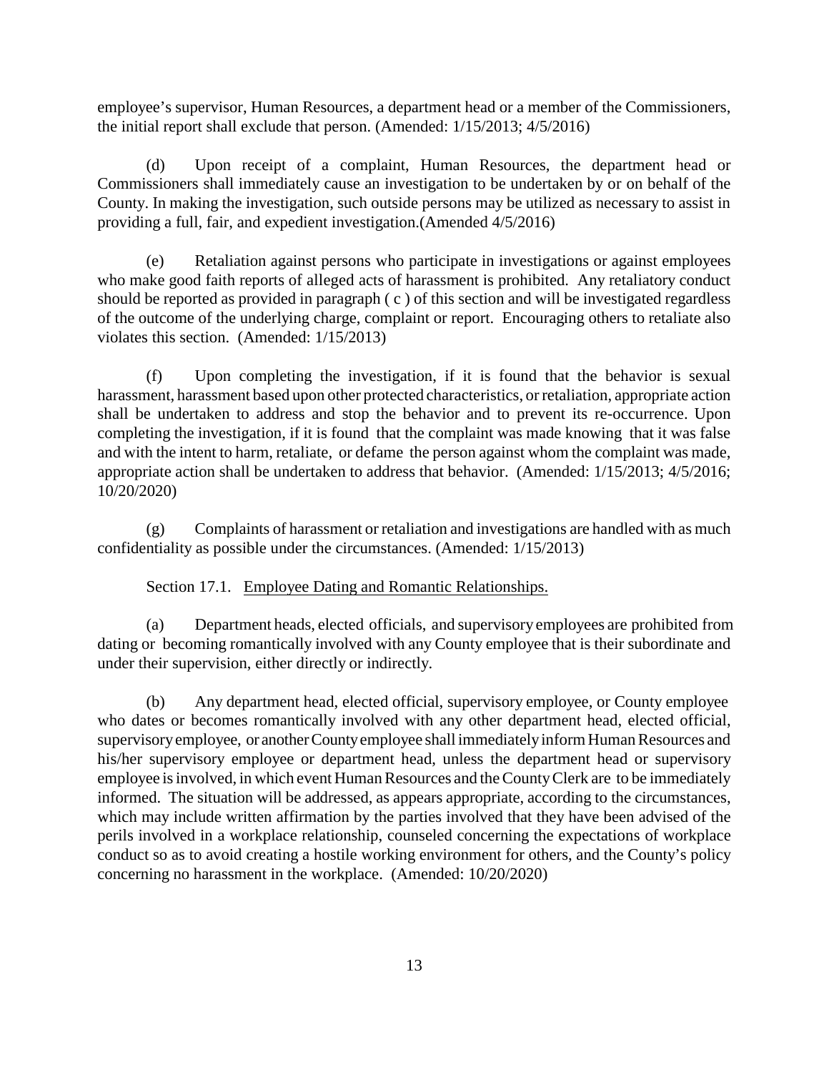employee's supervisor, Human Resources, a department head or a member of the Commissioners, the initial report shall exclude that person. (Amended: 1/15/2013; 4/5/2016)

(d) Upon receipt of a complaint, Human Resources, the department head or Commissioners shall immediately cause an investigation to be undertaken by or on behalf of the County. In making the investigation, such outside persons may be utilized as necessary to assist in providing a full, fair, and expedient investigation.(Amended 4/5/2016)

(e) Retaliation against persons who participate in investigations or against employees who make good faith reports of alleged acts of harassment is prohibited. Any retaliatory conduct should be reported as provided in paragraph (c) of this section and will be investigated regardless of the outcome of the underlying charge, complaint or report. Encouraging others to retaliate also violates this section. (Amended: 1/15/2013)

(f) Upon completing the investigation, if it is found that the behavior is sexual harassment, harassment based upon other protected characteristics, or retaliation, appropriate action shall be undertaken to address and stop the behavior and to prevent its re-occurrence. Upon completing the investigation, if it is found that the complaint was made knowing that it was false and with the intent to harm, retaliate, or defame the person against whom the complaint was made, appropriate action shall be undertaken to address that behavior. (Amended: 1/15/2013; 4/5/2016; 10/20/2020)

(g) Complaints of harassment or retaliation and investigations are handled with as much confidentiality as possible under the circumstances. (Amended: 1/15/2013)

Section 17.1. Employee Dating and Romantic Relationships.

(a) Department heads, elected officials, and supervisory employees are prohibited from dating or becoming romantically involved with any County employee that is their subordinate and under their supervision, either directly or indirectly.

(b) Any department head, elected official, supervisory employee, or County employee who dates or becomes romantically involved with any other department head, elected official, supervisoryemployee, or anotherCountyemployee shall immediatelyinform Human Resources and his/her supervisory employee or department head, unless the department head or supervisory employee is involved, in which event Human Resources and the CountyClerk are to be immediately informed. The situation will be addressed, as appears appropriate, according to the circumstances, which may include written affirmation by the parties involved that they have been advised of the perils involved in a workplace relationship, counseled concerning the expectations of workplace conduct so as to avoid creating a hostile working environment for others, and the County's policy concerning no harassment in the workplace. (Amended: 10/20/2020)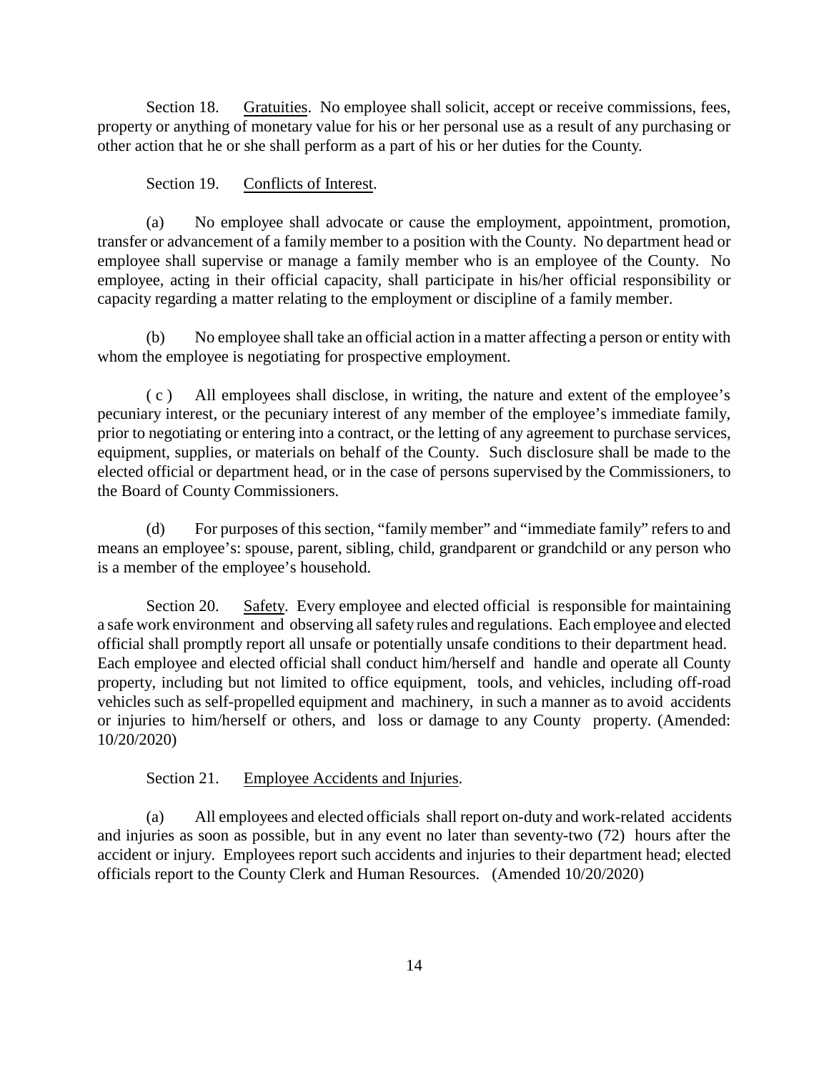Section 18. Gratuities. No employee shall solicit, accept or receive commissions, fees, property or anything of monetary value for his or her personal use as a result of any purchasing or other action that he or she shall perform as a part of his or her duties for the County.

#### Section 19. Conflicts of Interest.

(a) No employee shall advocate or cause the employment, appointment, promotion, transfer or advancement of a family member to a position with the County. No department head or employee shall supervise or manage a family member who is an employee of the County. No employee, acting in their official capacity, shall participate in his/her official responsibility or capacity regarding a matter relating to the employment or discipline of a family member.

(b) No employee shall take an official action in a matter affecting a person or entity with whom the employee is negotiating for prospective employment.

( c ) All employees shall disclose, in writing, the nature and extent of the employee's pecuniary interest, or the pecuniary interest of any member of the employee's immediate family, prior to negotiating or entering into a contract, or the letting of any agreement to purchase services, equipment, supplies, or materials on behalf of the County. Such disclosure shall be made to the elected official or department head, or in the case of persons supervised by the Commissioners, to the Board of County Commissioners.

(d) For purposes of this section, "family member" and "immediate family" refers to and means an employee's: spouse, parent, sibling, child, grandparent or grandchild or any person who is a member of the employee's household.

Section 20. Safety. Every employee and elected official is responsible for maintaining a safe work environment and observing all safety rules and regulations. Each employee and elected official shall promptly report all unsafe or potentially unsafe conditions to their department head. Each employee and elected official shall conduct him/herself and handle and operate all County property, including but not limited to office equipment, tools, and vehicles, including off-road vehicles such as self-propelled equipment and machinery, in such a manner as to avoid accidents or injuries to him/herself or others, and loss or damage to any County property. (Amended: 10/20/2020)

# Section 21. Employee Accidents and Injuries.

(a) All employees and elected officials shall report on-duty and work-related accidents and injuries as soon as possible, but in any event no later than seventy-two (72) hours after the accident or injury. Employees report such accidents and injuries to their department head; elected officials report to the County Clerk and Human Resources. (Amended 10/20/2020)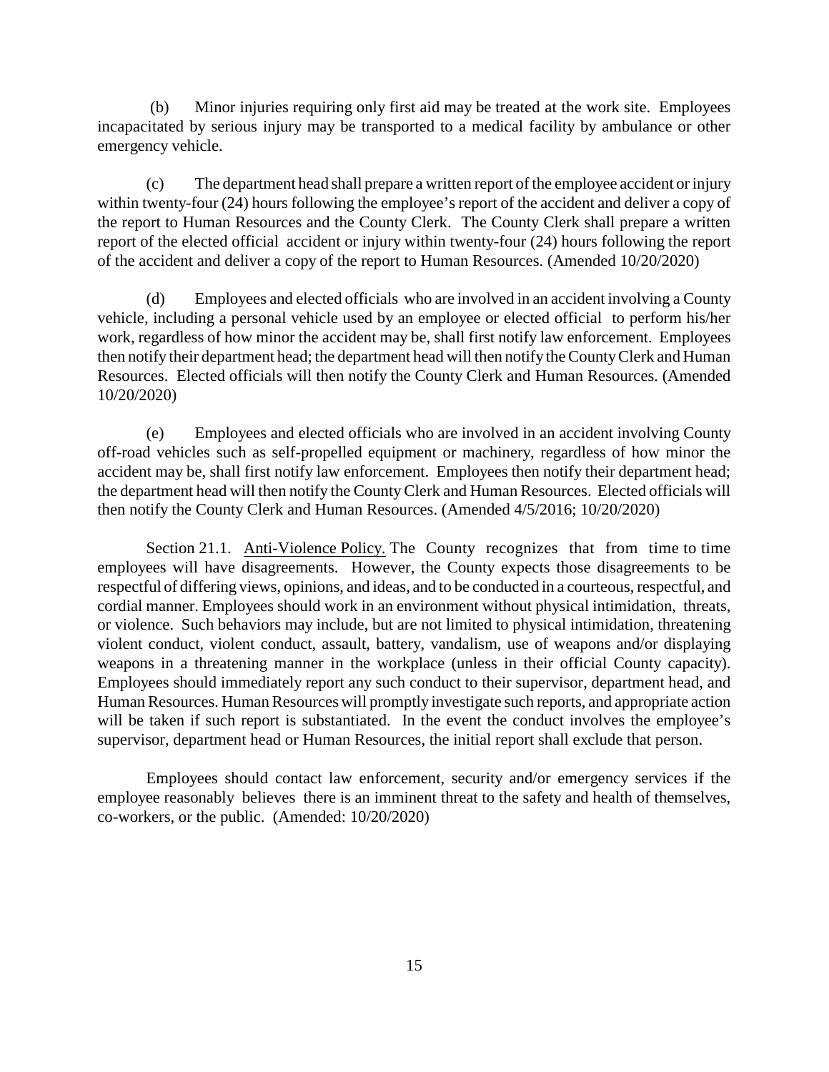(b) Minor injuries requiring only first aid may be treated at the work site. Employees incapacitated by serious injury may be transported to a medical facility by ambulance or other emergency vehicle.

(c) The department head shall prepare a written report of the employee accident or injury within twenty-four (24) hours following the employee's report of the accident and deliver a copy of the report to Human Resources and the County Clerk. The County Clerk shall prepare a written report of the elected official accident or injury within twenty-four (24) hours following the report of the accident and deliver a copy of the report to Human Resources. (Amended 10/20/2020)

(d) Employees and elected officials who are involved in an accident involving a County vehicle, including a personal vehicle used by an employee or elected official to perform his/her work, regardless of how minor the accident may be, shall first notify law enforcement. Employees then notify their department head; the department head will then notify the CountyClerk and Human Resources. Elected officials will then notify the County Clerk and Human Resources. (Amended 10/20/2020)

(e) Employees and elected officials who are involved in an accident involving County off-road vehicles such as self-propelled equipment or machinery, regardless of how minor the accident may be, shall first notify law enforcement. Employees then notify their department head; the department head will then notify the CountyClerk and Human Resources. Elected officials will then notify the County Clerk and Human Resources. (Amended 4/5/2016; 10/20/2020)

Section 21.1. Anti-Violence Policy. The County recognizes that from time to time employees will have disagreements. However, the County expects those disagreements to be respectful of differing views, opinions, and ideas, and to be conducted in a courteous, respectful, and cordial manner. Employees should work in an environment without physical intimidation, threats, or violence. Such behaviors may include, but are not limited to physical intimidation, threatening violent conduct, violent conduct, assault, battery, vandalism, use of weapons and/or displaying weapons in a threatening manner in the workplace (unless in their official County capacity). Employees should immediately report any such conduct to their supervisor, department head, and Human Resources. Human Resources will promptly investigate such reports, and appropriate action will be taken if such report is substantiated. In the event the conduct involves the employee's supervisor, department head or Human Resources, the initial report shall exclude that person.

Employees should contact law enforcement, security and/or emergency services if the employee reasonably believes there is an imminent threat to the safety and health of themselves, co-workers, or the public. (Amended: 10/20/2020)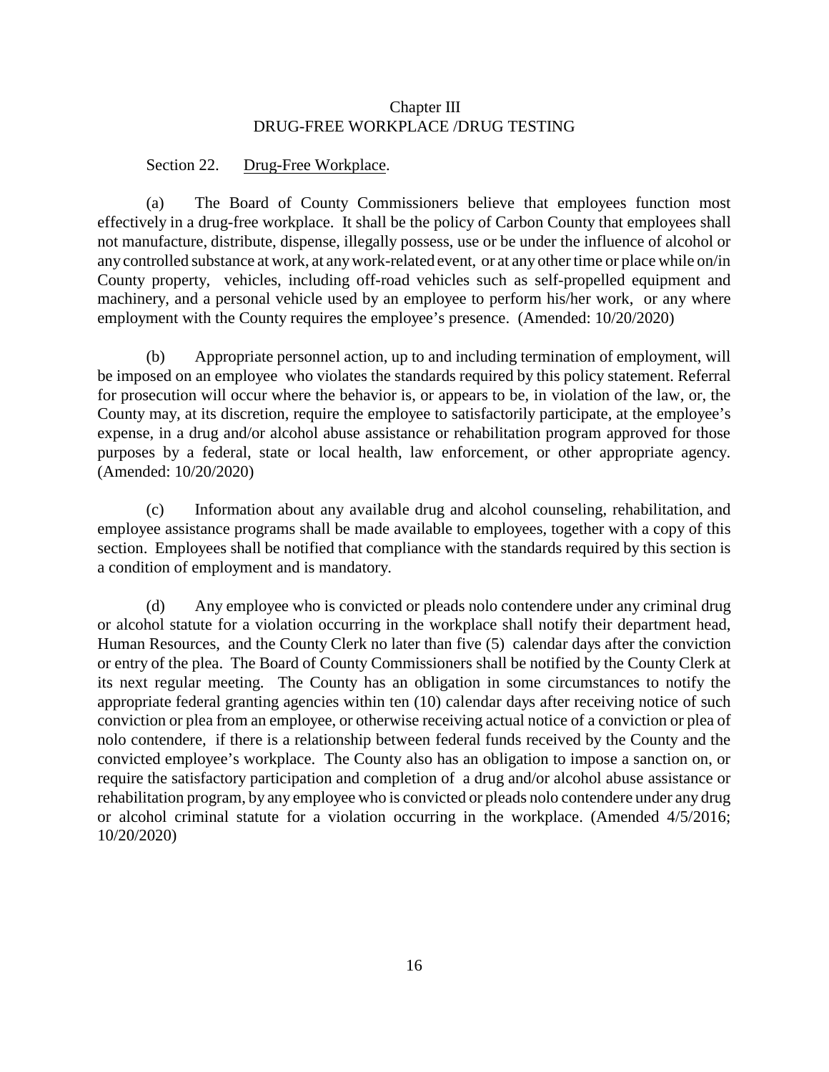## Chapter III DRUG-FREE WORKPLACE /DRUG TESTING

#### Section 22. Drug-Free Workplace.

(a) The Board of County Commissioners believe that employees function most effectively in a drug-free workplace. It shall be the policy of Carbon County that employees shall not manufacture, distribute, dispense, illegally possess, use or be under the influence of alcohol or any controlled substance at work, at anywork-related event, or at any other time or place while on/in County property, vehicles, including off-road vehicles such as self-propelled equipment and machinery, and a personal vehicle used by an employee to perform his/her work, or any where employment with the County requires the employee's presence. (Amended: 10/20/2020)

(b) Appropriate personnel action, up to and including termination of employment, will be imposed on an employee who violates the standards required by this policy statement. Referral for prosecution will occur where the behavior is, or appears to be, in violation of the law, or, the County may, at its discretion, require the employee to satisfactorily participate, at the employee's expense, in a drug and/or alcohol abuse assistance or rehabilitation program approved for those purposes by a federal, state or local health, law enforcement, or other appropriate agency. (Amended: 10/20/2020)

(c) Information about any available drug and alcohol counseling, rehabilitation, and employee assistance programs shall be made available to employees, together with a copy of this section. Employees shall be notified that compliance with the standards required by this section is a condition of employment and is mandatory.

(d) Any employee who is convicted or pleads nolo contendere under any criminal drug or alcohol statute for a violation occurring in the workplace shall notify their department head, Human Resources, and the County Clerk no later than five (5) calendar days after the conviction or entry of the plea. The Board of County Commissioners shall be notified by the County Clerk at its next regular meeting. The County has an obligation in some circumstances to notify the appropriate federal granting agencies within ten (10) calendar days after receiving notice of such conviction or plea from an employee, or otherwise receiving actual notice of a conviction or plea of nolo contendere, if there is a relationship between federal funds received by the County and the convicted employee's workplace. The County also has an obligation to impose a sanction on, or require the satisfactory participation and completion of a drug and/or alcohol abuse assistance or rehabilitation program, by any employee who is convicted or pleads nolo contendere under any drug or alcohol criminal statute for a violation occurring in the workplace. (Amended 4/5/2016; 10/20/2020)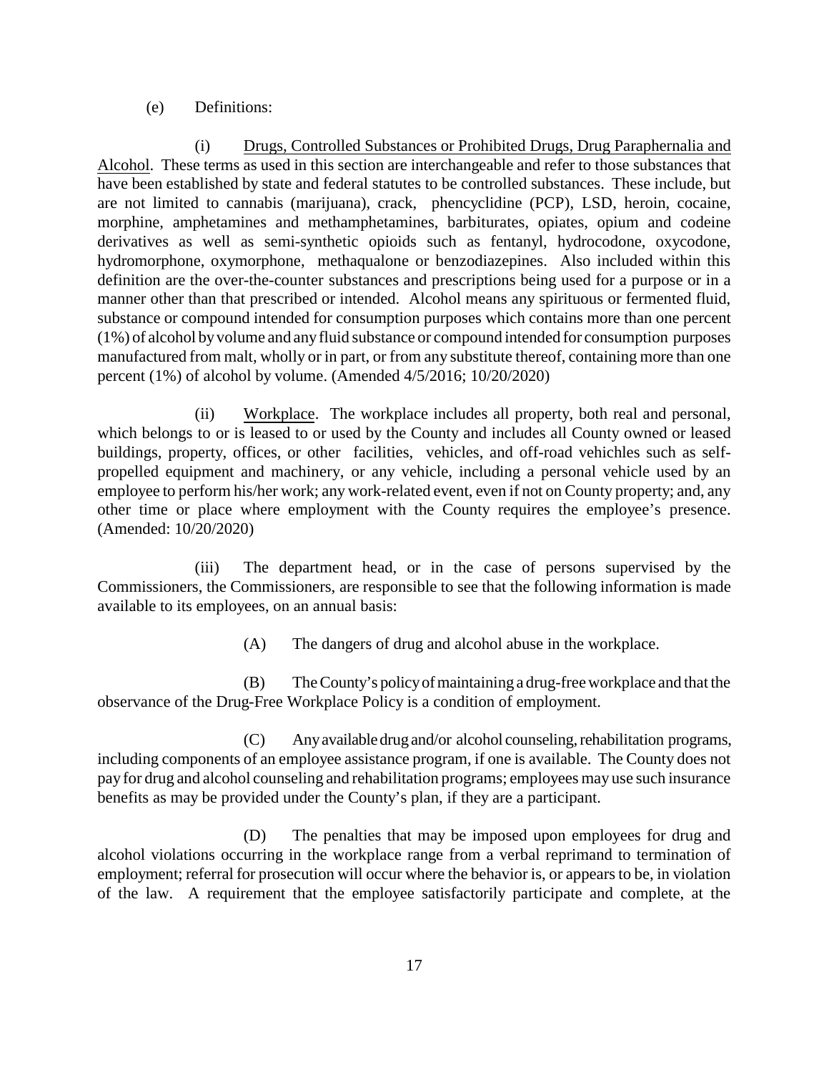### (e) Definitions:

(i) Drugs, Controlled Substances or Prohibited Drugs, Drug Paraphernalia and Alcohol. These terms as used in this section are interchangeable and refer to those substances that have been established by state and federal statutes to be controlled substances. These include, but are not limited to cannabis (marijuana), crack, phencyclidine (PCP), LSD, heroin, cocaine, morphine, amphetamines and methamphetamines, barbiturates, opiates, opium and codeine derivatives as well as semi-synthetic opioids such as fentanyl, hydrocodone, oxycodone, hydromorphone, oxymorphone, methaqualone or benzodiazepines. Also included within this definition are the over-the-counter substances and prescriptions being used for a purpose or in a manner other than that prescribed or intended. Alcohol means any spirituous or fermented fluid, substance or compound intended for consumption purposes which contains more than one percent (1%) of alcohol byvolume and anyfluid substance or compound intended for consumption purposes manufactured from malt, wholly or in part, or from any substitute thereof, containing more than one percent (1%) of alcohol by volume. (Amended 4/5/2016; 10/20/2020)

(ii) Workplace. The workplace includes all property, both real and personal, which belongs to or is leased to or used by the County and includes all County owned or leased buildings, property, offices, or other facilities, vehicles, and off-road vehichles such as selfpropelled equipment and machinery, or any vehicle, including a personal vehicle used by an employee to perform his/her work; any work-related event, even if not on County property; and, any other time or place where employment with the County requires the employee's presence. (Amended: 10/20/2020)

(iii) The department head, or in the case of persons supervised by the Commissioners, the Commissioners, are responsible to see that the following information is made available to its employees, on an annual basis:

(A) The dangers of drug and alcohol abuse in the workplace.

(B) The County's policyofmaintaining a drug-free workplace and that the observance of the Drug-Free Workplace Policy is a condition of employment.

(C) Anyavailable drug and/or alcohol counseling,rehabilitation programs, including components of an employee assistance program, if one is available. The County does not pay for drug and alcohol counseling and rehabilitation programs; employees may use such insurance benefits as may be provided under the County's plan, if they are a participant.

(D) The penalties that may be imposed upon employees for drug and alcohol violations occurring in the workplace range from a verbal reprimand to termination of employment; referral for prosecution will occur where the behavior is, or appears to be, in violation of the law. A requirement that the employee satisfactorily participate and complete, at the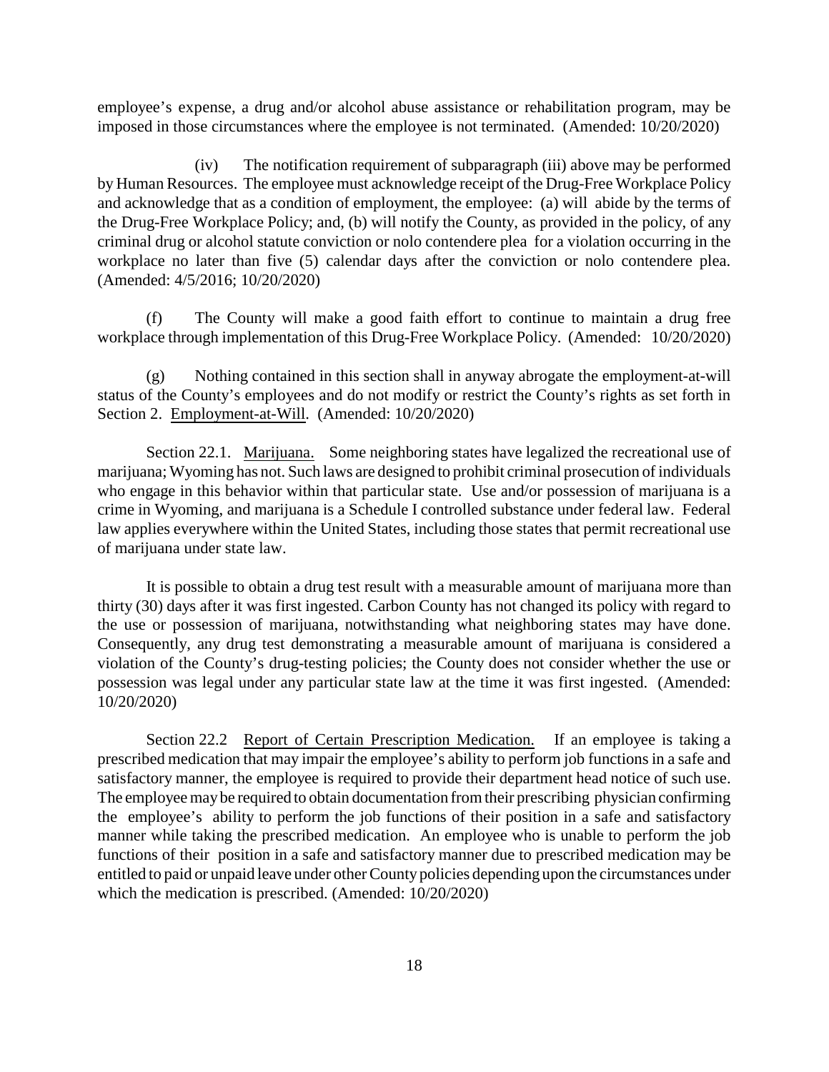employee's expense, a drug and/or alcohol abuse assistance or rehabilitation program, may be imposed in those circumstances where the employee is not terminated. (Amended: 10/20/2020)

(iv) The notification requirement of subparagraph (iii) above may be performed by Human Resources. The employee must acknowledge receipt of the Drug-Free Workplace Policy and acknowledge that as a condition of employment, the employee: (a) will abide by the terms of the Drug-Free Workplace Policy; and, (b) will notify the County, as provided in the policy, of any criminal drug or alcohol statute conviction or nolo contendere plea for a violation occurring in the workplace no later than five (5) calendar days after the conviction or nolo contendere plea. (Amended: 4/5/2016; 10/20/2020)

(f) The County will make a good faith effort to continue to maintain a drug free workplace through implementation of this Drug-Free Workplace Policy. (Amended: 10/20/2020)

(g) Nothing contained in this section shall in anyway abrogate the employment-at-will status of the County's employees and do not modify or restrict the County's rights as set forth in Section 2. Employment-at-Will. (Amended: 10/20/2020)

Section 22.1. Marijuana. Some neighboring states have legalized the recreational use of marijuana; Wyoming has not. Such laws are designed to prohibit criminal prosecution of individuals who engage in this behavior within that particular state. Use and/or possession of marijuana is a crime in Wyoming, and marijuana is a Schedule I controlled substance under federal law. Federal law applies everywhere within the United States, including those states that permit recreational use of marijuana under state law.

It is possible to obtain a drug test result with a measurable amount of marijuana more than thirty (30) days after it was first ingested. Carbon County has not changed its policy with regard to the use or possession of marijuana, notwithstanding what neighboring states may have done. Consequently, any drug test demonstrating a measurable amount of marijuana is considered a violation of the County's drug-testing policies; the County does not consider whether the use or possession was legal under any particular state law at the time it was first ingested. (Amended: 10/20/2020)

Section 22.2 Report of Certain Prescription Medication. If an employee is taking a prescribed medication that may impair the employee's ability to perform job functions in a safe and satisfactory manner, the employee is required to provide their department head notice of such use. The employee maybe required to obtain documentation from their prescribing physician confirming the employee's ability to perform the job functions of their position in a safe and satisfactory manner while taking the prescribed medication. An employee who is unable to perform the job functions of their position in a safe and satisfactory manner due to prescribed medication may be entitled to paid or unpaid leave under other Countypolicies depending upon the circumstances under which the medication is prescribed. (Amended: 10/20/2020)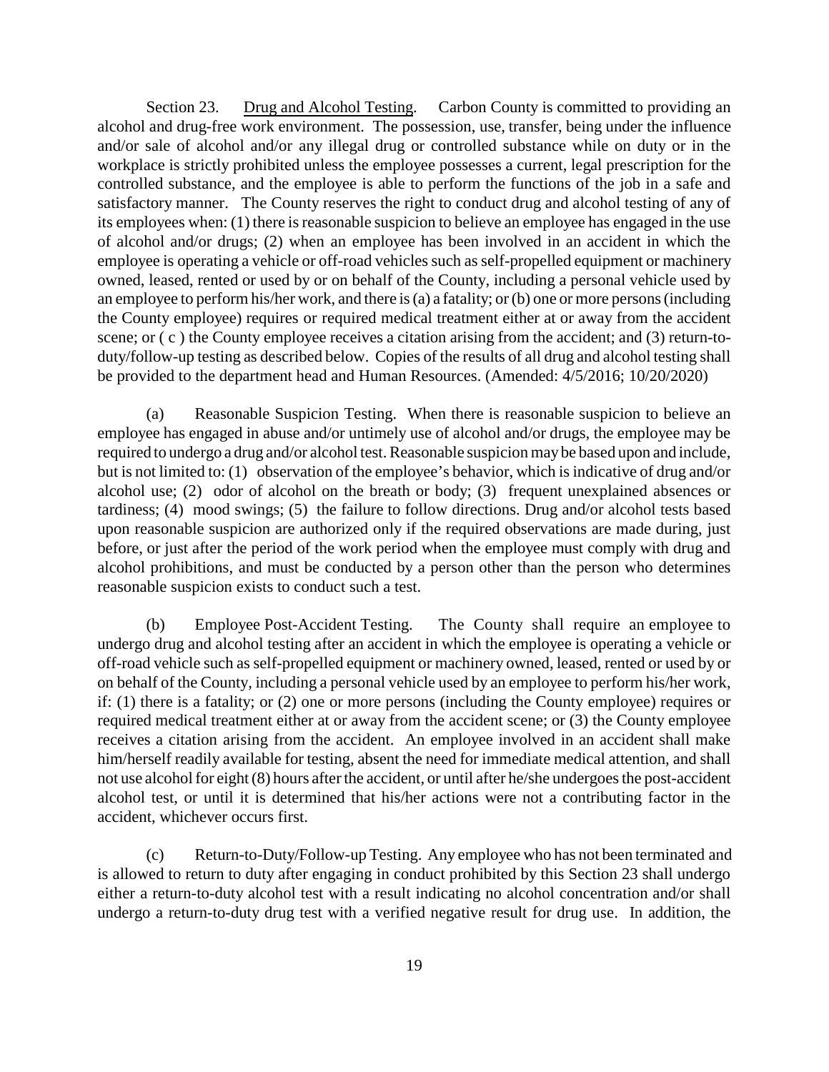Section 23. Drug and Alcohol Testing. Carbon County is committed to providing an alcohol and drug-free work environment. The possession, use, transfer, being under the influence and/or sale of alcohol and/or any illegal drug or controlled substance while on duty or in the workplace is strictly prohibited unless the employee possesses a current, legal prescription for the controlled substance, and the employee is able to perform the functions of the job in a safe and satisfactory manner. The County reserves the right to conduct drug and alcohol testing of any of its employees when: (1) there is reasonable suspicion to believe an employee has engaged in the use of alcohol and/or drugs; (2) when an employee has been involved in an accident in which the employee is operating a vehicle or off-road vehicles such as self-propelled equipment or machinery owned, leased, rented or used by or on behalf of the County, including a personal vehicle used by an employee to perform his/her work, and there is (a) a fatality; or (b) one or more persons (including the County employee) requires or required medical treatment either at or away from the accident scene; or  $(c)$  the County employee receives a citation arising from the accident; and (3) return-toduty/follow-up testing as described below. Copies of the results of all drug and alcohol testing shall be provided to the department head and Human Resources. (Amended: 4/5/2016; 10/20/2020)

(a) Reasonable Suspicion Testing. When there is reasonable suspicion to believe an employee has engaged in abuse and/or untimely use of alcohol and/or drugs, the employee may be required to undergo a drug and/or alcohol test. Reasonable suspicion maybe based upon and include, but is not limited to: (1) observation of the employee's behavior, which is indicative of drug and/or alcohol use; (2) odor of alcohol on the breath or body; (3) frequent unexplained absences or tardiness; (4) mood swings; (5) the failure to follow directions. Drug and/or alcohol tests based upon reasonable suspicion are authorized only if the required observations are made during, just before, or just after the period of the work period when the employee must comply with drug and alcohol prohibitions, and must be conducted by a person other than the person who determines reasonable suspicion exists to conduct such a test.

(b) Employee Post-Accident Testing. The County shall require an employee to undergo drug and alcohol testing after an accident in which the employee is operating a vehicle or off-road vehicle such as self-propelled equipment or machinery owned, leased, rented or used by or on behalf of the County, including a personal vehicle used by an employee to perform his/her work, if: (1) there is a fatality; or (2) one or more persons (including the County employee) requires or required medical treatment either at or away from the accident scene; or (3) the County employee receives a citation arising from the accident. An employee involved in an accident shall make him/herself readily available for testing, absent the need for immediate medical attention, and shall not use alcohol for eight (8) hours after the accident, or until after he/she undergoes the post-accident alcohol test, or until it is determined that his/her actions were not a contributing factor in the accident, whichever occurs first.

(c) Return-to-Duty/Follow-up Testing. Any employee who has not been terminated and is allowed to return to duty after engaging in conduct prohibited by this Section 23 shall undergo either a return-to-duty alcohol test with a result indicating no alcohol concentration and/or shall undergo a return-to-duty drug test with a verified negative result for drug use. In addition, the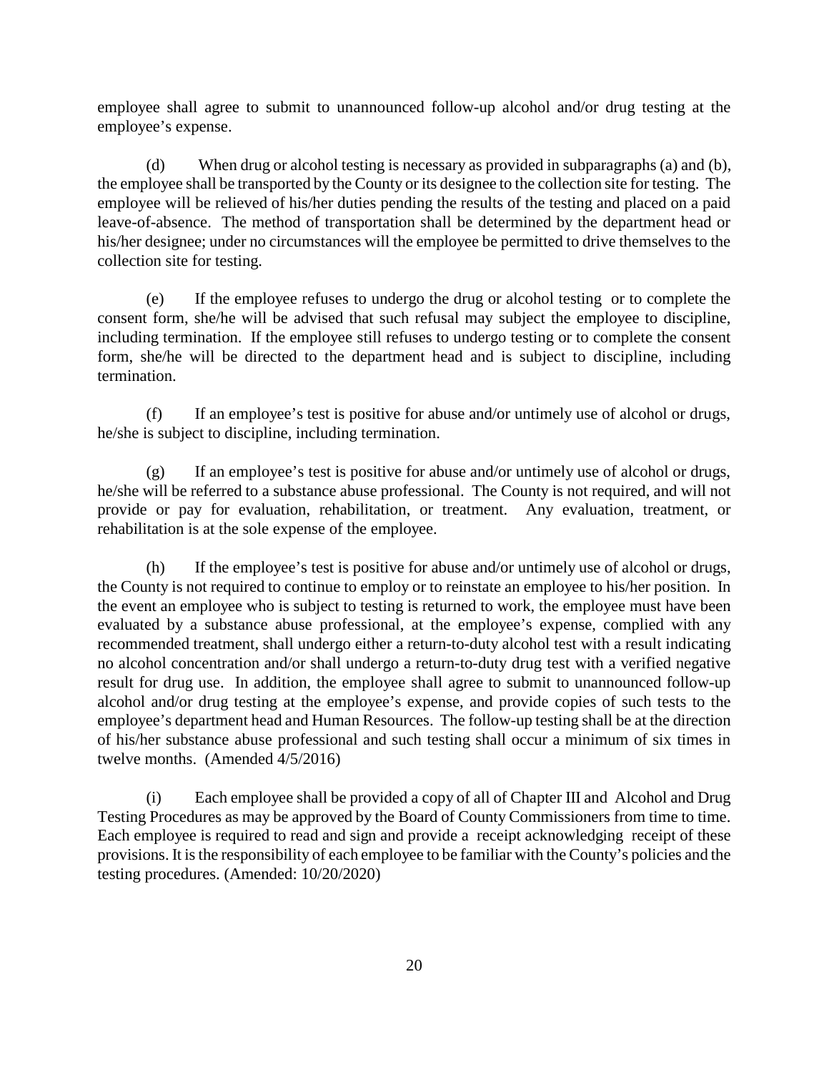employee shall agree to submit to unannounced follow-up alcohol and/or drug testing at the employee's expense.

(d) When drug or alcohol testing is necessary as provided in subparagraphs (a) and (b), the employee shall be transported by the County or its designee to the collection site for testing. The employee will be relieved of his/her duties pending the results of the testing and placed on a paid leave-of-absence. The method of transportation shall be determined by the department head or his/her designee; under no circumstances will the employee be permitted to drive themselves to the collection site for testing.

(e) If the employee refuses to undergo the drug or alcohol testing or to complete the consent form, she/he will be advised that such refusal may subject the employee to discipline, including termination. If the employee still refuses to undergo testing or to complete the consent form, she/he will be directed to the department head and is subject to discipline, including termination.

(f) If an employee's test is positive for abuse and/or untimely use of alcohol or drugs, he/she is subject to discipline, including termination.

(g) If an employee's test is positive for abuse and/or untimely use of alcohol or drugs, he/she will be referred to a substance abuse professional. The County is not required, and will not provide or pay for evaluation, rehabilitation, or treatment. Any evaluation, treatment, or rehabilitation is at the sole expense of the employee.

(h) If the employee's test is positive for abuse and/or untimely use of alcohol or drugs, the County is not required to continue to employ or to reinstate an employee to his/her position. In the event an employee who is subject to testing is returned to work, the employee must have been evaluated by a substance abuse professional, at the employee's expense, complied with any recommended treatment, shall undergo either a return-to-duty alcohol test with a result indicating no alcohol concentration and/or shall undergo a return-to-duty drug test with a verified negative result for drug use. In addition, the employee shall agree to submit to unannounced follow-up alcohol and/or drug testing at the employee's expense, and provide copies of such tests to the employee's department head and Human Resources. The follow-up testing shall be at the direction of his/her substance abuse professional and such testing shall occur a minimum of six times in twelve months. (Amended 4/5/2016)

(i) Each employee shall be provided a copy of all of Chapter III and Alcohol and Drug Testing Procedures as may be approved by the Board of County Commissioners from time to time. Each employee is required to read and sign and provide a receipt acknowledging receipt of these provisions. It is the responsibility of each employee to be familiar with the County's policies and the testing procedures. (Amended: 10/20/2020)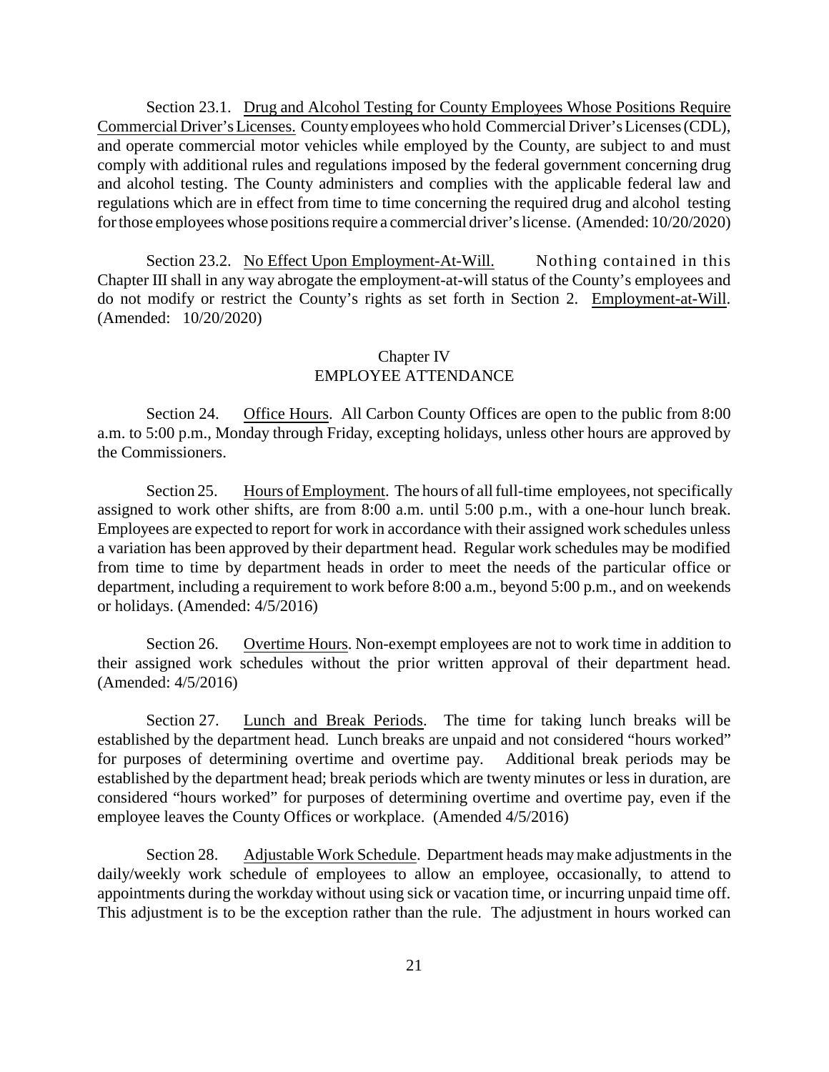Section 23.1. Drug and Alcohol Testing for County Employees Whose Positions Require Commercial Driver'sLicenses. Countyemployees who hold Commercial Driver's Licenses (CDL), and operate commercial motor vehicles while employed by the County, are subject to and must comply with additional rules and regulations imposed by the federal government concerning drug and alcohol testing. The County administers and complies with the applicable federal law and regulations which are in effect from time to time concerning the required drug and alcohol testing for those employees whose positions require a commercial driver's license. (Amended: 10/20/2020)

Section 23.2. No Effect Upon Employment-At-Will. Nothing contained in this Chapter III shall in any way abrogate the employment-at-will status of the County's employees and do not modify or restrict the County's rights as set forth in Section 2. Employment-at-Will. (Amended: 10/20/2020)

# Chapter IV EMPLOYEE ATTENDANCE

Section 24. Office Hours. All Carbon County Offices are open to the public from 8:00 a.m. to 5:00 p.m., Monday through Friday, excepting holidays, unless other hours are approved by the Commissioners.

Section 25. Hours of Employment. The hours of all full-time employees, not specifically assigned to work other shifts, are from 8:00 a.m. until 5:00 p.m., with a one-hour lunch break. Employees are expected to report for work in accordance with their assigned work schedules unless a variation has been approved by their department head. Regular work schedules may be modified from time to time by department heads in order to meet the needs of the particular office or department, including a requirement to work before 8:00 a.m., beyond 5:00 p.m., and on weekends or holidays. (Amended: 4/5/2016)

Section 26. Overtime Hours. Non-exempt employees are not to work time in addition to their assigned work schedules without the prior written approval of their department head. (Amended: 4/5/2016)

Section 27. Lunch and Break Periods. The time for taking lunch breaks will be established by the department head. Lunch breaks are unpaid and not considered "hours worked" for purposes of determining overtime and overtime pay. Additional break periods may be established by the department head; break periods which are twenty minutes or less in duration, are considered "hours worked" for purposes of determining overtime and overtime pay, even if the employee leaves the County Offices or workplace. (Amended 4/5/2016)

Section 28. Adjustable Work Schedule. Department heads may make adjustments in the daily/weekly work schedule of employees to allow an employee, occasionally, to attend to appointments during the workday without using sick or vacation time, or incurring unpaid time off. This adjustment is to be the exception rather than the rule. The adjustment in hours worked can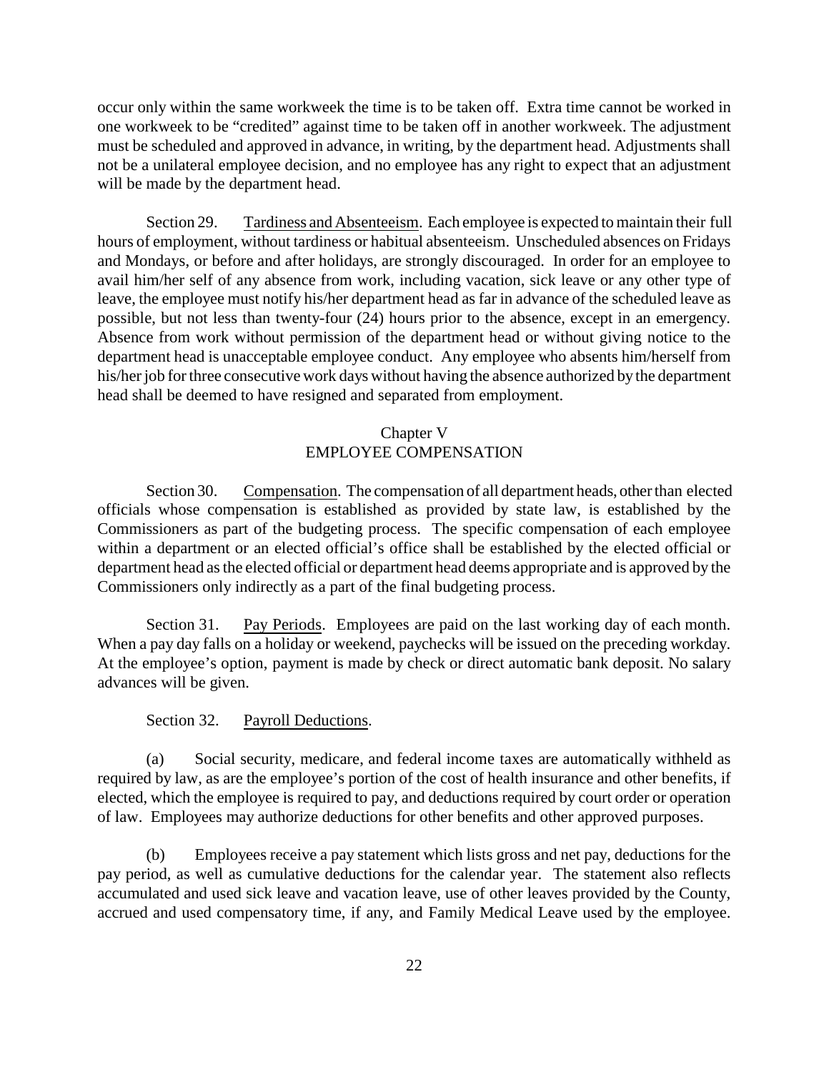occur only within the same workweek the time is to be taken off. Extra time cannot be worked in one workweek to be "credited" against time to be taken off in another workweek. The adjustment must be scheduled and approved in advance, in writing, by the department head. Adjustments shall not be a unilateral employee decision, and no employee has any right to expect that an adjustment will be made by the department head.

Section 29. Tardiness and Absenteeism. Each employee is expected to maintain their full hours of employment, without tardiness or habitual absenteeism. Unscheduled absences on Fridays and Mondays, or before and after holidays, are strongly discouraged. In order for an employee to avail him/her self of any absence from work, including vacation, sick leave or any other type of leave, the employee must notify his/her department head as far in advance of the scheduled leave as possible, but not less than twenty-four (24) hours prior to the absence, except in an emergency. Absence from work without permission of the department head or without giving notice to the department head is unacceptable employee conduct. Any employee who absents him/herself from his/her job for three consecutive work days without having the absence authorized by the department head shall be deemed to have resigned and separated from employment.

# Chapter V EMPLOYEE COMPENSATION

Section 30. Compensation. The compensation of all department heads, other than elected officials whose compensation is established as provided by state law, is established by the Commissioners as part of the budgeting process. The specific compensation of each employee within a department or an elected official's office shall be established by the elected official or department head as the elected official or department head deems appropriate and is approved by the Commissioners only indirectly as a part of the final budgeting process.

Section 31. Pay Periods. Employees are paid on the last working day of each month. When a pay day falls on a holiday or weekend, paychecks will be issued on the preceding workday. At the employee's option, payment is made by check or direct automatic bank deposit. No salary advances will be given.

#### Section 32. Payroll Deductions.

(a) Social security, medicare, and federal income taxes are automatically withheld as required by law, as are the employee's portion of the cost of health insurance and other benefits, if elected, which the employee is required to pay, and deductions required by court order or operation of law. Employees may authorize deductions for other benefits and other approved purposes.

(b) Employees receive a pay statement which lists gross and net pay, deductions for the pay period, as well as cumulative deductions for the calendar year. The statement also reflects accumulated and used sick leave and vacation leave, use of other leaves provided by the County, accrued and used compensatory time, if any, and Family Medical Leave used by the employee.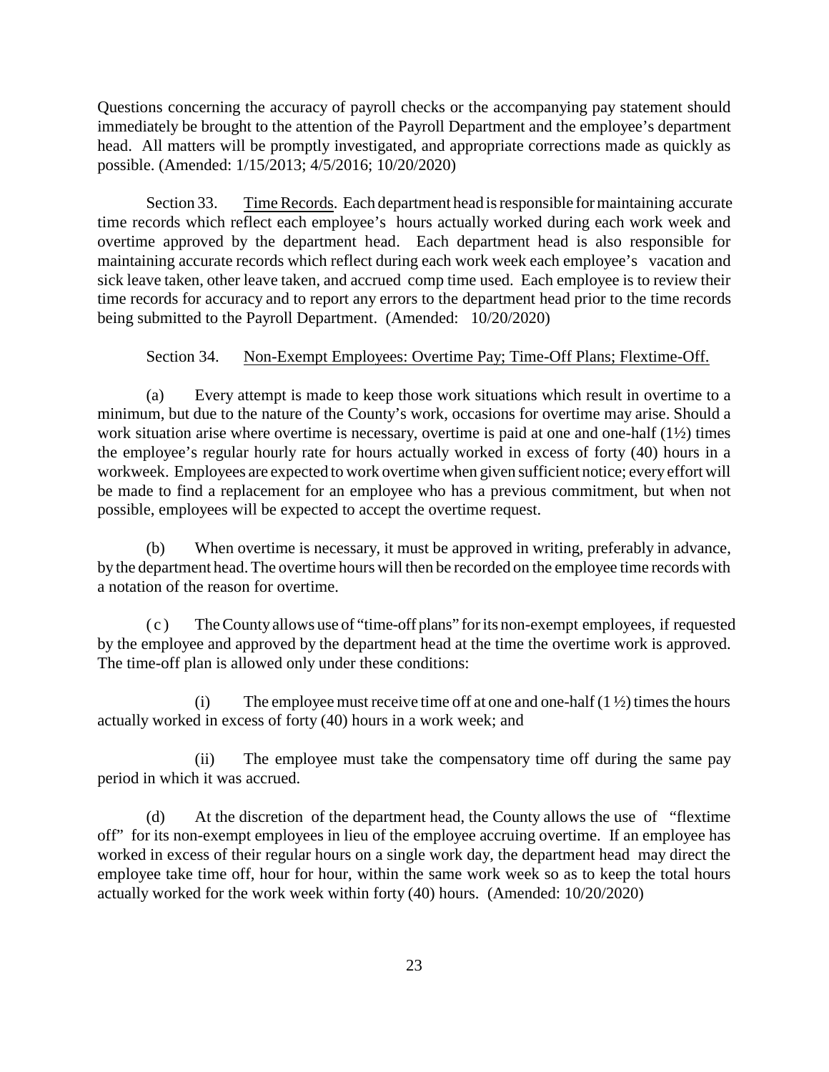Questions concerning the accuracy of payroll checks or the accompanying pay statement should immediately be brought to the attention of the Payroll Department and the employee's department head. All matters will be promptly investigated, and appropriate corrections made as quickly as possible. (Amended: 1/15/2013; 4/5/2016; 10/20/2020)

Section 33. Time Records. Each department head is responsible for maintaining accurate time records which reflect each employee's hours actually worked during each work week and overtime approved by the department head. Each department head is also responsible for maintaining accurate records which reflect during each work week each employee's vacation and sick leave taken, other leave taken, and accrued comp time used. Each employee is to review their time records for accuracy and to report any errors to the department head prior to the time records being submitted to the Payroll Department. (Amended: 10/20/2020)

## Section 34. Non-Exempt Employees: Overtime Pay; Time-Off Plans; Flextime-Off.

(a) Every attempt is made to keep those work situations which result in overtime to a minimum, but due to the nature of the County's work, occasions for overtime may arise. Should a work situation arise where overtime is necessary, overtime is paid at one and one-half (1½) times the employee's regular hourly rate for hours actually worked in excess of forty (40) hours in a workweek. Employees are expected to work overtime when given sufficient notice; everyeffort will be made to find a replacement for an employee who has a previous commitment, but when not possible, employees will be expected to accept the overtime request.

(b) When overtime is necessary, it must be approved in writing, preferably in advance, by the department head. The overtime hours will then be recorded on the employee time records with a notation of the reason for overtime.

( c ) The County allows use of "time-off plans" for its non-exempt employees, if requested by the employee and approved by the department head at the time the overtime work is approved. The time-off plan is allowed only under these conditions:

(i) The employee must receive time off at one and one-half  $(1 \frac{1}{2})$  times the hours actually worked in excess of forty (40) hours in a work week; and

(ii) The employee must take the compensatory time off during the same pay period in which it was accrued.

(d) At the discretion of the department head, the County allows the use of "flextime off" for its non-exempt employees in lieu of the employee accruing overtime. If an employee has worked in excess of their regular hours on a single work day, the department head may direct the employee take time off, hour for hour, within the same work week so as to keep the total hours actually worked for the work week within forty (40) hours. (Amended: 10/20/2020)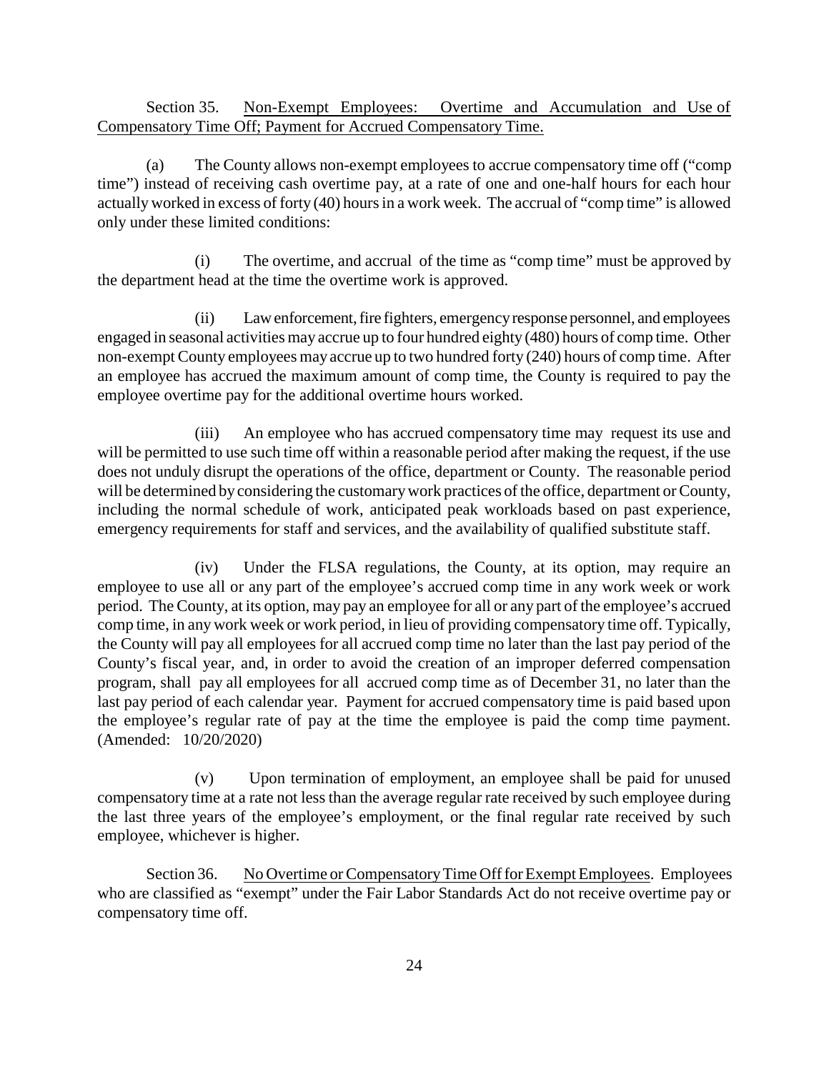Section 35. Non-Exempt Employees: Overtime and Accumulation and Use of Compensatory Time Off; Payment for Accrued Compensatory Time.

(a) The County allows non-exempt employees to accrue compensatory time off ("comp time") instead of receiving cash overtime pay, at a rate of one and one-half hours for each hour actuallyworked in excess of forty (40) hours in a work week. The accrual of "comp time" is allowed only under these limited conditions:

(i) The overtime, and accrual of the time as "comp time" must be approved by the department head at the time the overtime work is approved.

(ii) Lawenforcement,fire fighters, emergencyresponse personnel, and employees engaged in seasonal activities may accrue up to four hundred eighty (480) hours of comp time. Other non-exempt County employees may accrue up to two hundred forty (240) hours of comp time. After an employee has accrued the maximum amount of comp time, the County is required to pay the employee overtime pay for the additional overtime hours worked.

(iii) An employee who has accrued compensatory time may request its use and will be permitted to use such time off within a reasonable period after making the request, if the use does not unduly disrupt the operations of the office, department or County. The reasonable period will be determined by considering the customarywork practices of the office, department or County, including the normal schedule of work, anticipated peak workloads based on past experience, emergency requirements for staff and services, and the availability of qualified substitute staff.

(iv) Under the FLSA regulations, the County, at its option, may require an employee to use all or any part of the employee's accrued comp time in any work week or work period. The County, at its option, may pay an employee for all or any part of the employee's accrued comp time, in any work week or work period, in lieu of providing compensatory time off. Typically, the County will pay all employees for all accrued comp time no later than the last pay period of the County's fiscal year, and, in order to avoid the creation of an improper deferred compensation program, shall pay all employees for all accrued comp time as of December 31, no later than the last pay period of each calendar year. Payment for accrued compensatory time is paid based upon the employee's regular rate of pay at the time the employee is paid the comp time payment. (Amended: 10/20/2020)

(v) Upon termination of employment, an employee shall be paid for unused compensatory time at a rate not less than the average regular rate received by such employee during the last three years of the employee's employment, or the final regular rate received by such employee, whichever is higher.

Section 36. No Overtime or Compensatory Time Off for Exempt Employees. Employees who are classified as "exempt" under the Fair Labor Standards Act do not receive overtime pay or compensatory time off.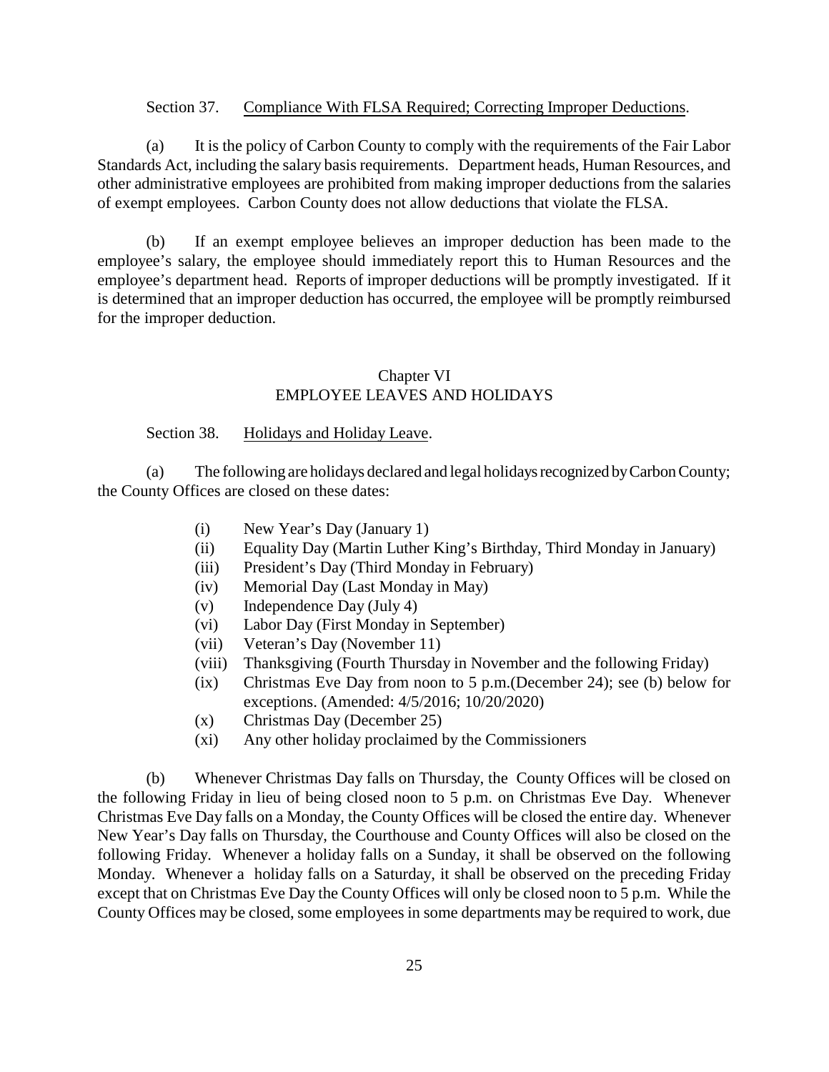#### Section 37. Compliance With FLSA Required; Correcting Improper Deductions.

(a) It is the policy of Carbon County to comply with the requirements of the Fair Labor Standards Act, including the salary basis requirements. Department heads, Human Resources, and other administrative employees are prohibited from making improper deductions from the salaries of exempt employees. Carbon County does not allow deductions that violate the FLSA.

(b) If an exempt employee believes an improper deduction has been made to the employee's salary, the employee should immediately report this to Human Resources and the employee's department head. Reports of improper deductions will be promptly investigated. If it is determined that an improper deduction has occurred, the employee will be promptly reimbursed for the improper deduction.

# Chapter VI EMPLOYEE LEAVES AND HOLIDAYS

## Section 38. Holidays and Holiday Leave.

(a) The following are holidays declared and legal holidaysrecognized byCarbonCounty; the County Offices are closed on these dates:

- (i) New Year's Day (January 1)
- (ii) Equality Day (Martin Luther King's Birthday, Third Monday in January)
- (iii) President's Day (Third Monday in February)
- (iv) Memorial Day (Last Monday in May)
- (v) Independence Day (July 4)
- (vi) Labor Day (First Monday in September)
- (vii) Veteran's Day (November 11)
- (viii) Thanksgiving (Fourth Thursday in November and the following Friday)
- (ix) Christmas Eve Day from noon to 5 p.m.(December 24); see (b) below for exceptions. (Amended: 4/5/2016; 10/20/2020)
- (x) Christmas Day (December 25)
- (xi) Any other holiday proclaimed by the Commissioners

(b) Whenever Christmas Day falls on Thursday, the County Offices will be closed on the following Friday in lieu of being closed noon to 5 p.m. on Christmas Eve Day. Whenever Christmas Eve Day falls on a Monday, the County Offices will be closed the entire day. Whenever New Year's Day falls on Thursday, the Courthouse and County Offices will also be closed on the following Friday. Whenever a holiday falls on a Sunday, it shall be observed on the following Monday. Whenever a holiday falls on a Saturday, it shall be observed on the preceding Friday except that on Christmas Eve Day the County Offices will only be closed noon to 5 p.m. While the County Offices may be closed, some employees in some departments may be required to work, due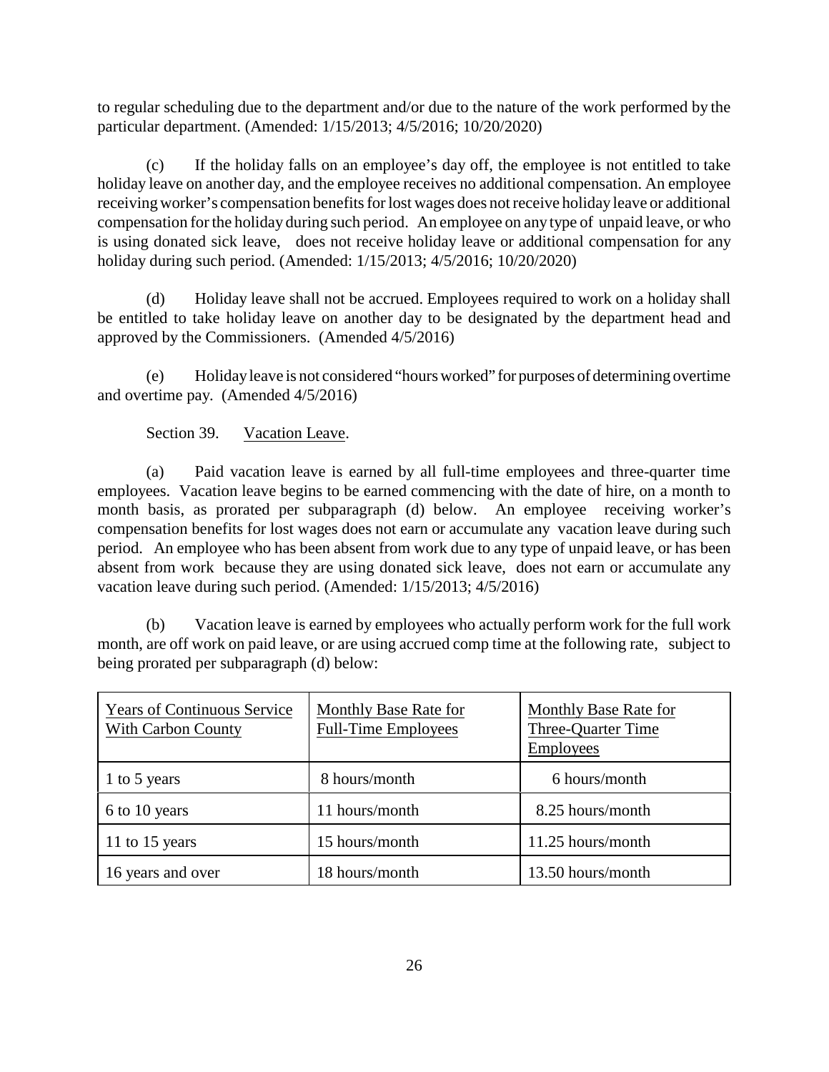to regular scheduling due to the department and/or due to the nature of the work performed by the particular department. (Amended: 1/15/2013; 4/5/2016; 10/20/2020)

(c) If the holiday falls on an employee's day off, the employee is not entitled to take holiday leave on another day, and the employee receives no additional compensation. An employee receivingworker's compensation benefits for lost wages does not receive holiday leave or additional compensation for the holiday during such period. An employee on any type of unpaid leave, or who is using donated sick leave, does not receive holiday leave or additional compensation for any holiday during such period. (Amended: 1/15/2013; 4/5/2016; 10/20/2020)

(d) Holiday leave shall not be accrued. Employees required to work on a holiday shall be entitled to take holiday leave on another day to be designated by the department head and approved by the Commissioners. (Amended 4/5/2016)

(e) Holidayleave is not considered "hours worked" for purposes of determining overtime and overtime pay. (Amended 4/5/2016)

# Section 39. Vacation Leave.

(a) Paid vacation leave is earned by all full-time employees and three-quarter time employees. Vacation leave begins to be earned commencing with the date of hire, on a month to month basis, as prorated per subparagraph (d) below. An employee receiving worker's compensation benefits for lost wages does not earn or accumulate any vacation leave during such period. An employee who has been absent from work due to any type of unpaid leave, or has been absent from work because they are using donated sick leave, does not earn or accumulate any vacation leave during such period. (Amended: 1/15/2013; 4/5/2016)

(b) Vacation leave is earned by employees who actually perform work for the full work month, are off work on paid leave, or are using accrued comp time at the following rate, subject to being prorated per subparagraph (d) below:

| <b>Years of Continuous Service</b><br><b>With Carbon County</b> | Monthly Base Rate for<br><b>Full-Time Employees</b> | Monthly Base Rate for<br>Three-Quarter Time<br><b>Employees</b> |
|-----------------------------------------------------------------|-----------------------------------------------------|-----------------------------------------------------------------|
| 1 to 5 years                                                    | 8 hours/month                                       | 6 hours/month                                                   |
| 6 to 10 years                                                   | 11 hours/month                                      | 8.25 hours/month                                                |
| 11 to 15 years                                                  | 15 hours/month                                      | 11.25 hours/month                                               |
| 16 years and over                                               | 18 hours/month                                      | 13.50 hours/month                                               |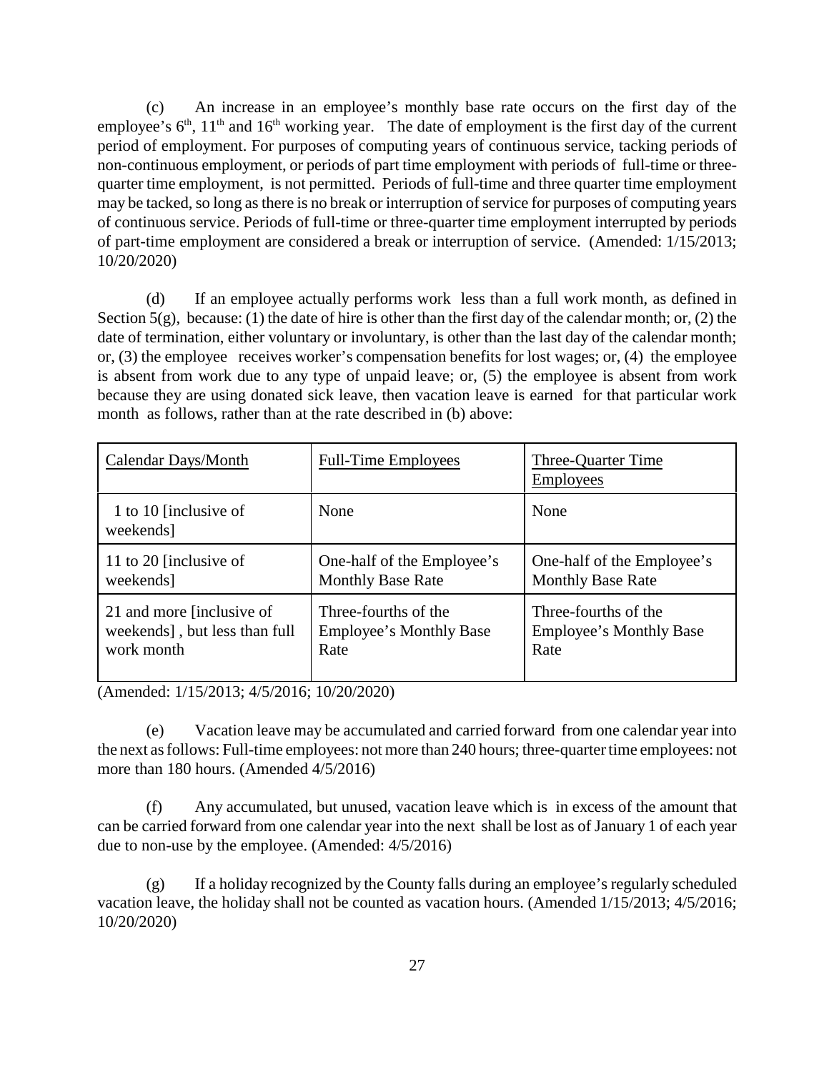(c) An increase in an employee's monthly base rate occurs on the first day of the employee's  $6<sup>th</sup>$ ,  $11<sup>th</sup>$  and  $16<sup>th</sup>$  working year. The date of employment is the first day of the current period of employment. For purposes of computing years of continuous service, tacking periods of non-continuous employment, or periods of part time employment with periods of full-time or threequarter time employment, is not permitted. Periods of full-time and three quarter time employment may be tacked, so long as there is no break or interruption of service for purposes of computing years of continuous service. Periods of full-time or three-quarter time employment interrupted by periods of part-time employment are considered a break or interruption of service. (Amended: 1/15/2013; 10/20/2020)

(d) If an employee actually performs work less than a full work month, as defined in Section  $5(g)$ , because: (1) the date of hire is other than the first day of the calendar month; or, (2) the date of termination, either voluntary or involuntary, is other than the last day of the calendar month; or, (3) the employee receives worker's compensation benefits for lost wages; or, (4) the employee is absent from work due to any type of unpaid leave; or, (5) the employee is absent from work because they are using donated sick leave, then vacation leave is earned for that particular work month as follows, rather than at the rate described in (b) above:

| Calendar Days/Month                | <b>Full-Time Employees</b>     | Three-Quarter Time<br><b>Employees</b> |
|------------------------------------|--------------------------------|----------------------------------------|
| 1 to 10 [inclusive of<br>weekends] | None                           | None                                   |
| 11 to 20 [inclusive of             | One-half of the Employee's     | One-half of the Employee's             |
| weekends]                          | <b>Monthly Base Rate</b>       | <b>Monthly Base Rate</b>               |
| 21 and more finclusive of          | Three-fourths of the           | Three-fourths of the                   |
| weekends], but less than full      | <b>Employee's Monthly Base</b> | <b>Employee's Monthly Base</b>         |
| work month                         | Rate                           | Rate                                   |

(Amended: 1/15/2013; 4/5/2016; 10/20/2020)

(e) Vacation leave may be accumulated and carried forward from one calendar year into the next as follows: Full-time employees: not more than 240 hours; three-quarter time employees: not more than 180 hours. (Amended 4/5/2016)

(f) Any accumulated, but unused, vacation leave which is in excess of the amount that can be carried forward from one calendar year into the next shall be lost as of January 1 of each year due to non-use by the employee. (Amended: 4/5/2016)

(g) If a holiday recognized by the County falls during an employee's regularly scheduled vacation leave, the holiday shall not be counted as vacation hours. (Amended 1/15/2013; 4/5/2016; 10/20/2020)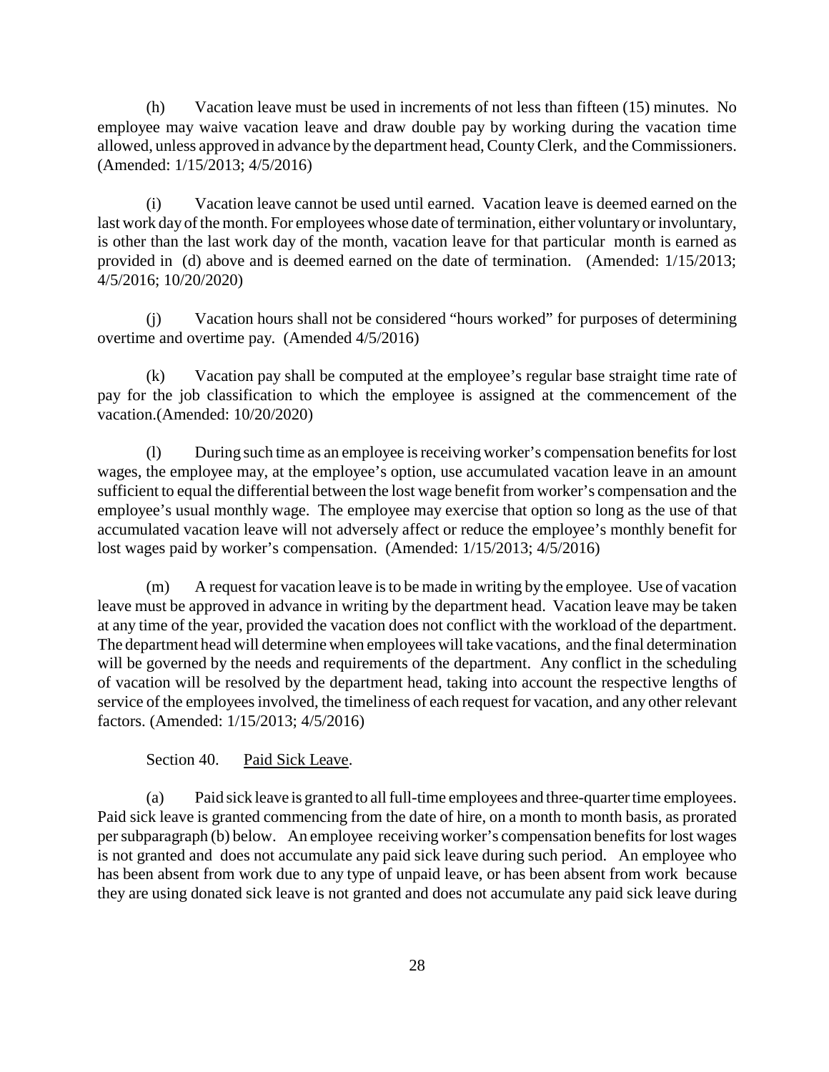(h) Vacation leave must be used in increments of not less than fifteen (15) minutes. No employee may waive vacation leave and draw double pay by working during the vacation time allowed, unless approved in advance by the department head, CountyClerk, and the Commissioners. (Amended: 1/15/2013; 4/5/2016)

(i) Vacation leave cannot be used until earned. Vacation leave is deemed earned on the last work day of the month. For employees whose date of termination, either voluntary or involuntary, is other than the last work day of the month, vacation leave for that particular month is earned as provided in (d) above and is deemed earned on the date of termination. (Amended: 1/15/2013; 4/5/2016; 10/20/2020)

(j) Vacation hours shall not be considered "hours worked" for purposes of determining overtime and overtime pay. (Amended 4/5/2016)

(k) Vacation pay shall be computed at the employee's regular base straight time rate of pay for the job classification to which the employee is assigned at the commencement of the vacation.(Amended: 10/20/2020)

(l) During such time as an employee is receiving worker's compensation benefits for lost wages, the employee may, at the employee's option, use accumulated vacation leave in an amount sufficient to equal the differential between the lost wage benefit from worker's compensation and the employee's usual monthly wage. The employee may exercise that option so long as the use of that accumulated vacation leave will not adversely affect or reduce the employee's monthly benefit for lost wages paid by worker's compensation. (Amended: 1/15/2013; 4/5/2016)

(m) A request for vacation leave is to be made in writing by the employee. Use of vacation leave must be approved in advance in writing by the department head. Vacation leave may be taken at any time of the year, provided the vacation does not conflict with the workload of the department. The department head will determine when employees will take vacations, and the final determination will be governed by the needs and requirements of the department. Any conflict in the scheduling of vacation will be resolved by the department head, taking into account the respective lengths of service of the employees involved, the timeliness of each request for vacation, and any other relevant factors. (Amended: 1/15/2013; 4/5/2016)

Section 40. Paid Sick Leave.

(a) Paid sick leave is granted to all full-time employees and three-quarter time employees. Paid sick leave is granted commencing from the date of hire, on a month to month basis, as prorated per subparagraph (b) below. An employee receiving worker's compensation benefits for lost wages is not granted and does not accumulate any paid sick leave during such period. An employee who has been absent from work due to any type of unpaid leave, or has been absent from work because they are using donated sick leave is not granted and does not accumulate any paid sick leave during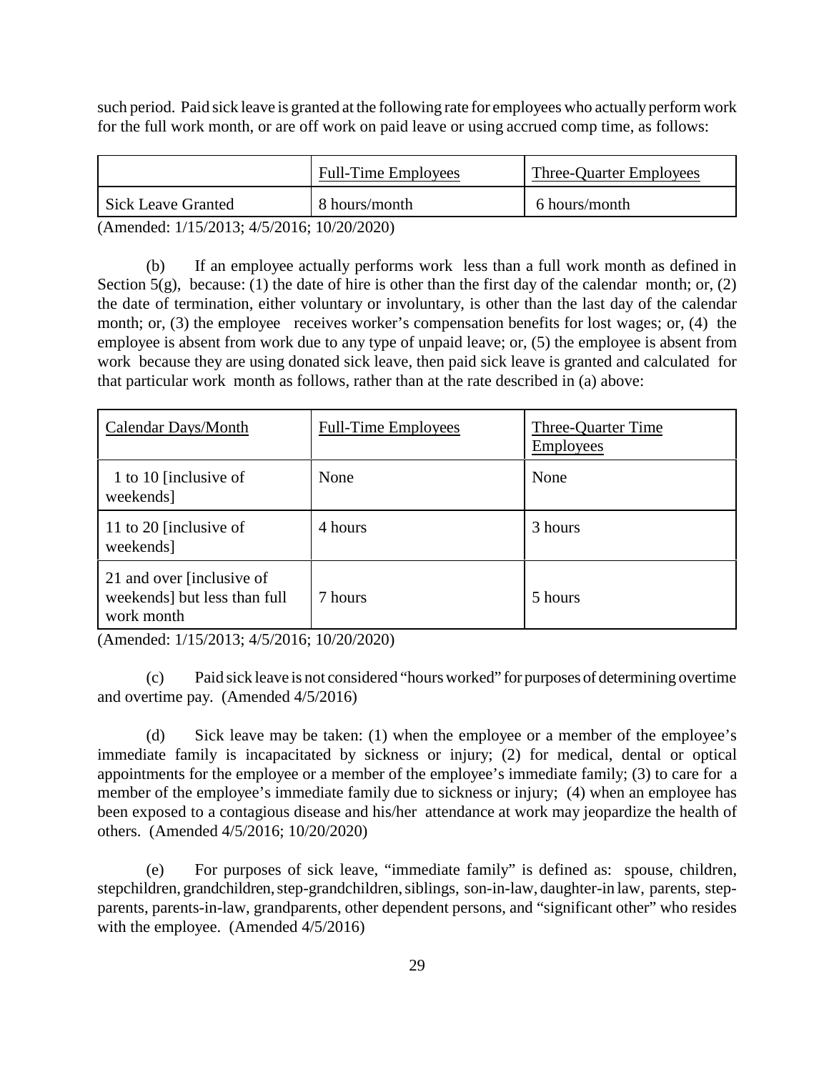such period. Paid sick leave is granted at the following rate for employees who actually perform work for the full work month, or are off work on paid leave or using accrued comp time, as follows:

|                           | <b>Full-Time Employees</b> | <b>Three-Quarter Employees</b> |
|---------------------------|----------------------------|--------------------------------|
| <b>Sick Leave Granted</b> | 8 hours/month              | 6 hours/month                  |

(Amended: 1/15/2013; 4/5/2016; 10/20/2020)

(b) If an employee actually performs work less than a full work month as defined in Section  $5(g)$ , because: (1) the date of hire is other than the first day of the calendar month; or, (2) the date of termination, either voluntary or involuntary, is other than the last day of the calendar month; or, (3) the employee receives worker's compensation benefits for lost wages; or, (4) the employee is absent from work due to any type of unpaid leave; or, (5) the employee is absent from work because they are using donated sick leave, then paid sick leave is granted and calculated for that particular work month as follows, rather than at the rate described in (a) above:

| Calendar Days/Month                                                     | <b>Full-Time Employees</b> | Three-Quarter Time<br><b>Employees</b> |
|-------------------------------------------------------------------------|----------------------------|----------------------------------------|
| 1 to 10 [inclusive of<br>weekends]                                      | None                       | None                                   |
| 11 to 20 [inclusive of<br>weekends]                                     | 4 hours                    | 3 hours                                |
| 21 and over finclusive of<br>weekends] but less than full<br>work month | 7 hours                    | 5 hours                                |

(Amended: 1/15/2013; 4/5/2016; 10/20/2020)

(c) Paid sick leave is not considered "hours worked" for purposes of determining overtime and overtime pay. (Amended 4/5/2016)

(d) Sick leave may be taken: (1) when the employee or a member of the employee's immediate family is incapacitated by sickness or injury; (2) for medical, dental or optical appointments for the employee or a member of the employee's immediate family; (3) to care for a member of the employee's immediate family due to sickness or injury; (4) when an employee has been exposed to a contagious disease and his/her attendance at work may jeopardize the health of others. (Amended 4/5/2016; 10/20/2020)

(e) For purposes of sick leave, "immediate family" is defined as: spouse, children, stepchildren, grandchildren, step-grandchildren, siblings, son-in-law, daughter-in law, parents, stepparents, parents-in-law, grandparents, other dependent persons, and "significant other" who resides with the employee. (Amended  $4/5/2016$ )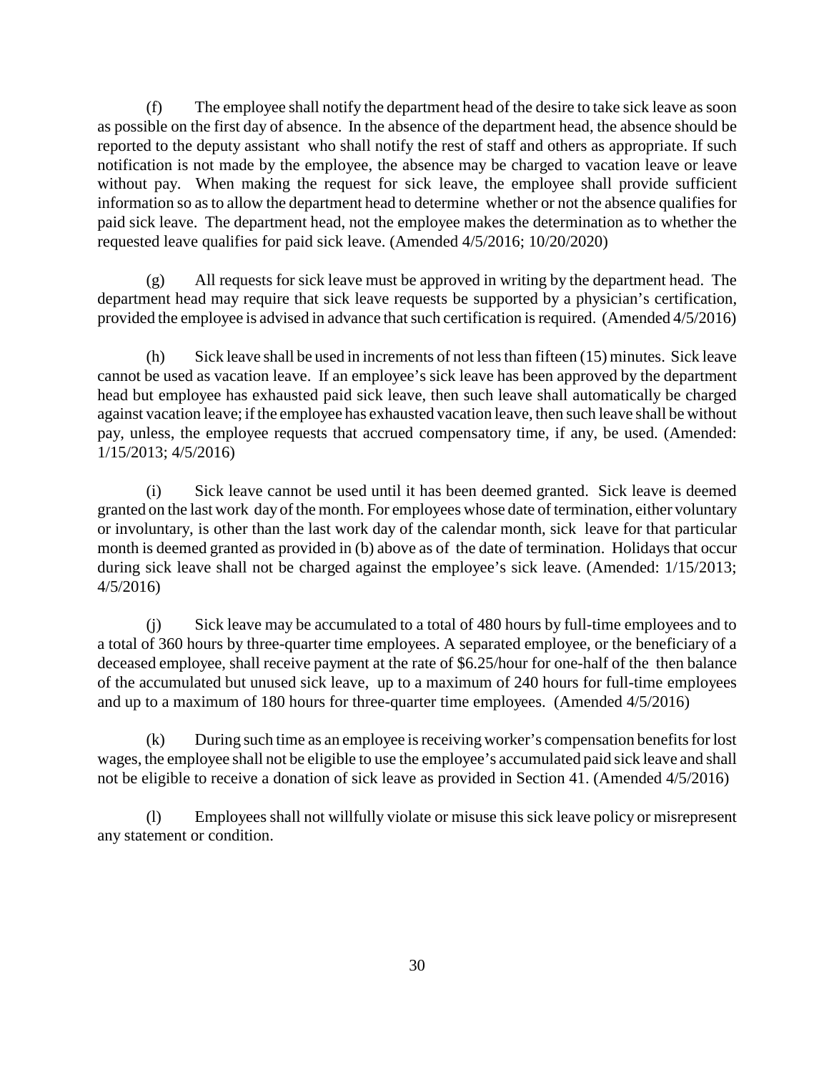(f) The employee shall notify the department head of the desire to take sick leave as soon as possible on the first day of absence. In the absence of the department head, the absence should be reported to the deputy assistant who shall notify the rest of staff and others as appropriate. If such notification is not made by the employee, the absence may be charged to vacation leave or leave without pay. When making the request for sick leave, the employee shall provide sufficient information so as to allow the department head to determine whether or not the absence qualifies for paid sick leave. The department head, not the employee makes the determination as to whether the requested leave qualifies for paid sick leave. (Amended 4/5/2016; 10/20/2020)

(g) All requests for sick leave must be approved in writing by the department head. The department head may require that sick leave requests be supported by a physician's certification, provided the employee is advised in advance that such certification is required. (Amended 4/5/2016)

(h) Sick leave shall be used in increments of not less than fifteen (15) minutes. Sick leave cannot be used as vacation leave. If an employee's sick leave has been approved by the department head but employee has exhausted paid sick leave, then such leave shall automatically be charged against vacation leave; if the employee has exhausted vacation leave, then such leave shall be without pay, unless, the employee requests that accrued compensatory time, if any, be used. (Amended: 1/15/2013; 4/5/2016)

(i) Sick leave cannot be used until it has been deemed granted. Sick leave is deemed granted on the last work day of the month. For employees whose date of termination, either voluntary or involuntary, is other than the last work day of the calendar month, sick leave for that particular month is deemed granted as provided in (b) above as of the date of termination. Holidays that occur during sick leave shall not be charged against the employee's sick leave. (Amended:  $1/15/2013$ ; 4/5/2016)

(j) Sick leave may be accumulated to a total of 480 hours by full-time employees and to a total of 360 hours by three-quarter time employees. A separated employee, or the beneficiary of a deceased employee, shall receive payment at the rate of \$6.25/hour for one-half of the then balance of the accumulated but unused sick leave, up to a maximum of 240 hours for full-time employees and up to a maximum of 180 hours for three-quarter time employees. (Amended 4/5/2016)

(k) During such time as an employee is receiving worker's compensation benefits for lost wages, the employee shall not be eligible to use the employee's accumulated paid sick leave and shall not be eligible to receive a donation of sick leave as provided in Section 41. (Amended 4/5/2016)

(l) Employees shall not willfully violate or misuse this sick leave policy or misrepresent any statement or condition.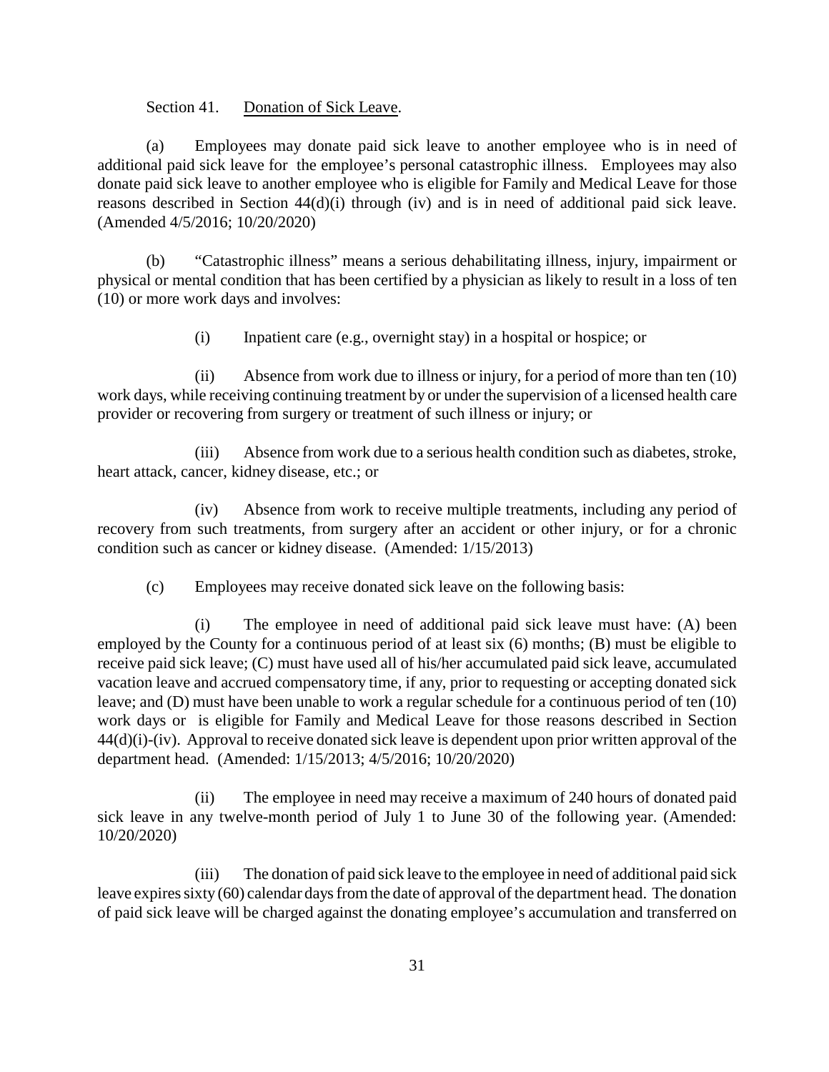Section 41. Donation of Sick Leave.

(a) Employees may donate paid sick leave to another employee who is in need of additional paid sick leave for the employee's personal catastrophic illness. Employees may also donate paid sick leave to another employee who is eligible for Family and Medical Leave for those reasons described in Section 44(d)(i) through (iv) and is in need of additional paid sick leave. (Amended 4/5/2016; 10/20/2020)

(b) "Catastrophic illness" means a serious dehabilitating illness, injury, impairment or physical or mental condition that has been certified by a physician as likely to result in a loss of ten (10) or more work days and involves:

(i) Inpatient care (e.g., overnight stay) in a hospital or hospice; or

(ii) Absence from work due to illness or injury, for a period of more than ten (10) work days, while receiving continuing treatment by or under the supervision of a licensed health care provider or recovering from surgery or treatment of such illness or injury; or

(iii) Absence from work due to a serious health condition such as diabetes, stroke, heart attack, cancer, kidney disease, etc.; or

(iv) Absence from work to receive multiple treatments, including any period of recovery from such treatments, from surgery after an accident or other injury, or for a chronic condition such as cancer or kidney disease. (Amended: 1/15/2013)

(c) Employees may receive donated sick leave on the following basis:

(i) The employee in need of additional paid sick leave must have: (A) been employed by the County for a continuous period of at least six (6) months; (B) must be eligible to receive paid sick leave; (C) must have used all of his/her accumulated paid sick leave, accumulated vacation leave and accrued compensatory time, if any, prior to requesting or accepting donated sick leave; and (D) must have been unable to work a regular schedule for a continuous period of ten (10) work days or is eligible for Family and Medical Leave for those reasons described in Section 44(d)(i)-(iv). Approval to receive donated sick leave is dependent upon prior written approval of the department head. (Amended: 1/15/2013; 4/5/2016; 10/20/2020)

(ii) The employee in need may receive a maximum of 240 hours of donated paid sick leave in any twelve-month period of July 1 to June 30 of the following year. (Amended: 10/20/2020)

(iii) The donation of paid sick leave to the employee in need of additional paid sick leave expires sixty (60) calendar days from the date of approval of the department head. The donation of paid sick leave will be charged against the donating employee's accumulation and transferred on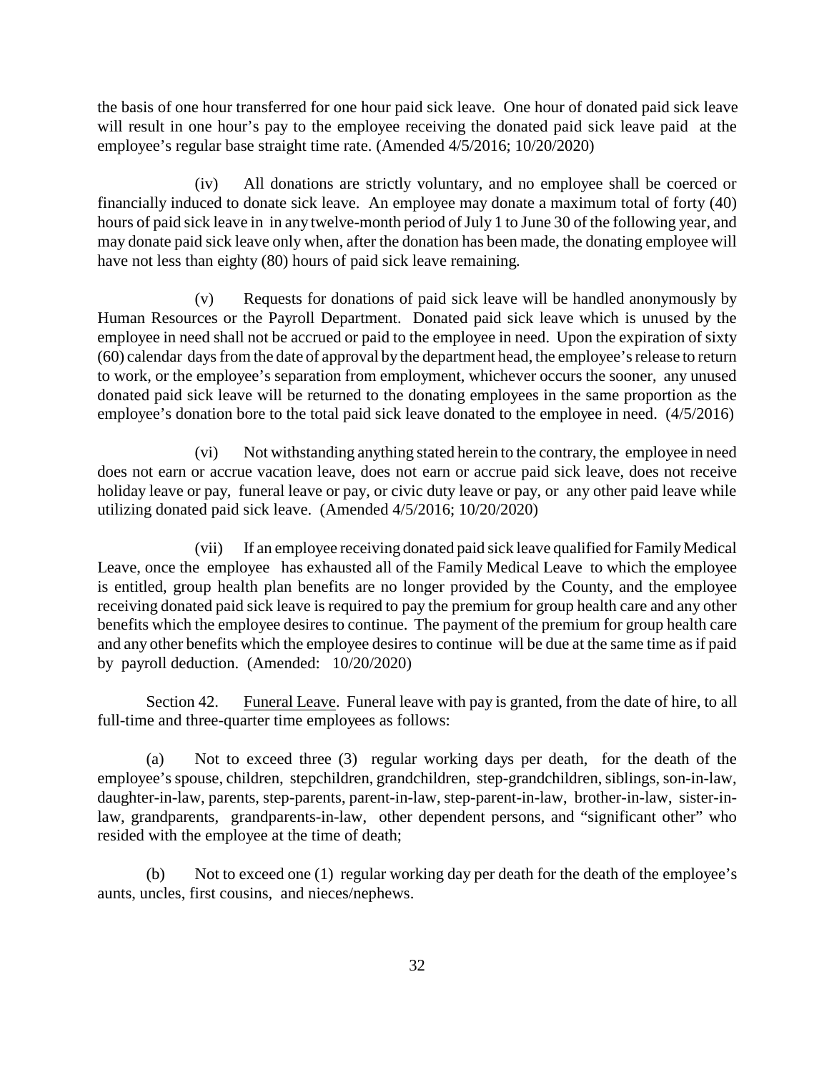the basis of one hour transferred for one hour paid sick leave. One hour of donated paid sick leave will result in one hour's pay to the employee receiving the donated paid sick leave paid at the employee's regular base straight time rate. (Amended 4/5/2016; 10/20/2020)

(iv) All donations are strictly voluntary, and no employee shall be coerced or financially induced to donate sick leave. An employee may donate a maximum total of forty (40) hours of paid sick leave in in any twelve-month period of July 1 to June 30 of the following year, and may donate paid sick leave only when, after the donation has been made, the donating employee will have not less than eighty (80) hours of paid sick leave remaining.

(v) Requests for donations of paid sick leave will be handled anonymously by Human Resources or the Payroll Department. Donated paid sick leave which is unused by the employee in need shall not be accrued or paid to the employee in need. Upon the expiration of sixty (60) calendar days from the date of approval by the department head, the employee's release to return to work, or the employee's separation from employment, whichever occurs the sooner, any unused donated paid sick leave will be returned to the donating employees in the same proportion as the employee's donation bore to the total paid sick leave donated to the employee in need. (4/5/2016)

(vi) Not withstanding anything stated herein to the contrary, the employee in need does not earn or accrue vacation leave, does not earn or accrue paid sick leave, does not receive holiday leave or pay, funeral leave or pay, or civic duty leave or pay, or any other paid leave while utilizing donated paid sick leave. (Amended 4/5/2016; 10/20/2020)

(vii) If an employee receiving donated paid sick leave qualified for Family Medical Leave, once the employee has exhausted all of the Family Medical Leave to which the employee is entitled, group health plan benefits are no longer provided by the County, and the employee receiving donated paid sick leave is required to pay the premium for group health care and any other benefits which the employee desires to continue. The payment of the premium for group health care and any other benefits which the employee desires to continue will be due at the same time as if paid by payroll deduction. (Amended: 10/20/2020)

Section 42. Funeral Leave. Funeral leave with pay is granted, from the date of hire, to all full-time and three-quarter time employees as follows:

(a) Not to exceed three (3) regular working days per death, for the death of the employee's spouse, children, stepchildren, grandchildren, step-grandchildren, siblings, son-in-law, daughter-in-law, parents, step-parents, parent-in-law, step-parent-in-law, brother-in-law, sister-inlaw, grandparents, grandparents-in-law, other dependent persons, and "significant other" who resided with the employee at the time of death;

(b) Not to exceed one (1) regular working day per death for the death of the employee's aunts, uncles, first cousins, and nieces/nephews.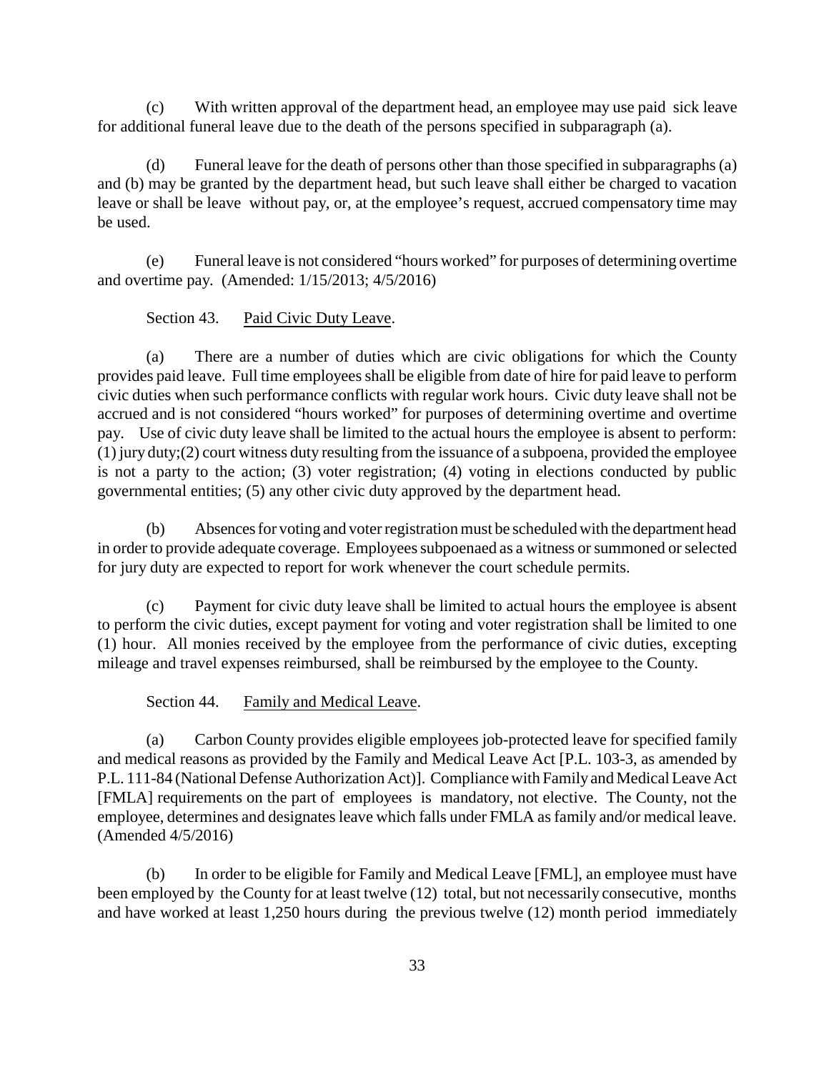(c) With written approval of the department head, an employee may use paid sick leave for additional funeral leave due to the death of the persons specified in subparagraph (a).

(d) Funeral leave for the death of persons other than those specified in subparagraphs (a) and (b) may be granted by the department head, but such leave shall either be charged to vacation leave or shall be leave without pay, or, at the employee's request, accrued compensatory time may be used.

(e) Funeral leave is not considered "hours worked" for purposes of determining overtime and overtime pay. (Amended: 1/15/2013; 4/5/2016)

Section 43. Paid Civic Duty Leave.

(a) There are a number of duties which are civic obligations for which the County provides paid leave. Full time employees shall be eligible from date of hire for paid leave to perform civic duties when such performance conflicts with regular work hours. Civic duty leave shall not be accrued and is not considered "hours worked" for purposes of determining overtime and overtime pay. Use of civic duty leave shall be limited to the actual hours the employee is absent to perform: (1) jury duty;(2) court witness duty resulting from the issuance of a subpoena, provided the employee is not a party to the action; (3) voter registration; (4) voting in elections conducted by public governmental entities; (5) any other civic duty approved by the department head.

(b) Absencesfor voting and voter registration must be scheduled with the department head in order to provide adequate coverage. Employees subpoenaed as a witness or summoned or selected for jury duty are expected to report for work whenever the court schedule permits.

(c) Payment for civic duty leave shall be limited to actual hours the employee is absent to perform the civic duties, except payment for voting and voter registration shall be limited to one (1) hour. All monies received by the employee from the performance of civic duties, excepting mileage and travel expenses reimbursed, shall be reimbursed by the employee to the County.

Section 44. Family and Medical Leave.

(a) Carbon County provides eligible employees job-protected leave for specified family and medical reasons as provided by the Family and Medical Leave Act [P.L. 103-3, as amended by P.L. 111-84 (National Defense Authorization Act)]. Compliance with Familyand Medical Leave Act [FMLA] requirements on the part of employees is mandatory, not elective. The County, not the employee, determines and designates leave which falls under FMLA as family and/or medical leave. (Amended 4/5/2016)

(b) In order to be eligible for Family and Medical Leave [FML], an employee must have been employed by the County for at least twelve (12) total, but not necessarily consecutive, months and have worked at least 1,250 hours during the previous twelve (12) month period immediately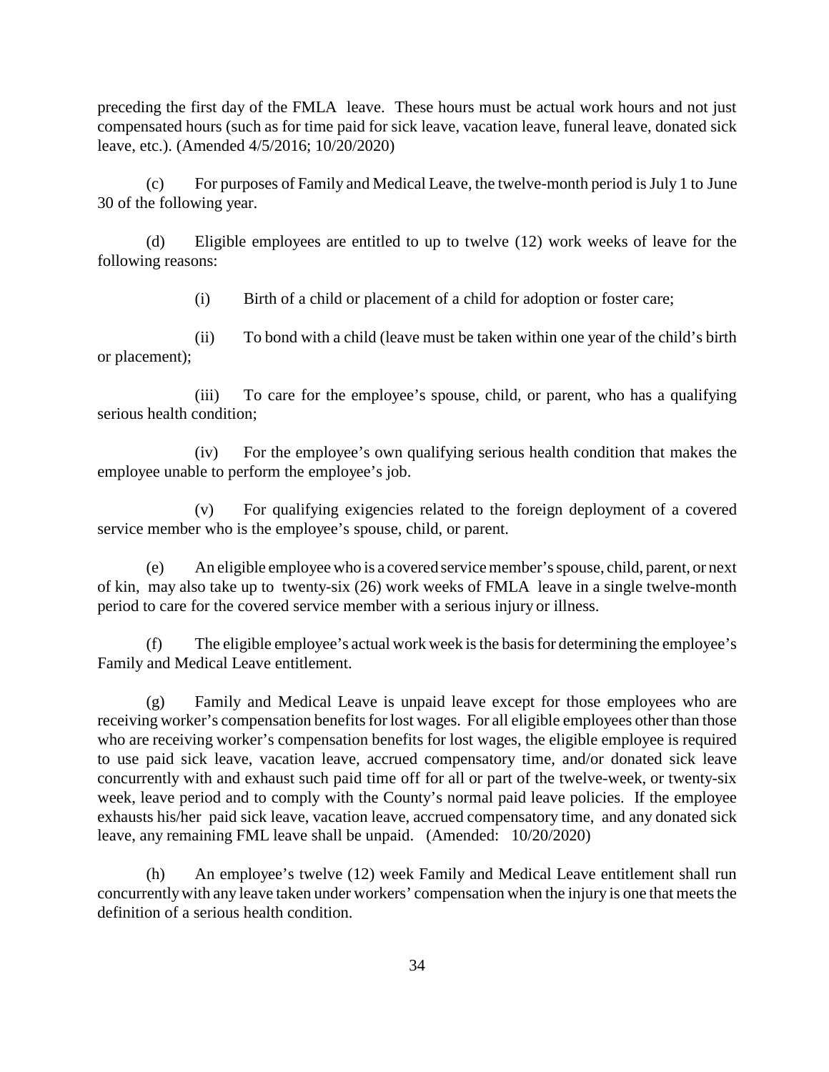preceding the first day of the FMLA leave. These hours must be actual work hours and not just compensated hours (such as for time paid for sick leave, vacation leave, funeral leave, donated sick leave, etc.). (Amended 4/5/2016; 10/20/2020)

(c) For purposes of Family and Medical Leave, the twelve-month period is July 1 to June 30 of the following year.

(d) Eligible employees are entitled to up to twelve (12) work weeks of leave for the following reasons:

(i) Birth of a child or placement of a child for adoption or foster care;

(ii) To bond with a child (leave must be taken within one year of the child's birth or placement);

(iii) To care for the employee's spouse, child, or parent, who has a qualifying serious health condition;

(iv) For the employee's own qualifying serious health condition that makes the employee unable to perform the employee's job.

(v) For qualifying exigencies related to the foreign deployment of a covered service member who is the employee's spouse, child, or parent.

(e) An eligible employee who is a covered service member's spouse, child, parent, or next of kin, may also take up to twenty-six (26) work weeks of FMLA leave in a single twelve-month period to care for the covered service member with a serious injury or illness.

(f) The eligible employee's actual work week is the basis for determining the employee's Family and Medical Leave entitlement.

(g) Family and Medical Leave is unpaid leave except for those employees who are receiving worker's compensation benefits for lost wages. For all eligible employees other than those who are receiving worker's compensation benefits for lost wages, the eligible employee is required to use paid sick leave, vacation leave, accrued compensatory time, and/or donated sick leave concurrently with and exhaust such paid time off for all or part of the twelve-week, or twenty-six week, leave period and to comply with the County's normal paid leave policies. If the employee exhausts his/her paid sick leave, vacation leave, accrued compensatory time, and any donated sick leave, any remaining FML leave shall be unpaid. (Amended: 10/20/2020)

(h) An employee's twelve (12) week Family and Medical Leave entitlement shall run concurrentlywith any leave taken under workers' compensation when the injury is one that meets the definition of a serious health condition.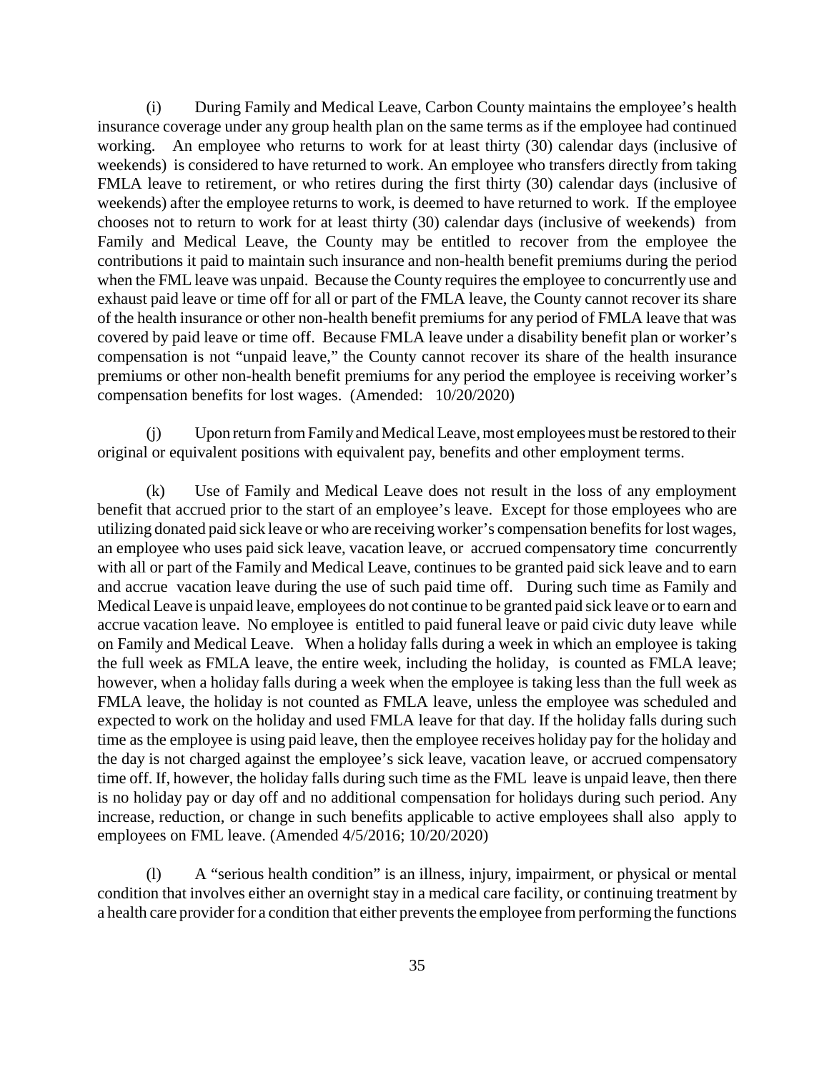(i) During Family and Medical Leave, Carbon County maintains the employee's health insurance coverage under any group health plan on the same terms as if the employee had continued working. An employee who returns to work for at least thirty (30) calendar days (inclusive of weekends) is considered to have returned to work. An employee who transfers directly from taking FMLA leave to retirement, or who retires during the first thirty (30) calendar days (inclusive of weekends) after the employee returns to work, is deemed to have returned to work. If the employee chooses not to return to work for at least thirty (30) calendar days (inclusive of weekends) from Family and Medical Leave, the County may be entitled to recover from the employee the contributions it paid to maintain such insurance and non-health benefit premiums during the period when the FML leave was unpaid. Because the County requires the employee to concurrently use and exhaust paid leave or time off for all or part of the FMLA leave, the County cannot recover its share of the health insurance or other non-health benefit premiums for any period of FMLA leave that was covered by paid leave or time off. Because FMLA leave under a disability benefit plan or worker's compensation is not "unpaid leave," the County cannot recover its share of the health insurance premiums or other non-health benefit premiums for any period the employee is receiving worker's compensation benefits for lost wages. (Amended: 10/20/2020)

(j) Upon return from Family and Medical Leave, most employees must be restored to their original or equivalent positions with equivalent pay, benefits and other employment terms.

(k) Use of Family and Medical Leave does not result in the loss of any employment benefit that accrued prior to the start of an employee's leave. Except for those employees who are utilizing donated paid sick leave or who are receiving worker's compensation benefits for lost wages, an employee who uses paid sick leave, vacation leave, or accrued compensatory time concurrently with all or part of the Family and Medical Leave, continues to be granted paid sick leave and to earn and accrue vacation leave during the use of such paid time off. During such time as Family and Medical Leave is unpaid leave, employees do not continue to be granted paid sick leave or to earn and accrue vacation leave. No employee is entitled to paid funeral leave or paid civic duty leave while on Family and Medical Leave. When a holiday falls during a week in which an employee is taking the full week as FMLA leave, the entire week, including the holiday, is counted as FMLA leave; however, when a holiday falls during a week when the employee is taking less than the full week as FMLA leave, the holiday is not counted as FMLA leave, unless the employee was scheduled and expected to work on the holiday and used FMLA leave for that day. If the holiday falls during such time as the employee is using paid leave, then the employee receives holiday pay for the holiday and the day is not charged against the employee's sick leave, vacation leave, or accrued compensatory time off. If, however, the holiday falls during such time as the FML leave is unpaid leave, then there is no holiday pay or day off and no additional compensation for holidays during such period. Any increase, reduction, or change in such benefits applicable to active employees shall also apply to employees on FML leave. (Amended 4/5/2016; 10/20/2020)

(l) A "serious health condition" is an illness, injury, impairment, or physical or mental condition that involves either an overnight stay in a medical care facility, or continuing treatment by a health care provider for a condition that either prevents the employee from performing the functions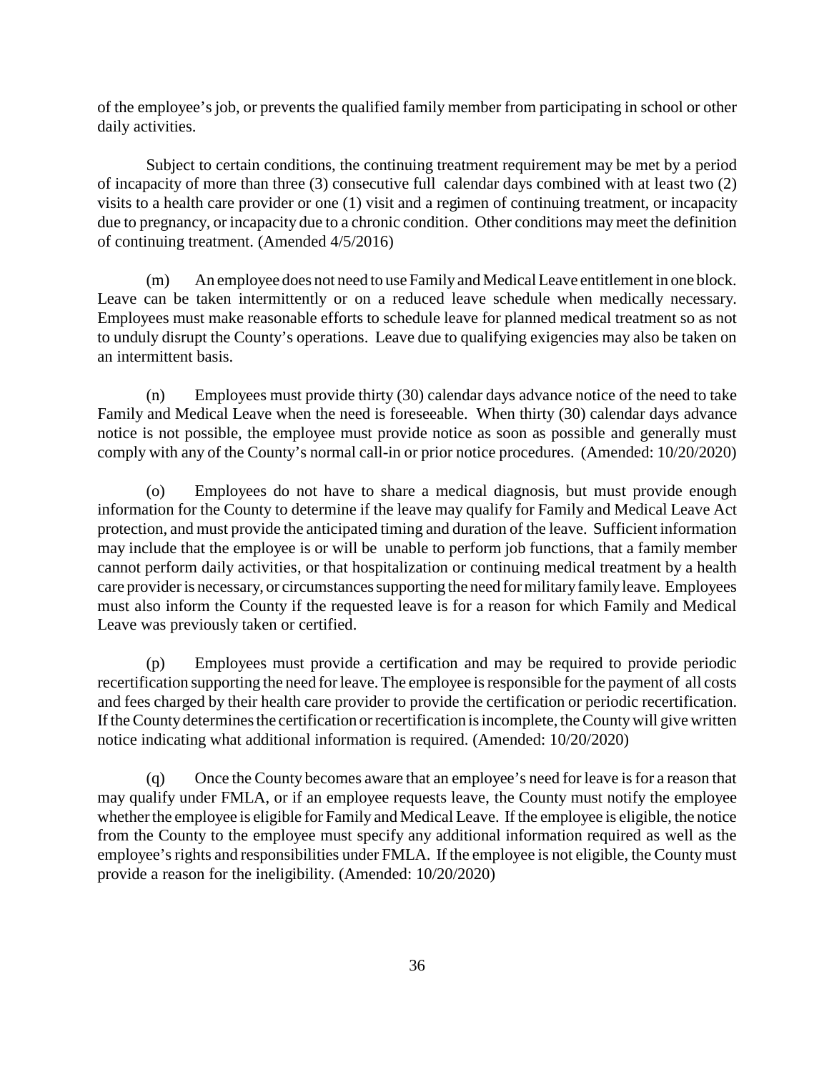of the employee's job, or prevents the qualified family member from participating in school or other daily activities.

Subject to certain conditions, the continuing treatment requirement may be met by a period of incapacity of more than three (3) consecutive full calendar days combined with at least two (2) visits to a health care provider or one (1) visit and a regimen of continuing treatment, or incapacity due to pregnancy, or incapacity due to a chronic condition. Other conditions maymeet the definition of continuing treatment. (Amended 4/5/2016)

(m) An employee does not need to use Familyand Medical Leave entitlement in one block. Leave can be taken intermittently or on a reduced leave schedule when medically necessary. Employees must make reasonable efforts to schedule leave for planned medical treatment so as not to unduly disrupt the County's operations. Leave due to qualifying exigencies may also be taken on an intermittent basis.

(n) Employees must provide thirty (30) calendar days advance notice of the need to take Family and Medical Leave when the need is foreseeable. When thirty (30) calendar days advance notice is not possible, the employee must provide notice as soon as possible and generally must comply with any of the County's normal call-in or prior notice procedures. (Amended: 10/20/2020)

(o) Employees do not have to share a medical diagnosis, but must provide enough information for the County to determine if the leave may qualify for Family and Medical Leave Act protection, and must provide the anticipated timing and duration of the leave. Sufficient information may include that the employee is or will be unable to perform job functions, that a family member cannot perform daily activities, or that hospitalization or continuing medical treatment by a health care provider is necessary, or circumstances supporting the need for militaryfamilyleave. Employees must also inform the County if the requested leave is for a reason for which Family and Medical Leave was previously taken or certified.

(p) Employees must provide a certification and may be required to provide periodic recertification supporting the need for leave. The employee is responsible for the payment of all costs and fees charged by their health care provider to provide the certification or periodic recertification. If the County determines the certification or recertification is incomplete, the Countywill give written notice indicating what additional information is required. (Amended: 10/20/2020)

(q) Once the County becomes aware that an employee's need for leave is for a reason that may qualify under FMLA, or if an employee requests leave, the County must notify the employee whether the employee is eligible for Family and Medical Leave. If the employee is eligible, the notice from the County to the employee must specify any additional information required as well as the employee's rights and responsibilities under FMLA. If the employee is not eligible, the County must provide a reason for the ineligibility. (Amended: 10/20/2020)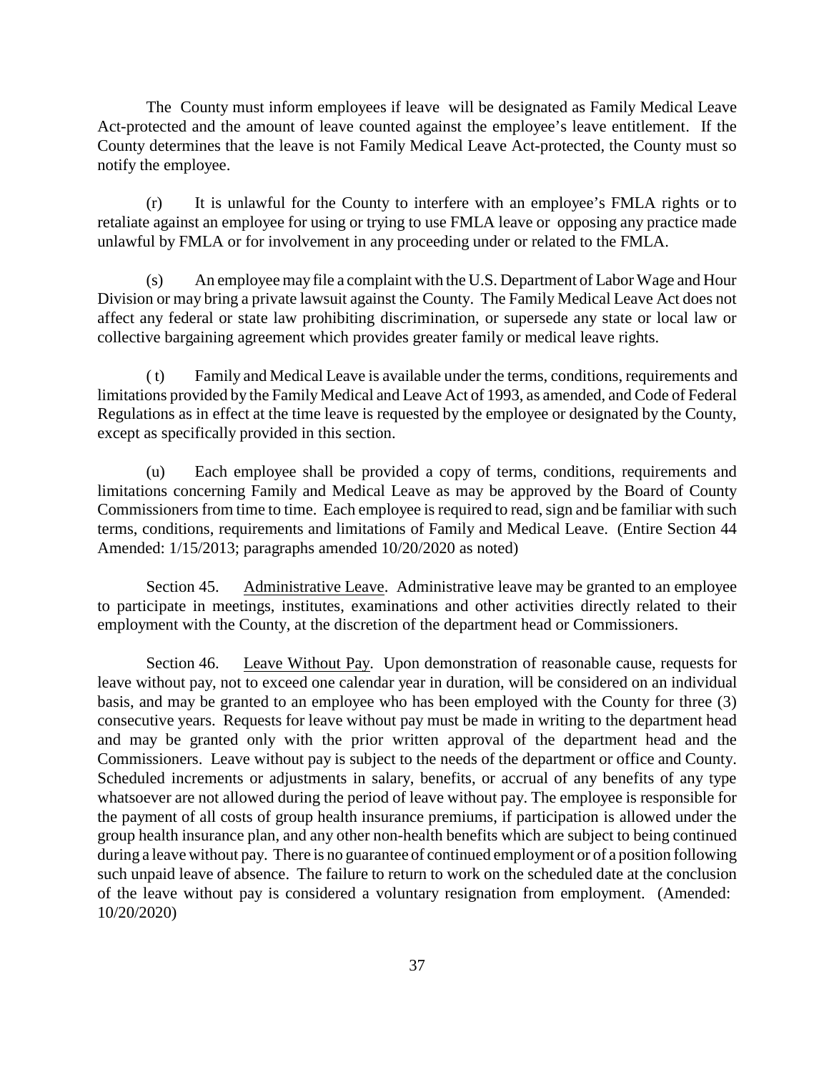The County must inform employees if leave will be designated as Family Medical Leave Act-protected and the amount of leave counted against the employee's leave entitlement. If the County determines that the leave is not Family Medical Leave Act-protected, the County must so notify the employee.

(r) It is unlawful for the County to interfere with an employee's FMLA rights or to retaliate against an employee for using or trying to use FMLA leave or opposing any practice made unlawful by FMLA or for involvement in any proceeding under or related to the FMLA.

(s) An employee may file a complaint with the U.S. Department of Labor Wage and Hour Division or may bring a private lawsuit against the County. The Family Medical Leave Act does not affect any federal or state law prohibiting discrimination, or supersede any state or local law or collective bargaining agreement which provides greater family or medical leave rights.

( t) Family and Medical Leave is available under the terms, conditions, requirements and limitations provided by the Family Medical and Leave Act of 1993, as amended, and Code of Federal Regulations as in effect at the time leave is requested by the employee or designated by the County, except as specifically provided in this section.

(u) Each employee shall be provided a copy of terms, conditions, requirements and limitations concerning Family and Medical Leave as may be approved by the Board of County Commissioners from time to time. Each employee is required to read, sign and be familiar with such terms, conditions, requirements and limitations of Family and Medical Leave. (Entire Section 44 Amended: 1/15/2013; paragraphs amended 10/20/2020 as noted)

Section 45. Administrative Leave. Administrative leave may be granted to an employee to participate in meetings, institutes, examinations and other activities directly related to their employment with the County, at the discretion of the department head or Commissioners.

Section 46. Leave Without Pay. Upon demonstration of reasonable cause, requests for leave without pay, not to exceed one calendar year in duration, will be considered on an individual basis, and may be granted to an employee who has been employed with the County for three (3) consecutive years. Requests for leave without pay must be made in writing to the department head and may be granted only with the prior written approval of the department head and the Commissioners. Leave without pay is subject to the needs of the department or office and County. Scheduled increments or adjustments in salary, benefits, or accrual of any benefits of any type whatsoever are not allowed during the period of leave without pay. The employee is responsible for the payment of all costs of group health insurance premiums, if participation is allowed under the group health insurance plan, and any other non-health benefits which are subject to being continued during a leave without pay. There is no guarantee of continued employment or of a position following such unpaid leave of absence. The failure to return to work on the scheduled date at the conclusion of the leave without pay is considered a voluntary resignation from employment. (Amended: 10/20/2020)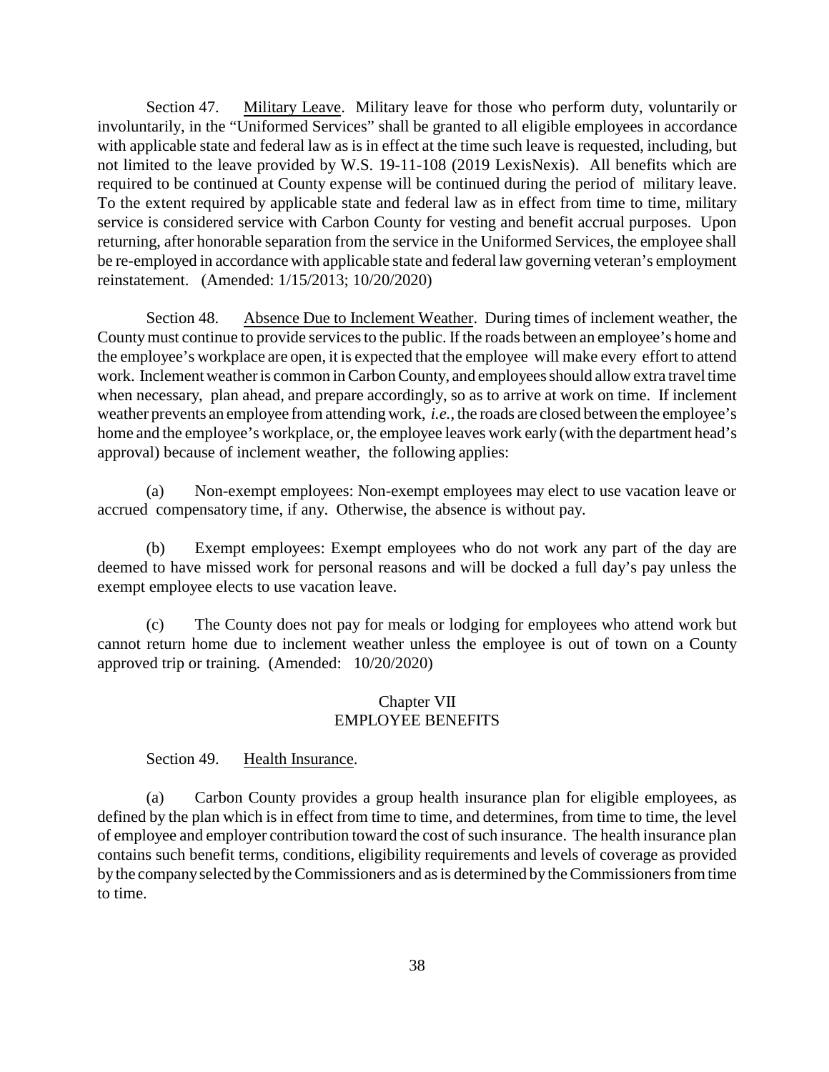Section 47. Military Leave. Military leave for those who perform duty, voluntarily or involuntarily, in the "Uniformed Services" shall be granted to all eligible employees in accordance with applicable state and federal law as is in effect at the time such leave is requested, including, but not limited to the leave provided by W.S. 19-11-108 (2019 LexisNexis). All benefits which are required to be continued at County expense will be continued during the period of military leave. To the extent required by applicable state and federal law as in effect from time to time, military service is considered service with Carbon County for vesting and benefit accrual purposes. Upon returning, after honorable separation from the service in the Uniformed Services, the employee shall be re-employed in accordance with applicable state and federal law governing veteran's employment reinstatement. (Amended: 1/15/2013; 10/20/2020)

Section 48. Absence Due to Inclement Weather. During times of inclement weather, the Countymust continue to provide services to the public. If the roads between an employee's home and the employee's workplace are open, it is expected that the employee will make every effort to attend work. Inclement weather is common in Carbon County, and employees should allow extra travel time when necessary, plan ahead, and prepare accordingly, so as to arrive at work on time. If inclement weather prevents an employee from attending work, *i.e.*, the roads are closed between the employee's home and the employee's workplace, or, the employee leaves work early (with the department head's approval) because of inclement weather, the following applies:

(a) Non-exempt employees: Non-exempt employees may elect to use vacation leave or accrued compensatory time, if any. Otherwise, the absence is without pay.

(b) Exempt employees: Exempt employees who do not work any part of the day are deemed to have missed work for personal reasons and will be docked a full day's pay unless the exempt employee elects to use vacation leave.

(c) The County does not pay for meals or lodging for employees who attend work but cannot return home due to inclement weather unless the employee is out of town on a County approved trip or training. (Amended: 10/20/2020)

## Chapter VII EMPLOYEE BENEFITS

# Section 49. Health Insurance.

(a) Carbon County provides a group health insurance plan for eligible employees, as defined by the plan which is in effect from time to time, and determines, from time to time, the level of employee and employer contribution toward the cost of such insurance. The health insurance plan contains such benefit terms, conditions, eligibility requirements and levels of coverage as provided bythe companyselected by the Commissioners and as is determined by the Commissioners from time to time.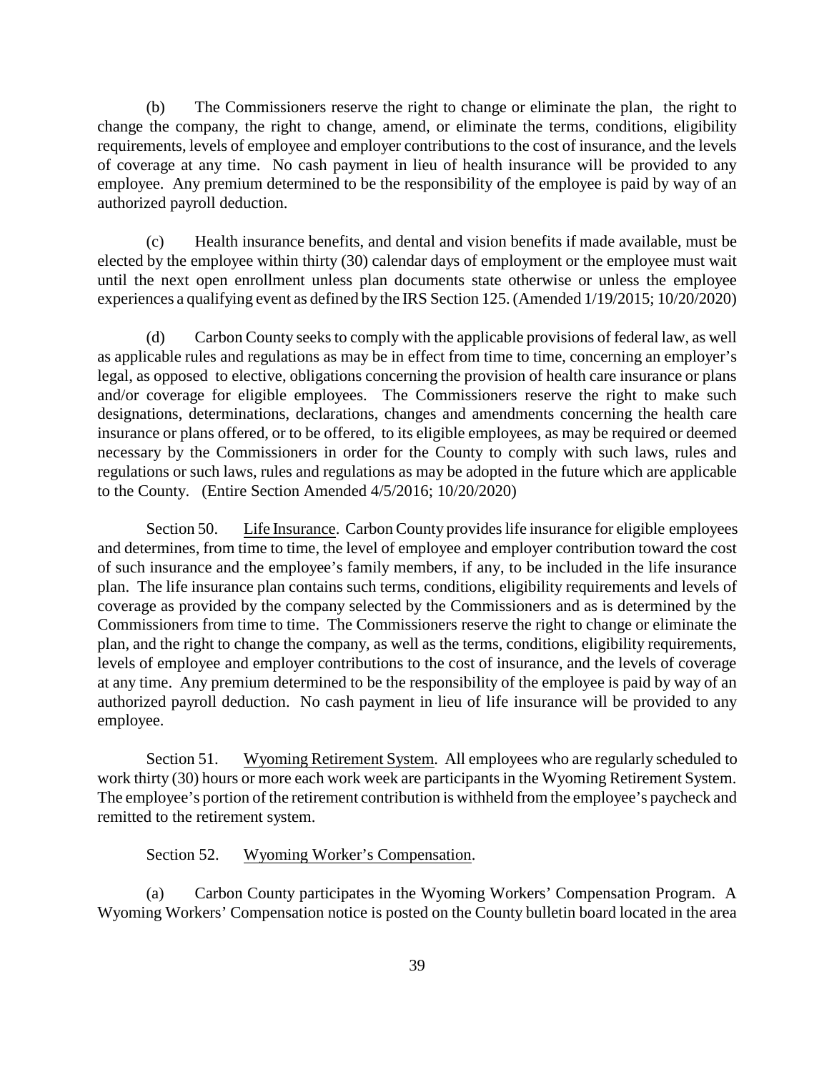(b) The Commissioners reserve the right to change or eliminate the plan, the right to change the company, the right to change, amend, or eliminate the terms, conditions, eligibility requirements, levels of employee and employer contributions to the cost of insurance, and the levels of coverage at any time. No cash payment in lieu of health insurance will be provided to any employee. Any premium determined to be the responsibility of the employee is paid by way of an authorized payroll deduction.

(c) Health insurance benefits, and dental and vision benefits if made available, must be elected by the employee within thirty (30) calendar days of employment or the employee must wait until the next open enrollment unless plan documents state otherwise or unless the employee experiences a qualifying event as defined by the IRS Section 125. (Amended 1/19/2015; 10/20/2020)

(d) Carbon County seeks to comply with the applicable provisions of federal law, as well as applicable rules and regulations as may be in effect from time to time, concerning an employer's legal, as opposed to elective, obligations concerning the provision of health care insurance or plans and/or coverage for eligible employees. The Commissioners reserve the right to make such designations, determinations, declarations, changes and amendments concerning the health care insurance or plans offered, or to be offered, to its eligible employees, as may be required or deemed necessary by the Commissioners in order for the County to comply with such laws, rules and regulations or such laws, rules and regulations as may be adopted in the future which are applicable to the County. (Entire Section Amended 4/5/2016; 10/20/2020)

Section 50. Life Insurance. Carbon County provides life insurance for eligible employees and determines, from time to time, the level of employee and employer contribution toward the cost of such insurance and the employee's family members, if any, to be included in the life insurance plan. The life insurance plan contains such terms, conditions, eligibility requirements and levels of coverage as provided by the company selected by the Commissioners and as is determined by the Commissioners from time to time. The Commissioners reserve the right to change or eliminate the plan, and the right to change the company, as well as the terms, conditions, eligibility requirements, levels of employee and employer contributions to the cost of insurance, and the levels of coverage at any time. Any premium determined to be the responsibility of the employee is paid by way of an authorized payroll deduction. No cash payment in lieu of life insurance will be provided to any employee.

Section 51. Wyoming Retirement System. All employees who are regularly scheduled to work thirty (30) hours or more each work week are participants in the Wyoming Retirement System. The employee's portion of the retirement contribution is withheld from the employee's paycheck and remitted to the retirement system.

#### Section 52. Wyoming Worker's Compensation.

(a) Carbon County participates in the Wyoming Workers' Compensation Program. A Wyoming Workers' Compensation notice is posted on the County bulletin board located in the area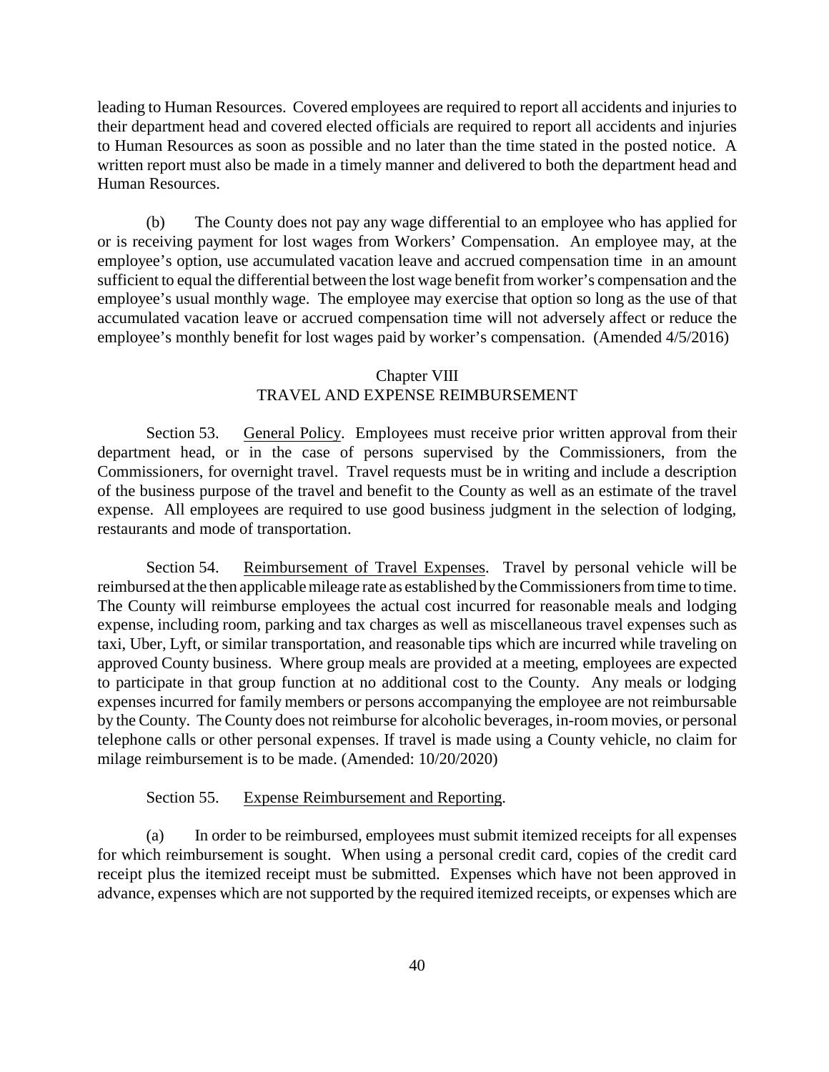leading to Human Resources. Covered employees are required to report all accidents and injuries to their department head and covered elected officials are required to report all accidents and injuries to Human Resources as soon as possible and no later than the time stated in the posted notice. A written report must also be made in a timely manner and delivered to both the department head and Human Resources.

(b) The County does not pay any wage differential to an employee who has applied for or is receiving payment for lost wages from Workers' Compensation. An employee may, at the employee's option, use accumulated vacation leave and accrued compensation time in an amount sufficient to equal the differential between the lost wage benefit from worker's compensation and the employee's usual monthly wage. The employee may exercise that option so long as the use of that accumulated vacation leave or accrued compensation time will not adversely affect or reduce the employee's monthly benefit for lost wages paid by worker's compensation. (Amended 4/5/2016)

# Chapter VIII TRAVEL AND EXPENSE REIMBURSEMENT

Section 53. General Policy. Employees must receive prior written approval from their department head, or in the case of persons supervised by the Commissioners, from the Commissioners, for overnight travel. Travel requests must be in writing and include a description of the business purpose of the travel and benefit to the County as well as an estimate of the travel expense. All employees are required to use good business judgment in the selection of lodging, restaurants and mode of transportation.

Section 54. Reimbursement of Travel Expenses. Travel by personal vehicle will be reimbursed at the then applicable mileage rate as established bythe Commissioners from time to time. The County will reimburse employees the actual cost incurred for reasonable meals and lodging expense, including room, parking and tax charges as well as miscellaneous travel expenses such as taxi, Uber, Lyft, or similar transportation, and reasonable tips which are incurred while traveling on approved County business. Where group meals are provided at a meeting, employees are expected to participate in that group function at no additional cost to the County. Any meals or lodging expenses incurred for family members or persons accompanying the employee are not reimbursable by the County. The County does not reimburse for alcoholic beverages, in-room movies, or personal telephone calls or other personal expenses. If travel is made using a County vehicle, no claim for milage reimbursement is to be made. (Amended: 10/20/2020)

### Section 55. Expense Reimbursement and Reporting.

(a) In order to be reimbursed, employees must submit itemized receipts for all expenses for which reimbursement is sought. When using a personal credit card, copies of the credit card receipt plus the itemized receipt must be submitted. Expenses which have not been approved in advance, expenses which are not supported by the required itemized receipts, or expenses which are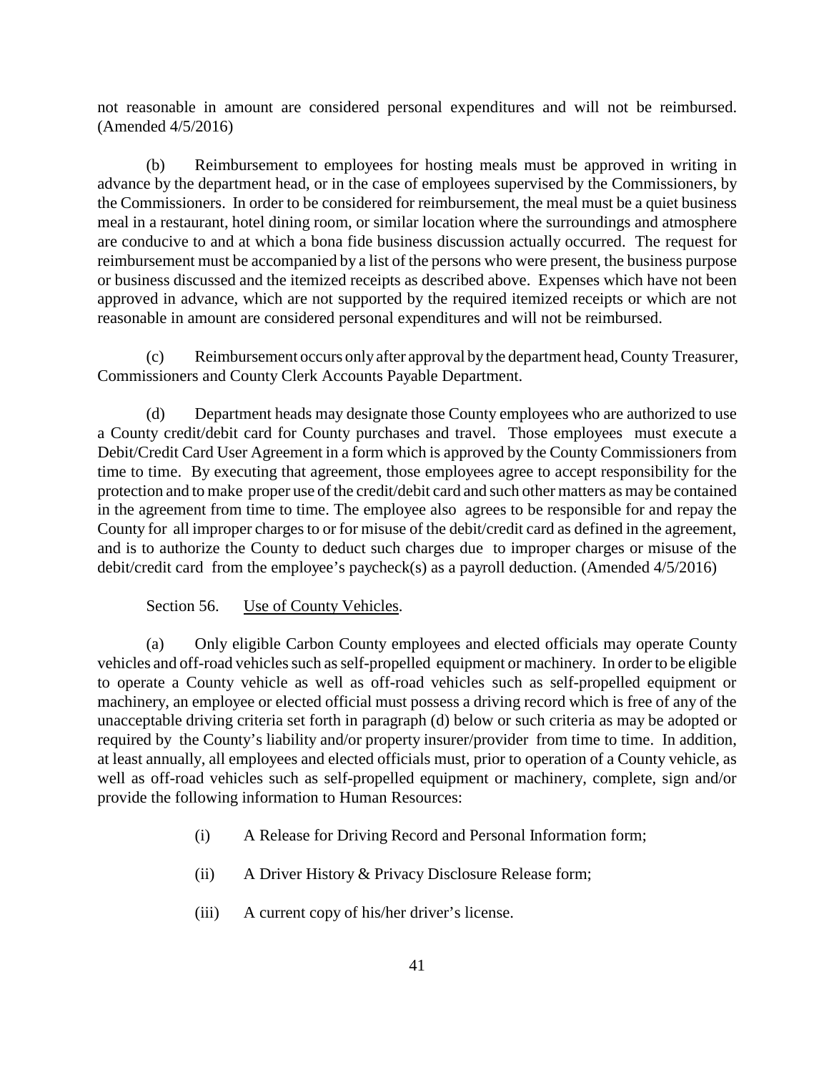not reasonable in amount are considered personal expenditures and will not be reimbursed. (Amended 4/5/2016)

(b) Reimbursement to employees for hosting meals must be approved in writing in advance by the department head, or in the case of employees supervised by the Commissioners, by the Commissioners. In order to be considered for reimbursement, the meal must be a quiet business meal in a restaurant, hotel dining room, or similar location where the surroundings and atmosphere are conducive to and at which a bona fide business discussion actually occurred. The request for reimbursement must be accompanied by a list of the persons who were present, the business purpose or business discussed and the itemized receipts as described above. Expenses which have not been approved in advance, which are not supported by the required itemized receipts or which are not reasonable in amount are considered personal expenditures and will not be reimbursed.

(c) Reimbursement occurs only after approval by the department head, County Treasurer, Commissioners and County Clerk Accounts Payable Department.

(d) Department heads may designate those County employees who are authorized to use a County credit/debit card for County purchases and travel. Those employees must execute a Debit/Credit Card User Agreement in a form which is approved by the County Commissioners from time to time. By executing that agreement, those employees agree to accept responsibility for the protection and to make proper use of the credit/debit card and such other matters as may be contained in the agreement from time to time. The employee also agrees to be responsible for and repay the County for all improper charges to or for misuse of the debit/credit card as defined in the agreement, and is to authorize the County to deduct such charges due to improper charges or misuse of the debit/credit card from the employee's paycheck(s) as a payroll deduction. (Amended 4/5/2016)

Section 56. Use of County Vehicles.

(a) Only eligible Carbon County employees and elected officials may operate County vehicles and off-road vehicles such as self-propelled equipment or machinery. In order to be eligible to operate a County vehicle as well as off-road vehicles such as self-propelled equipment or machinery, an employee or elected official must possess a driving record which is free of any of the unacceptable driving criteria set forth in paragraph (d) below or such criteria as may be adopted or required by the County's liability and/or property insurer/provider from time to time. In addition, at least annually, all employees and elected officials must, prior to operation of a County vehicle, as well as off-road vehicles such as self-propelled equipment or machinery, complete, sign and/or provide the following information to Human Resources:

- (i) A Release for Driving Record and Personal Information form;
- (ii) A Driver History & Privacy Disclosure Release form;
- (iii) A current copy of his/her driver's license.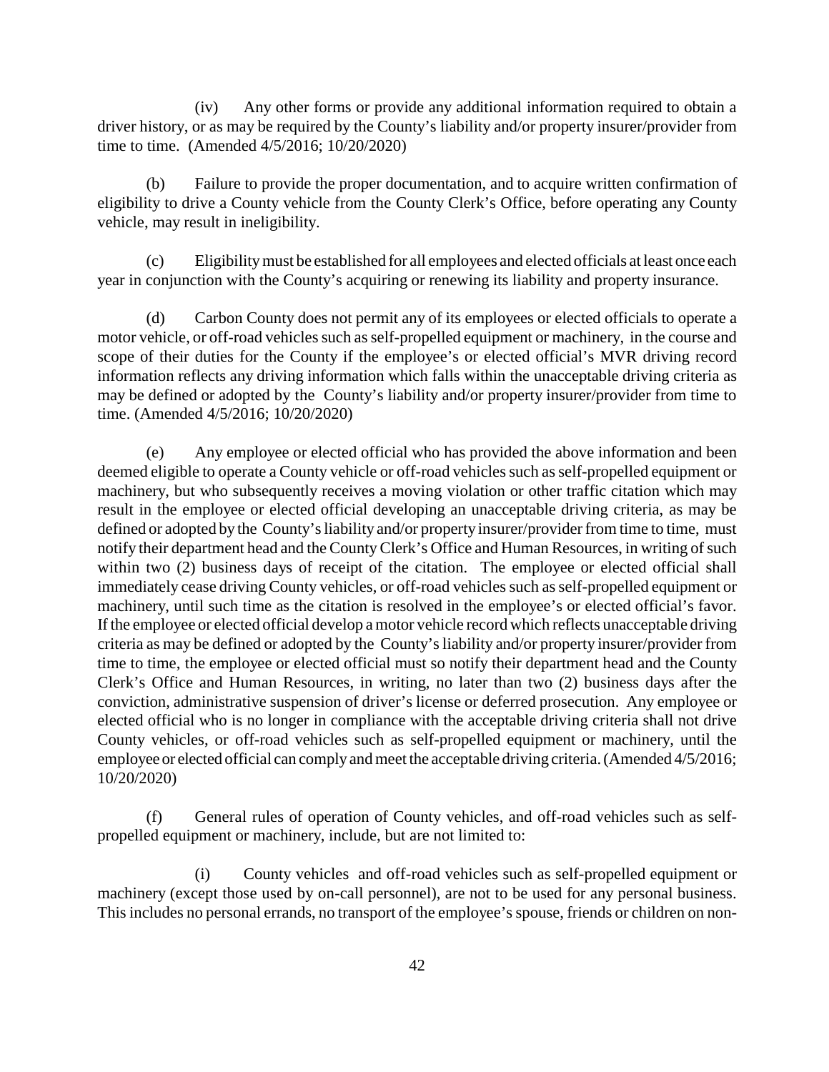(iv) Any other forms or provide any additional information required to obtain a driver history, or as may be required by the County's liability and/or property insurer/provider from time to time. (Amended 4/5/2016; 10/20/2020)

(b) Failure to provide the proper documentation, and to acquire written confirmation of eligibility to drive a County vehicle from the County Clerk's Office, before operating any County vehicle, may result in ineligibility.

(c) Eligibilitymust be established for all employees and elected officials at least once each year in conjunction with the County's acquiring or renewing its liability and property insurance.

(d) Carbon County does not permit any of its employees or elected officials to operate a motor vehicle, or off-road vehicles such as self-propelled equipment or machinery, in the course and scope of their duties for the County if the employee's or elected official's MVR driving record information reflects any driving information which falls within the unacceptable driving criteria as may be defined or adopted by the County's liability and/or property insurer/provider from time to time. (Amended 4/5/2016; 10/20/2020)

(e) Any employee or elected official who has provided the above information and been deemed eligible to operate a County vehicle or off-road vehicles such as self-propelled equipment or machinery, but who subsequently receives a moving violation or other traffic citation which may result in the employee or elected official developing an unacceptable driving criteria, as may be defined or adopted by the County's liability and/or property insurer/provider from time to time, must notify their department head and the CountyClerk's Office and Human Resources, in writing of such within two (2) business days of receipt of the citation. The employee or elected official shall immediately cease driving County vehicles, or off-road vehicles such as self-propelled equipment or machinery, until such time as the citation is resolved in the employee's or elected official's favor. If the employee or elected official develop a motor vehicle record which reflects unacceptable driving criteria as may be defined or adopted by the County's liability and/or property insurer/provider from time to time, the employee or elected official must so notify their department head and the County Clerk's Office and Human Resources, in writing, no later than two (2) business days after the conviction, administrative suspension of driver's license or deferred prosecution. Any employee or elected official who is no longer in compliance with the acceptable driving criteria shall not drive County vehicles, or off-road vehicles such as self-propelled equipment or machinery, until the employee or elected official can complyand meet the acceptable driving criteria. (Amended 4/5/2016; 10/20/2020)

(f) General rules of operation of County vehicles, and off-road vehicles such as selfpropelled equipment or machinery, include, but are not limited to:

(i) County vehicles and off-road vehicles such as self-propelled equipment or machinery (except those used by on-call personnel), are not to be used for any personal business. This includes no personal errands, no transport of the employee's spouse, friends or children on non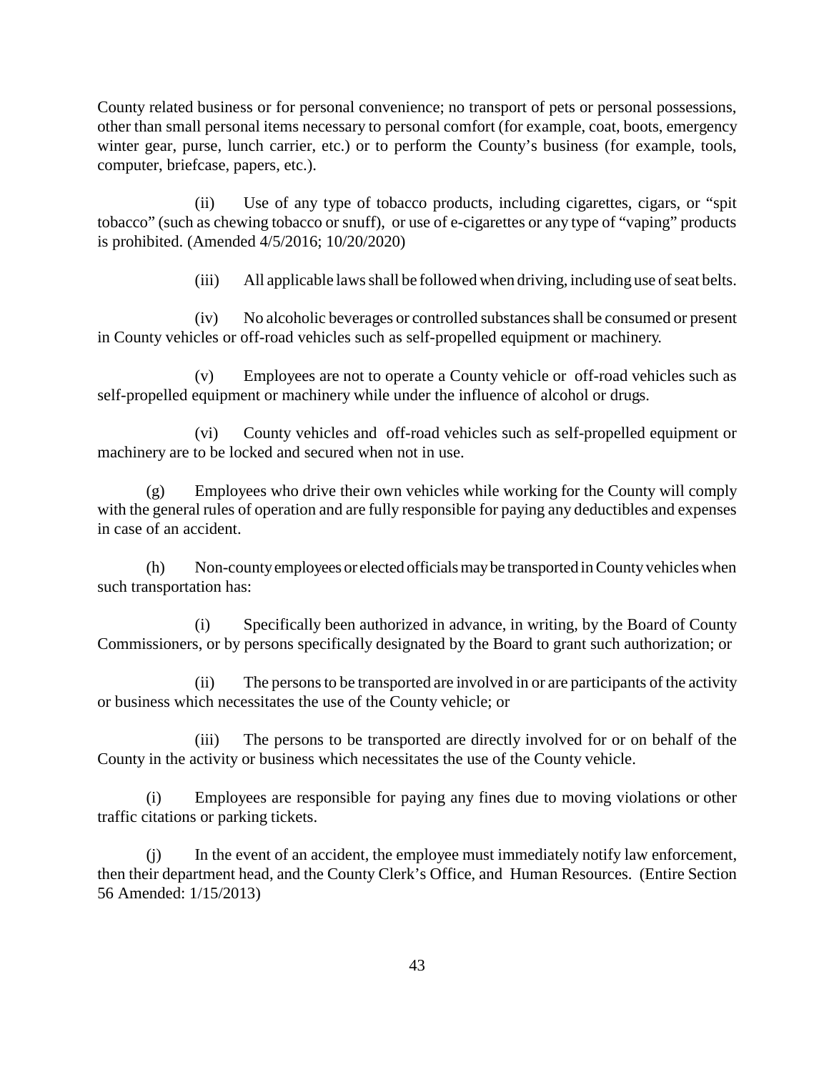County related business or for personal convenience; no transport of pets or personal possessions, other than small personal items necessary to personal comfort (for example, coat, boots, emergency winter gear, purse, lunch carrier, etc.) or to perform the County's business (for example, tools, computer, briefcase, papers, etc.).

(ii) Use of any type of tobacco products, including cigarettes, cigars, or "spit tobacco" (such as chewing tobacco or snuff), or use of e-cigarettes or any type of "vaping" products is prohibited. (Amended 4/5/2016; 10/20/2020)

(iii) All applicable laws shall be followed when driving, including use of seat belts.

(iv) No alcoholic beverages or controlled substances shall be consumed or present in County vehicles or off-road vehicles such as self-propelled equipment or machinery.

(v) Employees are not to operate a County vehicle or off-road vehicles such as self-propelled equipment or machinery while under the influence of alcohol or drugs.

(vi) County vehicles and off-road vehicles such as self-propelled equipment or machinery are to be locked and secured when not in use.

(g) Employees who drive their own vehicles while working for the County will comply with the general rules of operation and are fully responsible for paying any deductibles and expenses in case of an accident.

(h) Non-county employees or elected officials may be transported in County vehicles when such transportation has:

(i) Specifically been authorized in advance, in writing, by the Board of County Commissioners, or by persons specifically designated by the Board to grant such authorization; or

(ii) The persons to be transported are involved in or are participants of the activity or business which necessitates the use of the County vehicle; or

(iii) The persons to be transported are directly involved for or on behalf of the County in the activity or business which necessitates the use of the County vehicle.

(i) Employees are responsible for paying any fines due to moving violations or other traffic citations or parking tickets.

(j) In the event of an accident, the employee must immediately notify law enforcement, then their department head, and the County Clerk's Office, and Human Resources. (Entire Section 56 Amended: 1/15/2013)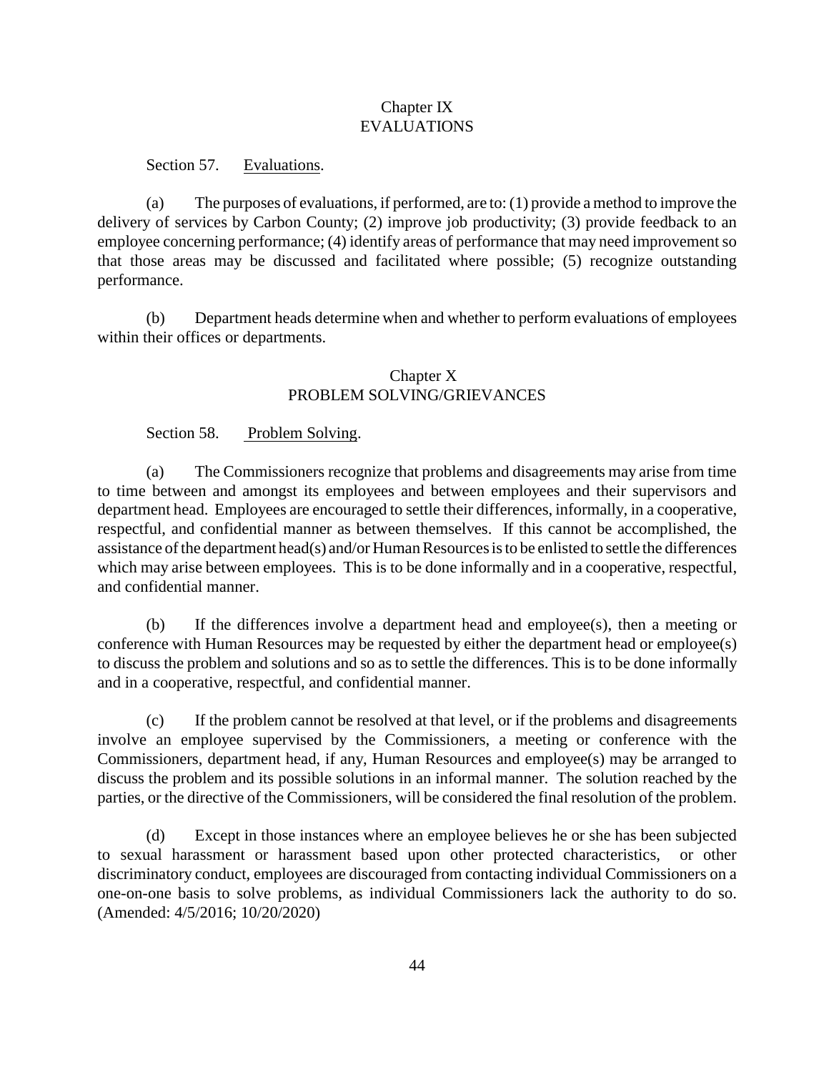# Chapter IX EVALUATIONS

Section 57. Evaluations.

(a) The purposes of evaluations, if performed, are to: (1) provide a method to improve the delivery of services by Carbon County; (2) improve job productivity; (3) provide feedback to an employee concerning performance; (4) identify areas of performance that may need improvement so that those areas may be discussed and facilitated where possible; (5) recognize outstanding performance.

(b) Department heads determine when and whether to perform evaluations of employees within their offices or departments.

# Chapter X PROBLEM SOLVING/GRIEVANCES

Section 58. Problem Solving.

(a) The Commissioners recognize that problems and disagreements may arise from time to time between and amongst its employees and between employees and their supervisors and department head. Employees are encouraged to settle their differences, informally, in a cooperative, respectful, and confidential manner as between themselves. If this cannot be accomplished, the assistance of the department head(s) and/or Human Resources is to be enlisted to settle the differences which may arise between employees. This is to be done informally and in a cooperative, respectful, and confidential manner.

(b) If the differences involve a department head and employee(s), then a meeting or conference with Human Resources may be requested by either the department head or employee(s) to discuss the problem and solutions and so as to settle the differences. This is to be done informally and in a cooperative, respectful, and confidential manner.

(c) If the problem cannot be resolved at that level, or if the problems and disagreements involve an employee supervised by the Commissioners, a meeting or conference with the Commissioners, department head, if any, Human Resources and employee(s) may be arranged to discuss the problem and its possible solutions in an informal manner. The solution reached by the parties, or the directive of the Commissioners, will be considered the final resolution of the problem.

(d) Except in those instances where an employee believes he or she has been subjected to sexual harassment or harassment based upon other protected characteristics, or other discriminatory conduct, employees are discouraged from contacting individual Commissioners on a one-on-one basis to solve problems, as individual Commissioners lack the authority to do so. (Amended: 4/5/2016; 10/20/2020)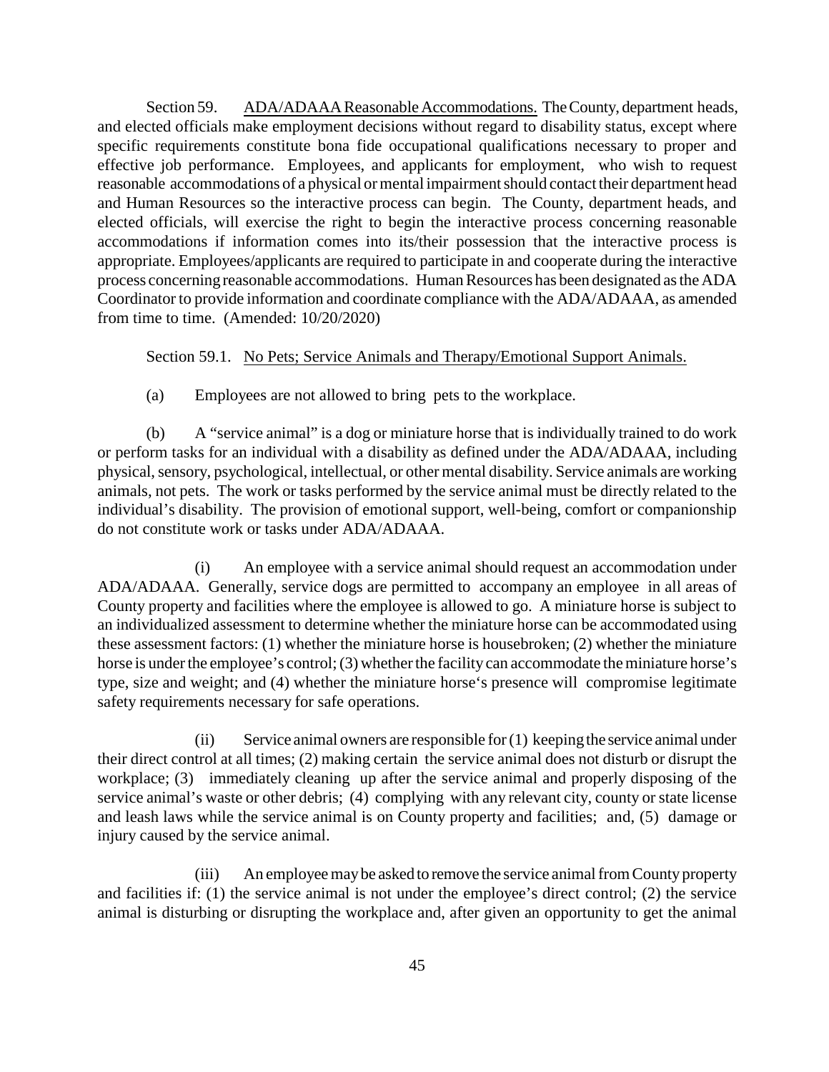Section 59. ADA/ADAAA Reasonable Accommodations. The County, department heads, and elected officials make employment decisions without regard to disability status, except where specific requirements constitute bona fide occupational qualifications necessary to proper and effective job performance. Employees, and applicants for employment, who wish to request reasonable accommodations of a physical or mental impairment should contact their department head and Human Resources so the interactive process can begin. The County, department heads, and elected officials, will exercise the right to begin the interactive process concerning reasonable accommodations if information comes into its/their possession that the interactive process is appropriate. Employees/applicants are required to participate in and cooperate during the interactive process concerning reasonable accommodations. Human Resources has been designated as the ADA Coordinator to provide information and coordinate compliance with the ADA/ADAAA, as amended from time to time. (Amended: 10/20/2020)

Section 59.1. No Pets; Service Animals and Therapy/Emotional Support Animals.

(a) Employees are not allowed to bring pets to the workplace.

(b) A "service animal" is a dog or miniature horse that is individually trained to do work or perform tasks for an individual with a disability as defined under the ADA/ADAAA, including physical, sensory, psychological, intellectual, or other mental disability. Service animals are working animals, not pets. The work or tasks performed by the service animal must be directly related to the individual's disability. The provision of emotional support, well-being, comfort or companionship do not constitute work or tasks under ADA/ADAAA.

(i) An employee with a service animal should request an accommodation under ADA/ADAAA. Generally, service dogs are permitted to accompany an employee in all areas of County property and facilities where the employee is allowed to go. A miniature horse is subject to an individualized assessment to determine whether the miniature horse can be accommodated using these assessment factors: (1) whether the miniature horse is housebroken; (2) whether the miniature horse is under the employee's control; (3) whether the facility can accommodate the miniature horse's type, size and weight; and (4) whether the miniature horse's presence will compromise legitimate safety requirements necessary for safe operations.

(ii) Service animal owners are responsible for (1) keepingthe service animal under their direct control at all times; (2) making certain the service animal does not disturb or disrupt the workplace; (3) immediately cleaning up after the service animal and properly disposing of the service animal's waste or other debris; (4) complying with any relevant city, county or state license and leash laws while the service animal is on County property and facilities; and, (5) damage or injury caused by the service animal.

(iii) An employee may be asked to remove the service animal from County property and facilities if: (1) the service animal is not under the employee's direct control; (2) the service animal is disturbing or disrupting the workplace and, after given an opportunity to get the animal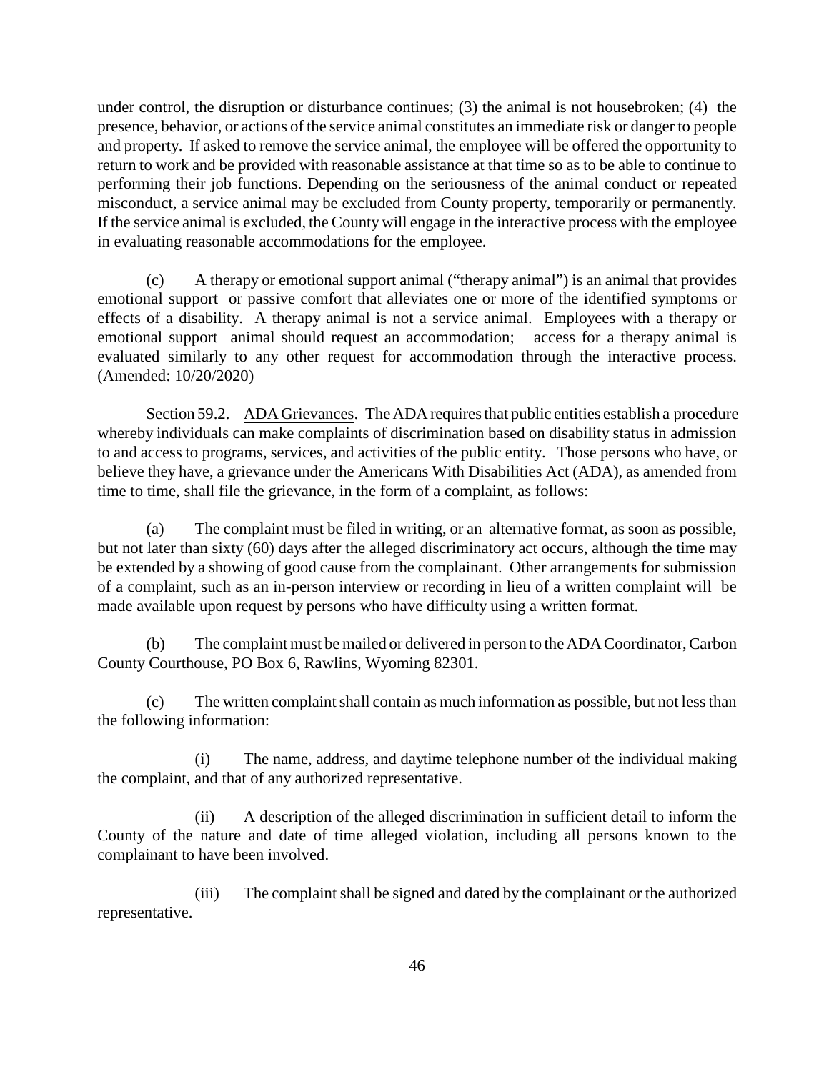under control, the disruption or disturbance continues; (3) the animal is not housebroken; (4) the presence, behavior, or actions of the service animal constitutes an immediate risk or danger to people and property. If asked to remove the service animal, the employee will be offered the opportunity to return to work and be provided with reasonable assistance at that time so as to be able to continue to performing their job functions. Depending on the seriousness of the animal conduct or repeated misconduct, a service animal may be excluded from County property, temporarily or permanently. If the service animal is excluded, the County will engage in the interactive process with the employee in evaluating reasonable accommodations for the employee.

(c) A therapy or emotional support animal ("therapy animal") is an animal that provides emotional support or passive comfort that alleviates one or more of the identified symptoms or effects of a disability. A therapy animal is not a service animal. Employees with a therapy or emotional support animal should request an accommodation; access for a therapy animal is evaluated similarly to any other request for accommodation through the interactive process. (Amended: 10/20/2020)

Section 59.2. ADA Grievances. The ADA requires that public entities establish a procedure whereby individuals can make complaints of discrimination based on disability status in admission to and access to programs, services, and activities of the public entity. Those persons who have, or believe they have, a grievance under the Americans With Disabilities Act (ADA), as amended from time to time, shall file the grievance, in the form of a complaint, as follows:

(a) The complaint must be filed in writing, or an alternative format, as soon as possible, but not later than sixty (60) days after the alleged discriminatory act occurs, although the time may be extended by a showing of good cause from the complainant. Other arrangements for submission of a complaint, such as an in-person interview or recording in lieu of a written complaint will be made available upon request by persons who have difficulty using a written format.

(b) The complaint must be mailed or delivered in person to the ADA Coordinator, Carbon County Courthouse, PO Box 6, Rawlins, Wyoming 82301.

(c) The written complaint shall contain as much information as possible, but not less than the following information:

(i) The name, address, and daytime telephone number of the individual making the complaint, and that of any authorized representative.

(ii) A description of the alleged discrimination in sufficient detail to inform the County of the nature and date of time alleged violation, including all persons known to the complainant to have been involved.

(iii) The complaint shall be signed and dated by the complainant or the authorized representative.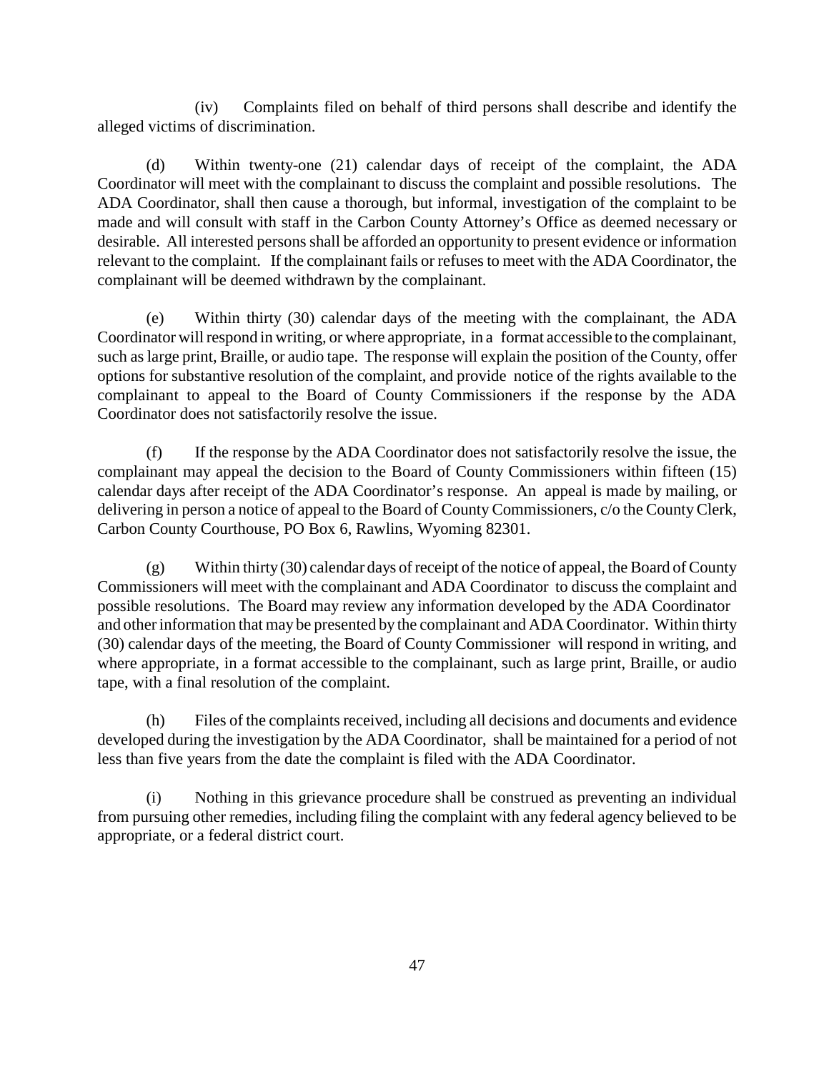(iv) Complaints filed on behalf of third persons shall describe and identify the alleged victims of discrimination.

(d) Within twenty-one (21) calendar days of receipt of the complaint, the ADA Coordinator will meet with the complainant to discuss the complaint and possible resolutions. The ADA Coordinator, shall then cause a thorough, but informal, investigation of the complaint to be made and will consult with staff in the Carbon County Attorney's Office as deemed necessary or desirable. All interested persons shall be afforded an opportunity to present evidence or information relevant to the complaint. If the complainant fails or refuses to meet with the ADA Coordinator, the complainant will be deemed withdrawn by the complainant.

(e) Within thirty (30) calendar days of the meeting with the complainant, the ADA Coordinator will respond in writing, or where appropriate, in a format accessible to the complainant, such as large print, Braille, or audio tape. The response will explain the position of the County, offer options for substantive resolution of the complaint, and provide notice of the rights available to the complainant to appeal to the Board of County Commissioners if the response by the ADA Coordinator does not satisfactorily resolve the issue.

(f) If the response by the ADA Coordinator does not satisfactorily resolve the issue, the complainant may appeal the decision to the Board of County Commissioners within fifteen (15) calendar days after receipt of the ADA Coordinator's response. An appeal is made by mailing, or delivering in person a notice of appeal to the Board of County Commissioners, c/o the CountyClerk, Carbon County Courthouse, PO Box 6, Rawlins, Wyoming 82301.

(g) Within thirty (30) calendar days of receipt of the notice of appeal, the Board of County Commissioners will meet with the complainant and ADA Coordinator to discuss the complaint and possible resolutions. The Board may review any information developed by the ADA Coordinator and other information that may be presented by the complainant and ADA Coordinator. Within thirty (30) calendar days of the meeting, the Board of County Commissioner will respond in writing, and where appropriate, in a format accessible to the complainant, such as large print, Braille, or audio tape, with a final resolution of the complaint.

(h) Files of the complaints received, including all decisions and documents and evidence developed during the investigation by the ADA Coordinator, shall be maintained for a period of not less than five years from the date the complaint is filed with the ADA Coordinator.

(i) Nothing in this grievance procedure shall be construed as preventing an individual from pursuing other remedies, including filing the complaint with any federal agency believed to be appropriate, or a federal district court.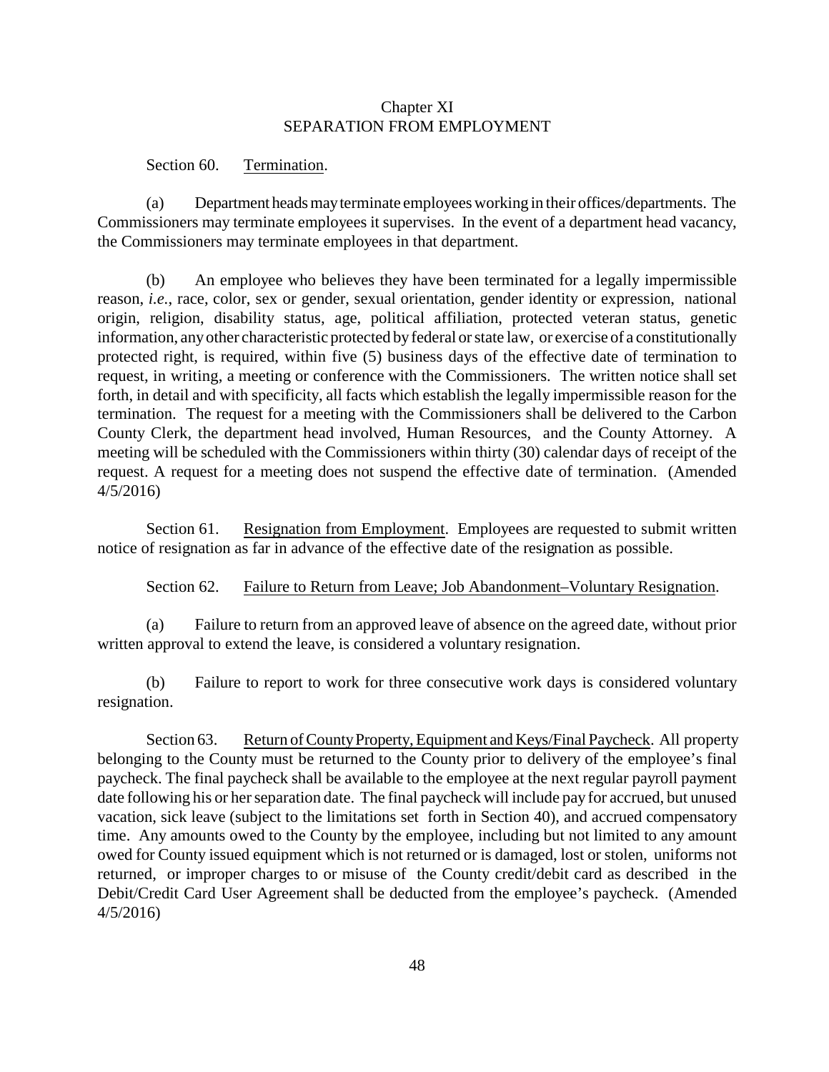## Chapter XI SEPARATION FROM EMPLOYMENT

#### Section 60. Termination.

(a) Department headsmayterminate employees working in their offices/departments. The Commissioners may terminate employees it supervises. In the event of a department head vacancy, the Commissioners may terminate employees in that department.

(b) An employee who believes they have been terminated for a legally impermissible reason, *i.e.*, race, color, sex or gender, sexual orientation, gender identity or expression, national origin, religion, disability status, age, political affiliation, protected veteran status, genetic information, anyother characteristic protected byfederal or state law, or exercise of a constitutionally protected right, is required, within five (5) business days of the effective date of termination to request, in writing, a meeting or conference with the Commissioners. The written notice shall set forth, in detail and with specificity, all facts which establish the legally impermissible reason for the termination. The request for a meeting with the Commissioners shall be delivered to the Carbon County Clerk, the department head involved, Human Resources, and the County Attorney. A meeting will be scheduled with the Commissioners within thirty (30) calendar days of receipt of the request. A request for a meeting does not suspend the effective date of termination. (Amended 4/5/2016)

Section 61. Resignation from Employment. Employees are requested to submit written notice of resignation as far in advance of the effective date of the resignation as possible.

#### Section 62. Failure to Return from Leave; Job Abandonment–Voluntary Resignation.

(a) Failure to return from an approved leave of absence on the agreed date, without prior written approval to extend the leave, is considered a voluntary resignation.

(b) Failure to report to work for three consecutive work days is considered voluntary resignation.

Section 63. Return of County Property, Equipment and Keys/Final Paycheck. All property belonging to the County must be returned to the County prior to delivery of the employee's final paycheck. The final paycheck shall be available to the employee at the next regular payroll payment date following his or her separation date. The final paycheck will include pay for accrued, but unused vacation, sick leave (subject to the limitations set forth in Section 40), and accrued compensatory time. Any amounts owed to the County by the employee, including but not limited to any amount owed for County issued equipment which is not returned or is damaged, lost or stolen, uniforms not returned, or improper charges to or misuse of the County credit/debit card as described in the Debit/Credit Card User Agreement shall be deducted from the employee's paycheck. (Amended 4/5/2016)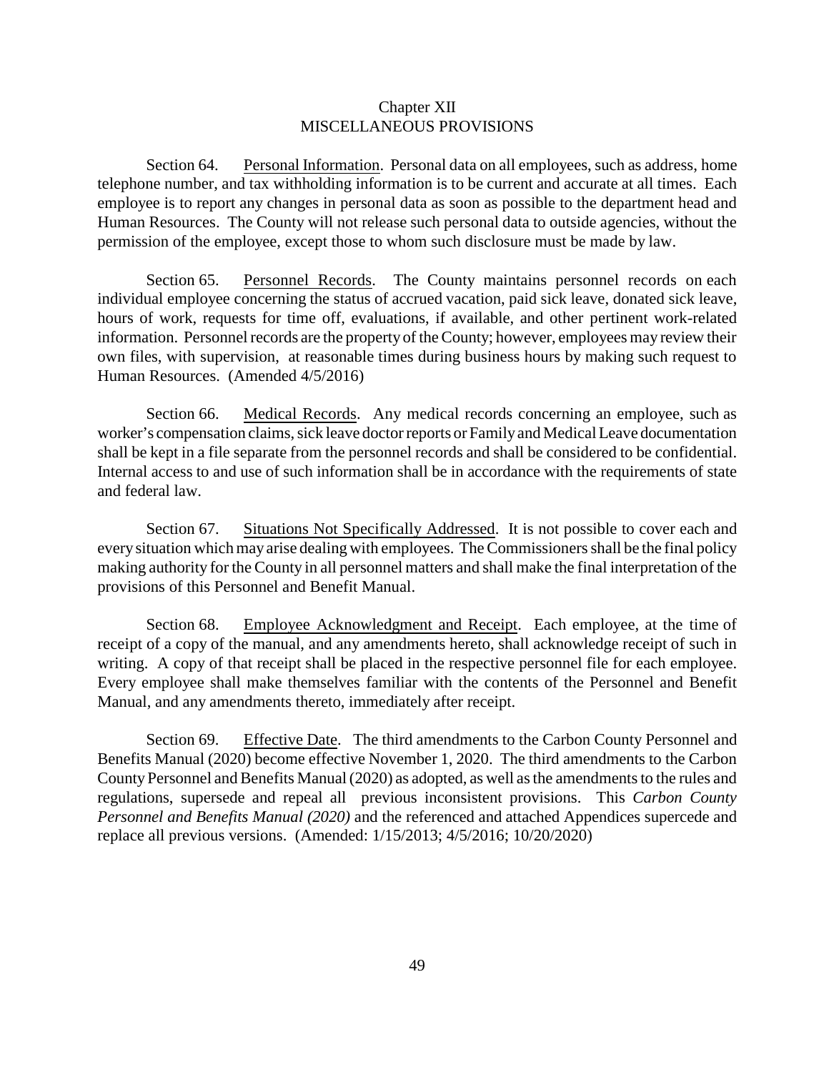## Chapter XII MISCELLANEOUS PROVISIONS

Section 64. Personal Information. Personal data on all employees, such as address, home telephone number, and tax withholding information is to be current and accurate at all times. Each employee is to report any changes in personal data as soon as possible to the department head and Human Resources. The County will not release such personal data to outside agencies, without the permission of the employee, except those to whom such disclosure must be made by law.

Section 65. Personnel Records. The County maintains personnel records on each individual employee concerning the status of accrued vacation, paid sick leave, donated sick leave, hours of work, requests for time off, evaluations, if available, and other pertinent work-related information. Personnel records are the property of the County; however, employees may review their own files, with supervision, at reasonable times during business hours by making such request to Human Resources. (Amended 4/5/2016)

Section 66. Medical Records. Any medical records concerning an employee, such as worker's compensation claims, sick leave doctor reports or Familyand Medical Leave documentation shall be kept in a file separate from the personnel records and shall be considered to be confidential. Internal access to and use of such information shall be in accordance with the requirements of state and federal law.

Section 67. Situations Not Specifically Addressed. It is not possible to cover each and everysituation which may arise dealing with employees. The Commissioners shall be the final policy making authority for the County in all personnel matters and shall make the final interpretation of the provisions of this Personnel and Benefit Manual.

Section 68. Employee Acknowledgment and Receipt. Each employee, at the time of receipt of a copy of the manual, and any amendments hereto, shall acknowledge receipt of such in writing. A copy of that receipt shall be placed in the respective personnel file for each employee. Every employee shall make themselves familiar with the contents of the Personnel and Benefit Manual, and any amendments thereto, immediately after receipt.

Section 69. Effective Date. The third amendments to the Carbon County Personnel and Benefits Manual (2020) become effective November 1, 2020. The third amendments to the Carbon County Personnel and Benefits Manual (2020) as adopted, as well as the amendments to the rules and regulations, supersede and repeal all previous inconsistent provisions. This *Carbon County Personnel and Benefits Manual (2020)* and the referenced and attached Appendices supercede and replace all previous versions. (Amended: 1/15/2013; 4/5/2016; 10/20/2020)